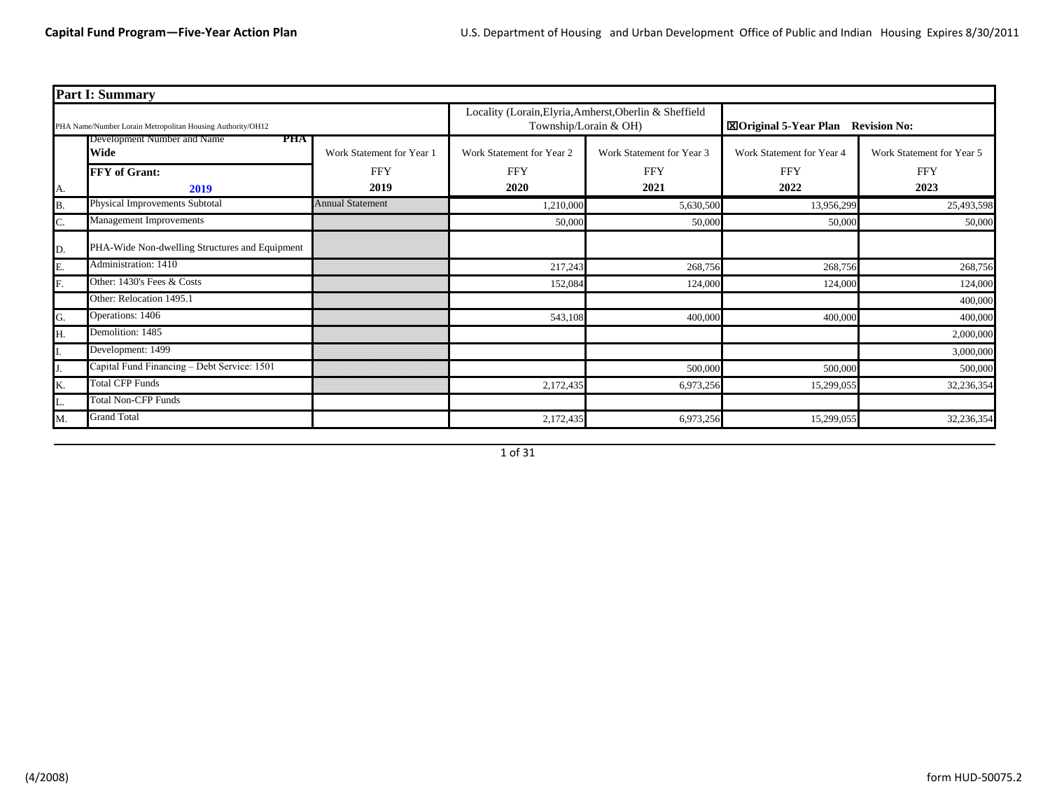|    | <b>Part I: Summary</b>                                     |                                                                                 |                           |                                          |                           |                           |  |  |  |  |  |
|----|------------------------------------------------------------|---------------------------------------------------------------------------------|---------------------------|------------------------------------------|---------------------------|---------------------------|--|--|--|--|--|
|    | PHA Name/Number Lorain Metropolitan Housing Authority/OH12 | Locality (Lorain, Elyria, Amherst, Oberlin & Sheffield<br>Township/Lorain & OH) |                           | <b>Example 15-Year Plan Revision No:</b> |                           |                           |  |  |  |  |  |
|    | Development Number and Name<br>тна<br>Wide                 | Work Statement for Year 1                                                       | Work Statement for Year 2 | Work Statement for Year 3                | Work Statement for Year 4 | Work Statement for Year 5 |  |  |  |  |  |
|    | <b>FFY</b> of Grant:                                       | <b>FFY</b>                                                                      | <b>FFY</b>                | <b>FFY</b>                               | <b>FFY</b>                | <b>FFY</b>                |  |  |  |  |  |
| А. | 2019                                                       | 2019                                                                            | 2020                      | 2021                                     | 2022                      | 2023                      |  |  |  |  |  |
| Β. | Physical Improvements Subtotal                             | <b>Annual Statement</b>                                                         | 1,210,000                 | 5,630,500                                | 13,956,299                | 25,493,598                |  |  |  |  |  |
| C. | Management Improvements                                    |                                                                                 | 50,000                    | 50,000                                   | 50,00                     | 50,000                    |  |  |  |  |  |
| D. | PHA-Wide Non-dwelling Structures and Equipment             |                                                                                 |                           |                                          |                           |                           |  |  |  |  |  |
| Ε. | Administration: 1410                                       |                                                                                 | 217,243                   | 268,756                                  | 268,756                   | 268,756                   |  |  |  |  |  |
| F. | Other: 1430's Fees & Costs                                 |                                                                                 | 152,084                   | 124,000                                  | 124,00                    | 124,000                   |  |  |  |  |  |
|    | Other: Relocation 1495.1                                   |                                                                                 |                           |                                          |                           | 400,000                   |  |  |  |  |  |
| G. | Operations: 1406                                           |                                                                                 | 543,108                   | 400,000                                  | 400,00                    | 400,000                   |  |  |  |  |  |
| Н. | Demolition: 1485                                           |                                                                                 |                           |                                          |                           | 2,000,000                 |  |  |  |  |  |
|    | Development: 1499                                          |                                                                                 |                           |                                          |                           | 3,000,000                 |  |  |  |  |  |
|    | Capital Fund Financing - Debt Service: 1501                |                                                                                 |                           | 500,000                                  | 500,00                    | 500,000                   |  |  |  |  |  |
| K. | <b>Total CFP Funds</b>                                     |                                                                                 | 2,172,435                 | 6,973,256                                | 15,299,055                | 32,236,354                |  |  |  |  |  |
| L. | <b>Total Non-CFP Funds</b>                                 |                                                                                 |                           |                                          |                           |                           |  |  |  |  |  |
| Μ. | <b>Grand Total</b>                                         |                                                                                 | 2,172,435                 | 6,973,256                                | 15,299,055                | 32,236,354                |  |  |  |  |  |

1 of 31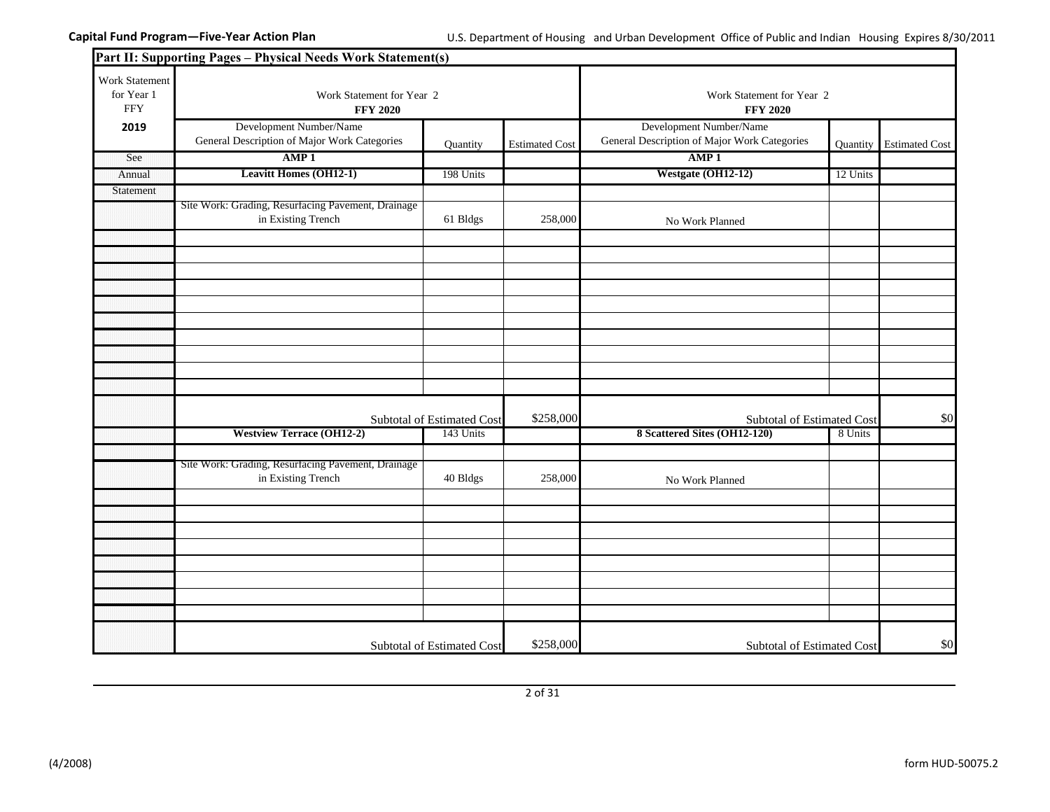|                                            | Part II: Supporting Pages - Physical Needs Work Statement(s)             |                            |                       |                                                                         |          |                       |
|--------------------------------------------|--------------------------------------------------------------------------|----------------------------|-----------------------|-------------------------------------------------------------------------|----------|-----------------------|
| Work Statement<br>for Year 1<br><b>FFY</b> | Work Statement for Year 2<br><b>FFY 2020</b>                             |                            |                       | Work Statement for Year 2<br><b>FFY 2020</b>                            |          |                       |
| 2019                                       | Development Number/Name<br>General Description of Major Work Categories  | Quantity                   | <b>Estimated Cost</b> | Development Number/Name<br>General Description of Major Work Categories | Quantity | <b>Estimated Cost</b> |
| See                                        | AMP <sub>1</sub>                                                         |                            |                       | AMP <sub>1</sub>                                                        |          |                       |
| Annual                                     | <b>Leavitt Homes (OH12-1)</b>                                            | 198 Units                  |                       | Westgate (OH12-12)                                                      | 12 Units |                       |
| Statement                                  |                                                                          |                            |                       |                                                                         |          |                       |
|                                            | Site Work: Grading, Resurfacing Pavement, Drainage<br>in Existing Trench | 61 Bldgs                   | 258,000               | No Work Planned                                                         |          |                       |
|                                            |                                                                          |                            |                       |                                                                         |          |                       |
|                                            |                                                                          |                            |                       |                                                                         |          |                       |
|                                            |                                                                          |                            |                       |                                                                         |          |                       |
|                                            |                                                                          |                            |                       |                                                                         |          |                       |
|                                            |                                                                          |                            |                       |                                                                         |          |                       |
|                                            |                                                                          |                            |                       |                                                                         |          |                       |
|                                            |                                                                          |                            |                       |                                                                         |          |                       |
|                                            |                                                                          |                            |                       |                                                                         |          |                       |
|                                            |                                                                          |                            |                       |                                                                         |          |                       |
|                                            |                                                                          | Subtotal of Estimated Cost | \$258,000             | Subtotal of Estimated Cost                                              |          | \$0                   |
|                                            | <b>Westview Terrace (OH12-2)</b>                                         | 143 Units                  |                       | 8 Scattered Sites (OH12-120)                                            | 8 Units  |                       |
|                                            |                                                                          |                            |                       |                                                                         |          |                       |
|                                            | Site Work: Grading, Resurfacing Pavement, Drainage<br>in Existing Trench | 40 Bldgs                   | 258,000               | No Work Planned                                                         |          |                       |
|                                            |                                                                          |                            |                       |                                                                         |          |                       |
|                                            |                                                                          |                            |                       |                                                                         |          |                       |
|                                            |                                                                          |                            |                       |                                                                         |          |                       |
|                                            |                                                                          |                            |                       |                                                                         |          |                       |
|                                            |                                                                          |                            |                       |                                                                         |          |                       |
|                                            |                                                                          |                            |                       |                                                                         |          |                       |
|                                            |                                                                          |                            |                       |                                                                         |          |                       |
|                                            |                                                                          |                            |                       |                                                                         |          |                       |
|                                            |                                                                          | Subtotal of Estimated Cost | \$258,000             | <b>Subtotal of Estimated Cost</b>                                       |          | \$0                   |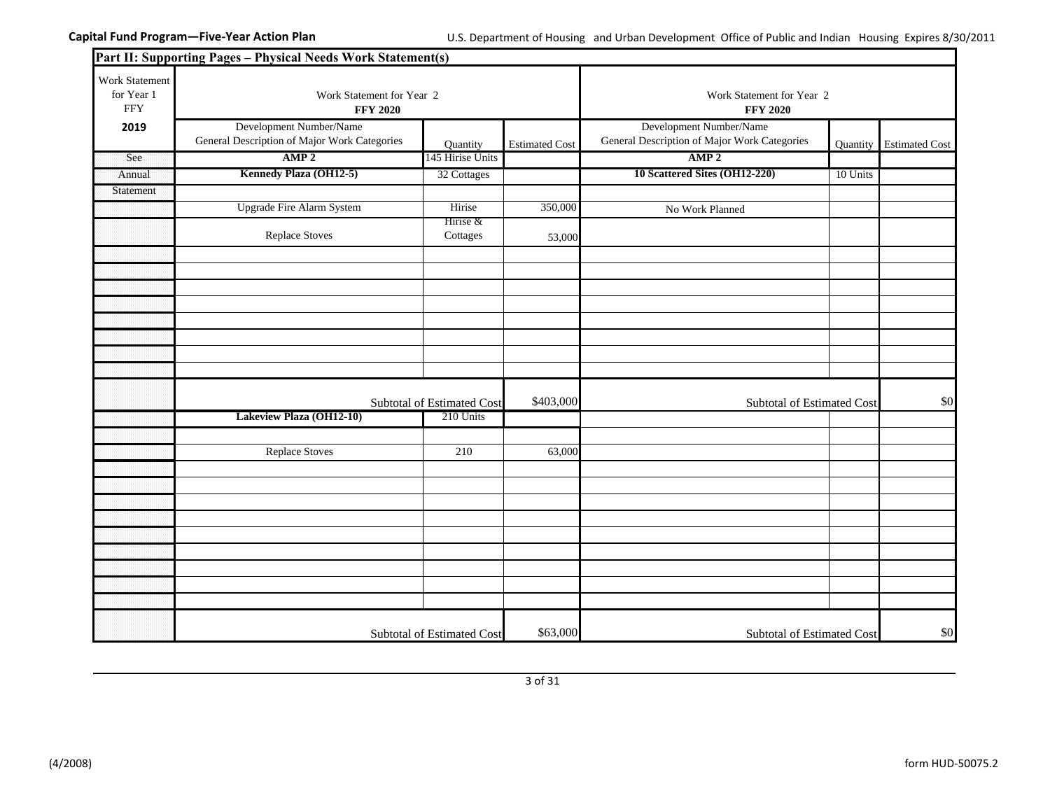|                                            | Part II: Supporting Pages - Physical Needs Work Statement(s)            |                            |                       |                                                                         |          |                       |
|--------------------------------------------|-------------------------------------------------------------------------|----------------------------|-----------------------|-------------------------------------------------------------------------|----------|-----------------------|
| Work Statement<br>for Year 1<br><b>FFY</b> | Work Statement for Year 2<br><b>FFY 2020</b>                            |                            |                       | Work Statement for Year 2<br><b>FFY 2020</b>                            |          |                       |
| 2019                                       | Development Number/Name<br>General Description of Major Work Categories | Quantity                   | <b>Estimated Cost</b> | Development Number/Name<br>General Description of Major Work Categories | Quantity | <b>Estimated Cost</b> |
| See                                        | AMP <sub>2</sub>                                                        | 145 Hirise Units           |                       | AMP <sub>2</sub>                                                        |          |                       |
| Annual                                     | Kennedy Plaza (OH12-5)                                                  | 32 Cottages                |                       | 10 Scattered Sites (OH12-220)                                           | 10 Units |                       |
| Statement                                  |                                                                         |                            |                       |                                                                         |          |                       |
|                                            | <b>Upgrade Fire Alarm System</b>                                        | Hirise                     | 350,000               | No Work Planned                                                         |          |                       |
|                                            | <b>Replace Stoves</b>                                                   | Hirise &<br>Cottages       | 53,000                |                                                                         |          |                       |
|                                            |                                                                         |                            |                       |                                                                         |          |                       |
|                                            |                                                                         |                            |                       |                                                                         |          |                       |
|                                            |                                                                         |                            |                       |                                                                         |          |                       |
|                                            |                                                                         |                            |                       |                                                                         |          |                       |
|                                            |                                                                         |                            |                       |                                                                         |          |                       |
|                                            |                                                                         |                            |                       |                                                                         |          |                       |
|                                            |                                                                         |                            |                       |                                                                         |          |                       |
|                                            |                                                                         |                            |                       |                                                                         |          |                       |
|                                            |                                                                         | Subtotal of Estimated Cost | \$403,000             | Subtotal of Estimated Cost                                              |          | \$0                   |
|                                            | Lakeview Plaza (OH12-10)                                                | 210 Units                  |                       |                                                                         |          |                       |
|                                            |                                                                         |                            |                       |                                                                         |          |                       |
|                                            | <b>Replace Stoves</b>                                                   | 210                        | 63,000                |                                                                         |          |                       |
|                                            |                                                                         |                            |                       |                                                                         |          |                       |
|                                            |                                                                         |                            |                       |                                                                         |          |                       |
|                                            |                                                                         |                            |                       |                                                                         |          |                       |
|                                            |                                                                         |                            |                       |                                                                         |          |                       |
|                                            |                                                                         |                            |                       |                                                                         |          |                       |
|                                            |                                                                         |                            |                       |                                                                         |          |                       |
|                                            |                                                                         |                            |                       |                                                                         |          |                       |
|                                            |                                                                         |                            |                       |                                                                         |          |                       |
|                                            |                                                                         |                            |                       |                                                                         |          |                       |
|                                            |                                                                         | Subtotal of Estimated Cost | \$63,000              | Subtotal of Estimated Cost                                              |          | \$0                   |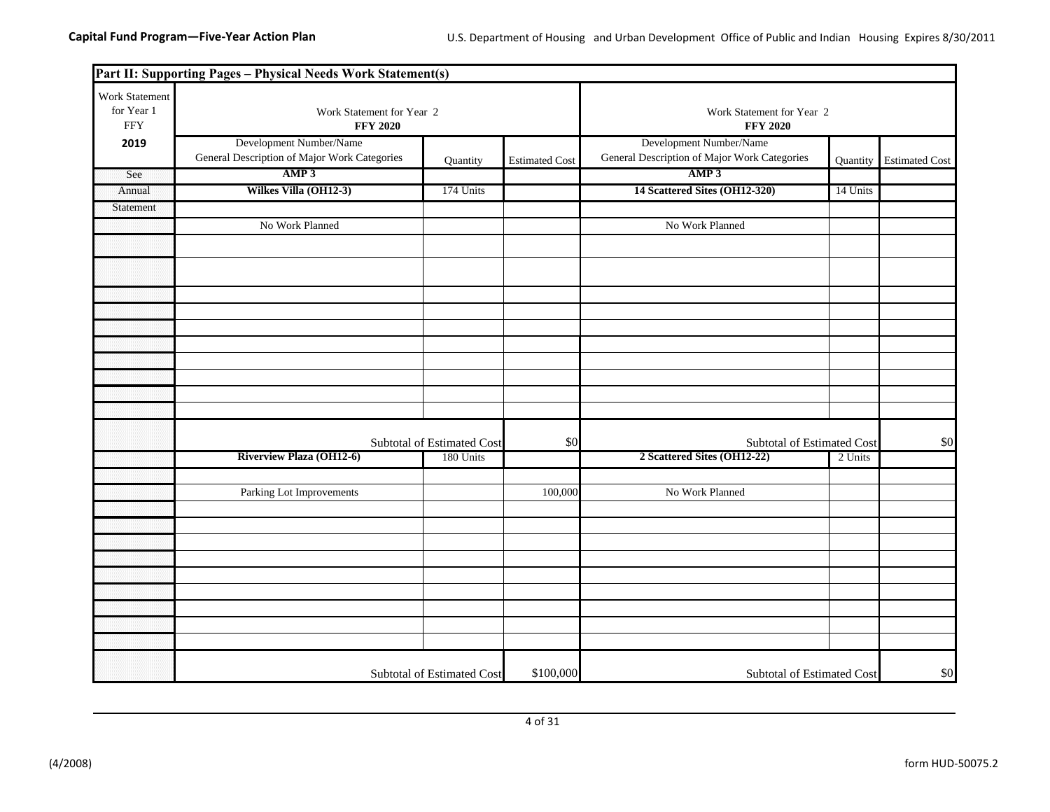|                                            | Part II: Supporting Pages - Physical Needs Work Statement(s)            |                            |                       |                                                                         |          |                       |  |
|--------------------------------------------|-------------------------------------------------------------------------|----------------------------|-----------------------|-------------------------------------------------------------------------|----------|-----------------------|--|
| Work Statement<br>for Year 1<br><b>FFY</b> | Work Statement for Year 2<br><b>FFY 2020</b>                            |                            |                       | Work Statement for Year 2<br><b>FFY 2020</b>                            |          |                       |  |
| 2019                                       | Development Number/Name<br>General Description of Major Work Categories | Quantity                   | <b>Estimated Cost</b> | Development Number/Name<br>General Description of Major Work Categories | Quantity | <b>Estimated Cost</b> |  |
| See                                        | AMP3                                                                    |                            |                       | AMP3                                                                    |          |                       |  |
| Annual                                     | Wilkes Villa (OH12-3)                                                   | 174 Units                  |                       | 14 Scattered Sites (OH12-320)                                           | 14 Units |                       |  |
| Statement                                  |                                                                         |                            |                       |                                                                         |          |                       |  |
|                                            | No Work Planned                                                         |                            |                       | No Work Planned                                                         |          |                       |  |
|                                            |                                                                         |                            |                       |                                                                         |          |                       |  |
|                                            |                                                                         |                            |                       |                                                                         |          |                       |  |
|                                            |                                                                         |                            |                       |                                                                         |          |                       |  |
|                                            |                                                                         |                            |                       |                                                                         |          |                       |  |
|                                            |                                                                         |                            |                       |                                                                         |          |                       |  |
|                                            |                                                                         |                            |                       |                                                                         |          |                       |  |
|                                            |                                                                         |                            |                       |                                                                         |          |                       |  |
|                                            |                                                                         |                            |                       |                                                                         |          |                       |  |
|                                            |                                                                         |                            |                       |                                                                         |          |                       |  |
|                                            |                                                                         |                            |                       |                                                                         |          |                       |  |
|                                            |                                                                         |                            |                       |                                                                         |          |                       |  |
|                                            |                                                                         | Subtotal of Estimated Cost | \$0                   | Subtotal of Estimated Cost                                              |          | \$0                   |  |
|                                            | <b>Riverview Plaza (OH12-6)</b>                                         | 180 Units                  |                       | 2 Scattered Sites (OH12-22)                                             | 2 Units  |                       |  |
|                                            |                                                                         |                            |                       |                                                                         |          |                       |  |
|                                            | Parking Lot Improvements                                                |                            | 100,000               | No Work Planned                                                         |          |                       |  |
|                                            |                                                                         |                            |                       |                                                                         |          |                       |  |
|                                            |                                                                         |                            |                       |                                                                         |          |                       |  |
|                                            |                                                                         |                            |                       |                                                                         |          |                       |  |
|                                            |                                                                         |                            |                       |                                                                         |          |                       |  |
|                                            |                                                                         |                            |                       |                                                                         |          |                       |  |
|                                            |                                                                         |                            |                       |                                                                         |          |                       |  |
|                                            |                                                                         |                            |                       |                                                                         |          |                       |  |
|                                            |                                                                         |                            |                       |                                                                         |          |                       |  |
|                                            |                                                                         |                            |                       |                                                                         |          |                       |  |
|                                            |                                                                         | Subtotal of Estimated Cost | \$100,000             | Subtotal of Estimated Cost                                              |          | \$0                   |  |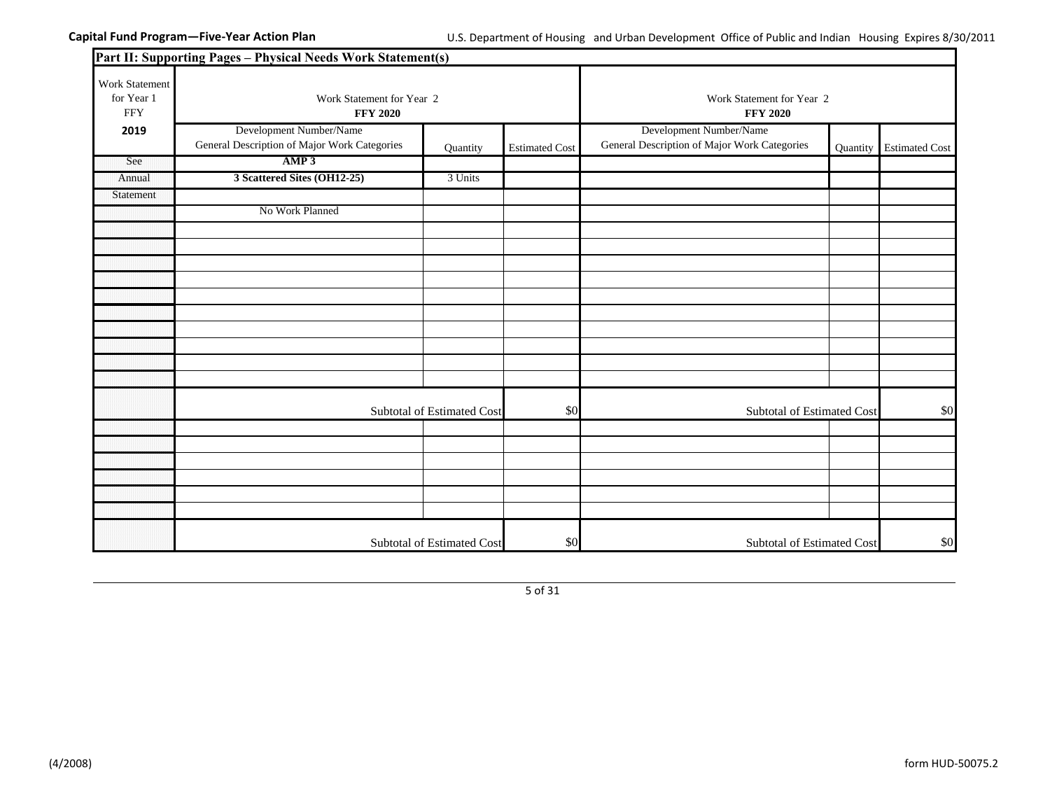|                                            | Part II: Supporting Pages - Physical Needs Work Statement(s)            |                            |                       |                                                                         |                                              |                       |  |
|--------------------------------------------|-------------------------------------------------------------------------|----------------------------|-----------------------|-------------------------------------------------------------------------|----------------------------------------------|-----------------------|--|
| Work Statement<br>for Year 1<br><b>FFY</b> | <b>FFY 2020</b>                                                         | Work Statement for Year 2  |                       |                                                                         | Work Statement for Year 2<br><b>FFY 2020</b> |                       |  |
| 2019                                       | Development Number/Name<br>General Description of Major Work Categories | Quantity                   | <b>Estimated Cost</b> | Development Number/Name<br>General Description of Major Work Categories | Quantity                                     | <b>Estimated Cost</b> |  |
| See                                        | AMP3                                                                    |                            |                       |                                                                         |                                              |                       |  |
| Annual                                     | 3 Scattered Sites (OH12-25)                                             | 3 Units                    |                       |                                                                         |                                              |                       |  |
| Statement                                  |                                                                         |                            |                       |                                                                         |                                              |                       |  |
|                                            | No Work Planned                                                         |                            |                       |                                                                         |                                              |                       |  |
|                                            |                                                                         |                            |                       |                                                                         |                                              |                       |  |
|                                            |                                                                         |                            |                       |                                                                         |                                              |                       |  |
|                                            |                                                                         |                            |                       |                                                                         |                                              |                       |  |
|                                            |                                                                         |                            |                       |                                                                         |                                              |                       |  |
|                                            |                                                                         |                            |                       |                                                                         |                                              |                       |  |
|                                            |                                                                         |                            |                       |                                                                         |                                              |                       |  |
|                                            |                                                                         |                            |                       |                                                                         |                                              |                       |  |
|                                            |                                                                         |                            |                       |                                                                         |                                              |                       |  |
|                                            |                                                                         |                            |                       |                                                                         |                                              |                       |  |
|                                            |                                                                         |                            |                       |                                                                         |                                              |                       |  |
|                                            |                                                                         | Subtotal of Estimated Cost | \$0                   | Subtotal of Estimated Cost                                              |                                              | \$0                   |  |
|                                            |                                                                         |                            |                       |                                                                         |                                              |                       |  |
|                                            |                                                                         |                            |                       |                                                                         |                                              |                       |  |
|                                            |                                                                         |                            |                       |                                                                         |                                              |                       |  |
|                                            |                                                                         |                            |                       |                                                                         |                                              |                       |  |
|                                            |                                                                         |                            |                       |                                                                         |                                              |                       |  |
|                                            |                                                                         |                            |                       |                                                                         |                                              |                       |  |
|                                            |                                                                         | Subtotal of Estimated Cost | \$0                   | Subtotal of Estimated Cost                                              |                                              | \$0                   |  |

5 of 31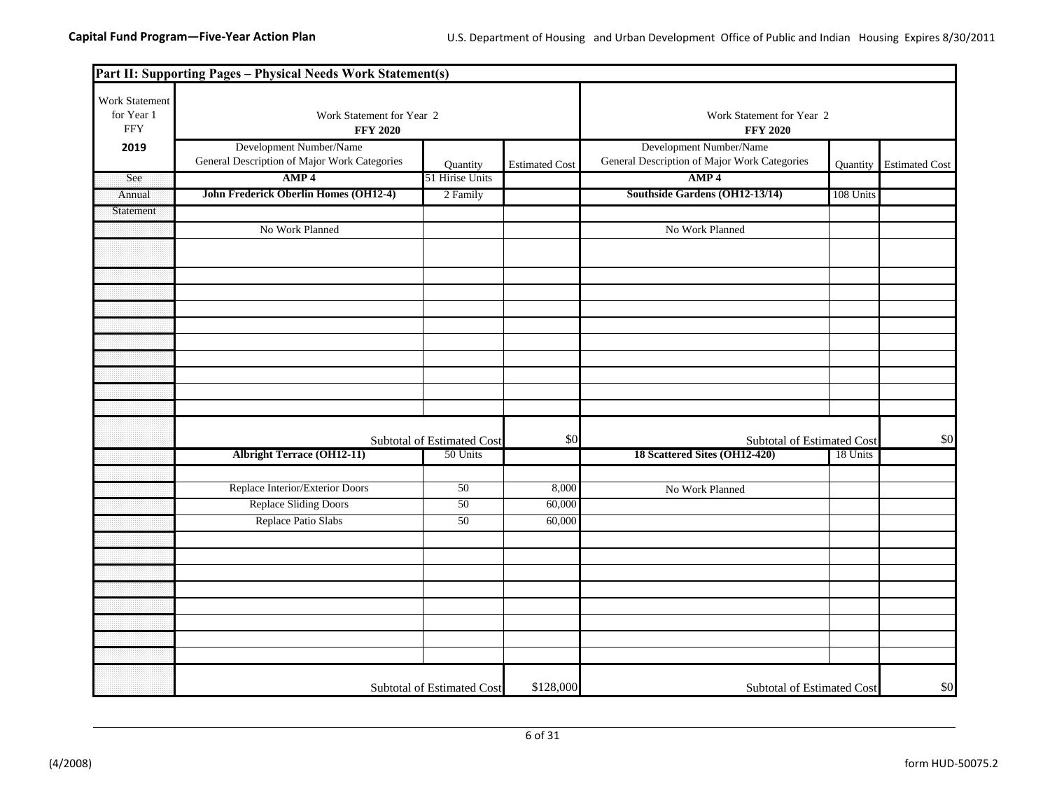|                                            | Part II: Supporting Pages - Physical Needs Work Statement(s)            |                            |                       |                                                                         |           |                       |
|--------------------------------------------|-------------------------------------------------------------------------|----------------------------|-----------------------|-------------------------------------------------------------------------|-----------|-----------------------|
| Work Statement<br>for Year 1<br><b>FFY</b> | Work Statement for Year 2<br><b>FFY 2020</b>                            |                            |                       | Work Statement for Year 2<br><b>FFY 2020</b>                            |           |                       |
| 2019                                       | Development Number/Name<br>General Description of Major Work Categories | <b>Quantity</b>            | <b>Estimated Cost</b> | Development Number/Name<br>General Description of Major Work Categories | Quantity  | <b>Estimated Cost</b> |
| See                                        | AMP <sub>4</sub>                                                        | 51 Hirise Units            |                       | AMP <sub>4</sub>                                                        |           |                       |
| Annual                                     | John Frederick Oberlin Homes (OH12-4)                                   | 2 Family                   |                       | Southside Gardens (OH12-13/14)                                          | 108 Units |                       |
| Statement                                  |                                                                         |                            |                       |                                                                         |           |                       |
|                                            | No Work Planned                                                         |                            |                       | No Work Planned                                                         |           |                       |
|                                            |                                                                         |                            |                       |                                                                         |           |                       |
|                                            |                                                                         |                            |                       |                                                                         |           |                       |
|                                            |                                                                         |                            |                       |                                                                         |           |                       |
|                                            |                                                                         |                            |                       |                                                                         |           |                       |
|                                            |                                                                         |                            |                       |                                                                         |           |                       |
|                                            |                                                                         |                            |                       |                                                                         |           |                       |
|                                            |                                                                         |                            |                       |                                                                         |           |                       |
|                                            |                                                                         |                            |                       |                                                                         |           |                       |
|                                            |                                                                         |                            |                       |                                                                         |           |                       |
|                                            |                                                                         | Subtotal of Estimated Cost | \$0                   | Subtotal of Estimated Cost                                              |           | \$0                   |
|                                            | <b>Albright Terrace (OH12-11)</b>                                       | 50 Units                   |                       | 18 Scattered Sites (OH12-420)                                           | 18 Units  |                       |
|                                            |                                                                         |                            |                       |                                                                         |           |                       |
|                                            | Replace Interior/Exterior Doors                                         | 50                         | 8,000                 | No Work Planned                                                         |           |                       |
|                                            | <b>Replace Sliding Doors</b>                                            | 50                         | 60,000                |                                                                         |           |                       |
|                                            | Replace Patio Slabs                                                     | 50                         | 60,000                |                                                                         |           |                       |
|                                            |                                                                         |                            |                       |                                                                         |           |                       |
|                                            |                                                                         |                            |                       |                                                                         |           |                       |
|                                            |                                                                         |                            |                       |                                                                         |           |                       |
|                                            |                                                                         |                            |                       |                                                                         |           |                       |
|                                            |                                                                         |                            |                       |                                                                         |           |                       |
|                                            |                                                                         |                            |                       |                                                                         |           |                       |
|                                            |                                                                         |                            |                       |                                                                         |           |                       |
|                                            |                                                                         |                            |                       |                                                                         |           |                       |
|                                            |                                                                         | Subtotal of Estimated Cost | \$128,000             | Subtotal of Estimated Cost                                              |           | \$0                   |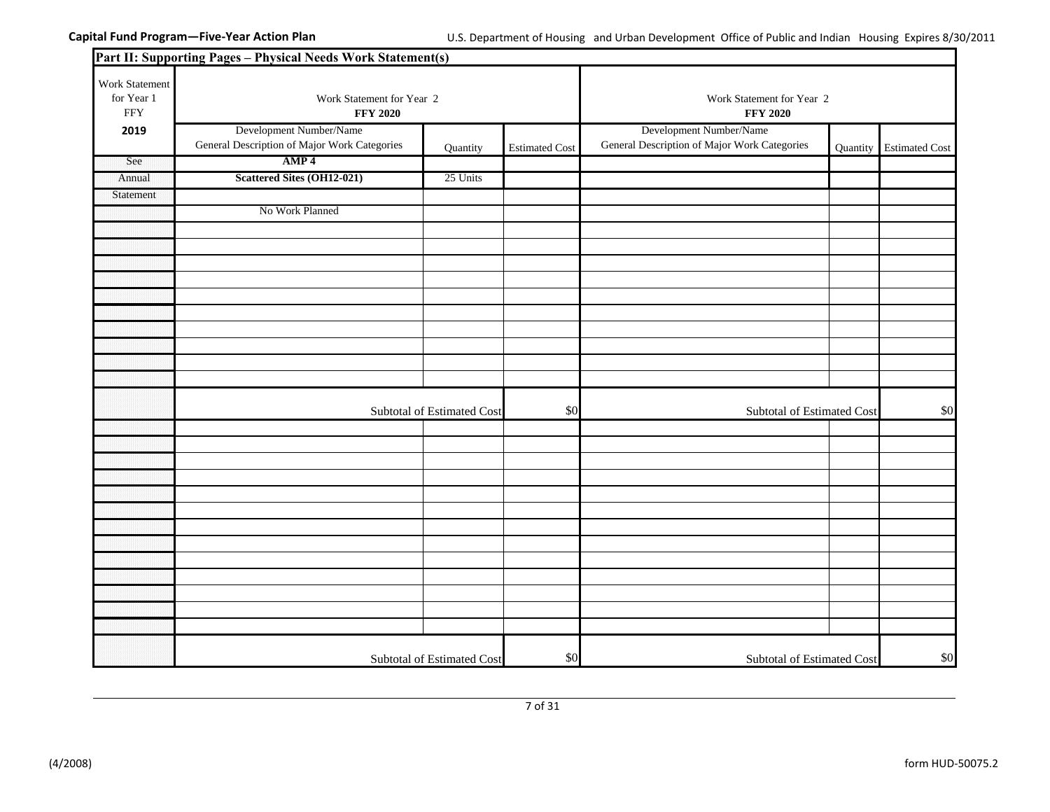|                                            | Part II: Supporting Pages - Physical Needs Work Statement(s)            |                                              |                       |                                                                         |          |                       |
|--------------------------------------------|-------------------------------------------------------------------------|----------------------------------------------|-----------------------|-------------------------------------------------------------------------|----------|-----------------------|
| Work Statement<br>for Year 1<br><b>FFY</b> | Work Statement for Year 2<br><b>FFY 2020</b>                            | Work Statement for Year 2<br><b>FFY 2020</b> |                       |                                                                         |          |                       |
| 2019                                       | Development Number/Name<br>General Description of Major Work Categories | Quantity                                     | <b>Estimated Cost</b> | Development Number/Name<br>General Description of Major Work Categories | Quantity | <b>Estimated Cost</b> |
| See                                        | AMP <sub>4</sub>                                                        |                                              |                       |                                                                         |          |                       |
| Annual                                     | <b>Scattered Sites (OH12-021)</b>                                       | 25 Units                                     |                       |                                                                         |          |                       |
| Statement                                  |                                                                         |                                              |                       |                                                                         |          |                       |
|                                            | No Work Planned                                                         |                                              |                       |                                                                         |          |                       |
|                                            |                                                                         |                                              |                       |                                                                         |          |                       |
|                                            |                                                                         |                                              |                       |                                                                         |          |                       |
|                                            |                                                                         |                                              |                       |                                                                         |          |                       |
|                                            |                                                                         |                                              |                       |                                                                         |          |                       |
|                                            |                                                                         |                                              |                       |                                                                         |          |                       |
|                                            |                                                                         |                                              |                       |                                                                         |          |                       |
|                                            |                                                                         |                                              |                       |                                                                         |          |                       |
|                                            |                                                                         |                                              |                       |                                                                         |          |                       |
|                                            |                                                                         |                                              |                       |                                                                         |          |                       |
|                                            |                                                                         |                                              |                       |                                                                         |          |                       |
|                                            |                                                                         | Subtotal of Estimated Cost                   | \$0                   | Subtotal of Estimated Cost                                              |          | \$0                   |
|                                            |                                                                         |                                              |                       |                                                                         |          |                       |
|                                            |                                                                         |                                              |                       |                                                                         |          |                       |
|                                            |                                                                         |                                              |                       |                                                                         |          |                       |
|                                            |                                                                         |                                              |                       |                                                                         |          |                       |
|                                            |                                                                         |                                              |                       |                                                                         |          |                       |
|                                            |                                                                         |                                              |                       |                                                                         |          |                       |
|                                            |                                                                         |                                              |                       |                                                                         |          |                       |
|                                            |                                                                         |                                              |                       |                                                                         |          |                       |
|                                            |                                                                         |                                              |                       |                                                                         |          |                       |
|                                            |                                                                         |                                              |                       |                                                                         |          |                       |
|                                            |                                                                         |                                              |                       |                                                                         |          |                       |
|                                            |                                                                         |                                              |                       |                                                                         |          |                       |
|                                            |                                                                         |                                              |                       |                                                                         |          |                       |
|                                            |                                                                         | Subtotal of Estimated Cost                   | \$0                   | Subtotal of Estimated Cost                                              |          | \$0                   |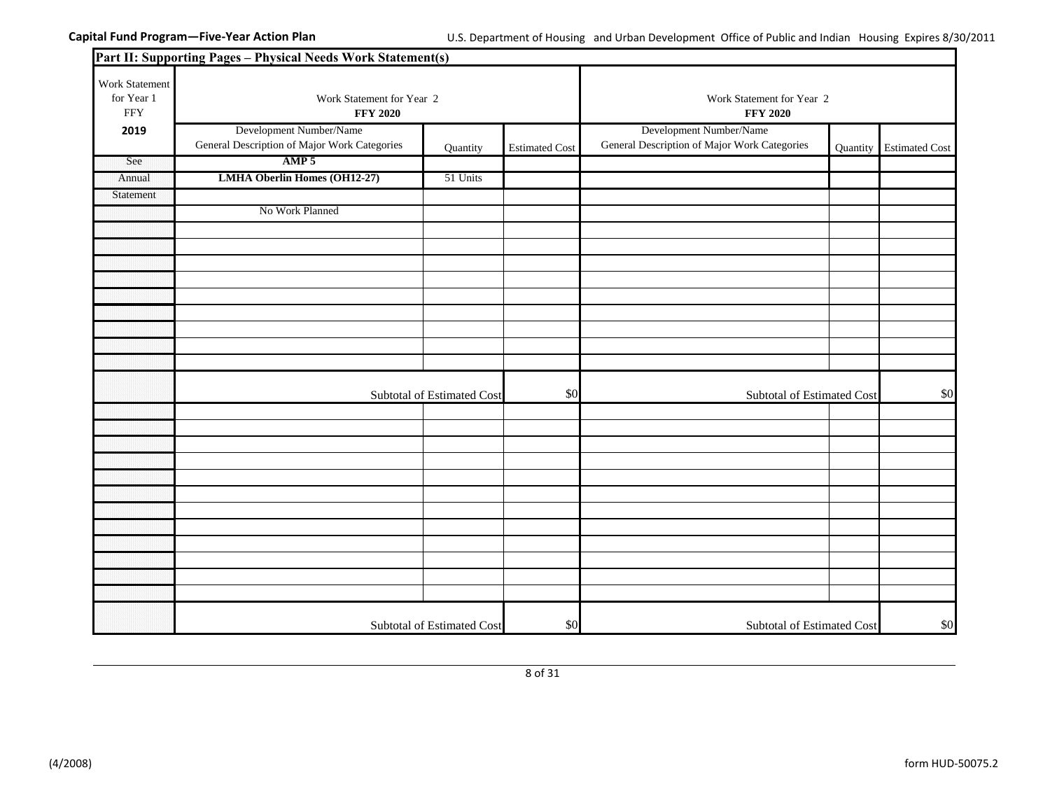|                                             | Part II: Supporting Pages - Physical Needs Work Statement(s)            |                                              |                       |                                                                         |          |                       |
|---------------------------------------------|-------------------------------------------------------------------------|----------------------------------------------|-----------------------|-------------------------------------------------------------------------|----------|-----------------------|
| Work Statement<br>for Year 1<br>${\rm FFY}$ | Work Statement for Year 2<br><b>FFY 2020</b>                            | Work Statement for Year 2<br><b>FFY 2020</b> |                       |                                                                         |          |                       |
| 2019                                        | Development Number/Name<br>General Description of Major Work Categories | Quantity                                     | <b>Estimated Cost</b> | Development Number/Name<br>General Description of Major Work Categories | Quantity | <b>Estimated Cost</b> |
| See                                         | AMP <sub>5</sub>                                                        |                                              |                       |                                                                         |          |                       |
| Annual                                      | <b>LMHA Oberlin Homes (OH12-27)</b>                                     | 51 Units                                     |                       |                                                                         |          |                       |
| Statement                                   |                                                                         |                                              |                       |                                                                         |          |                       |
|                                             | No Work Planned                                                         |                                              |                       |                                                                         |          |                       |
|                                             |                                                                         |                                              |                       |                                                                         |          |                       |
|                                             |                                                                         |                                              |                       |                                                                         |          |                       |
|                                             |                                                                         |                                              |                       |                                                                         |          |                       |
|                                             |                                                                         |                                              |                       |                                                                         |          |                       |
|                                             |                                                                         |                                              |                       |                                                                         |          |                       |
|                                             |                                                                         |                                              |                       |                                                                         |          |                       |
|                                             |                                                                         |                                              |                       |                                                                         |          |                       |
|                                             |                                                                         |                                              |                       |                                                                         |          |                       |
|                                             |                                                                         |                                              |                       |                                                                         |          |                       |
|                                             |                                                                         | Subtotal of Estimated Cost                   | \$0                   | Subtotal of Estimated Cost                                              |          | \$0                   |
|                                             |                                                                         |                                              |                       |                                                                         |          |                       |
|                                             |                                                                         |                                              |                       |                                                                         |          |                       |
|                                             |                                                                         |                                              |                       |                                                                         |          |                       |
|                                             |                                                                         |                                              |                       |                                                                         |          |                       |
|                                             |                                                                         |                                              |                       |                                                                         |          |                       |
|                                             |                                                                         |                                              |                       |                                                                         |          |                       |
|                                             |                                                                         |                                              |                       |                                                                         |          |                       |
|                                             |                                                                         |                                              |                       |                                                                         |          |                       |
|                                             |                                                                         |                                              |                       |                                                                         |          |                       |
|                                             |                                                                         |                                              |                       |                                                                         |          |                       |
|                                             |                                                                         |                                              |                       |                                                                         |          |                       |
|                                             |                                                                         |                                              |                       |                                                                         |          |                       |
|                                             |                                                                         | Subtotal of Estimated Cost                   | \$0                   | Subtotal of Estimated Cost                                              |          | \$0                   |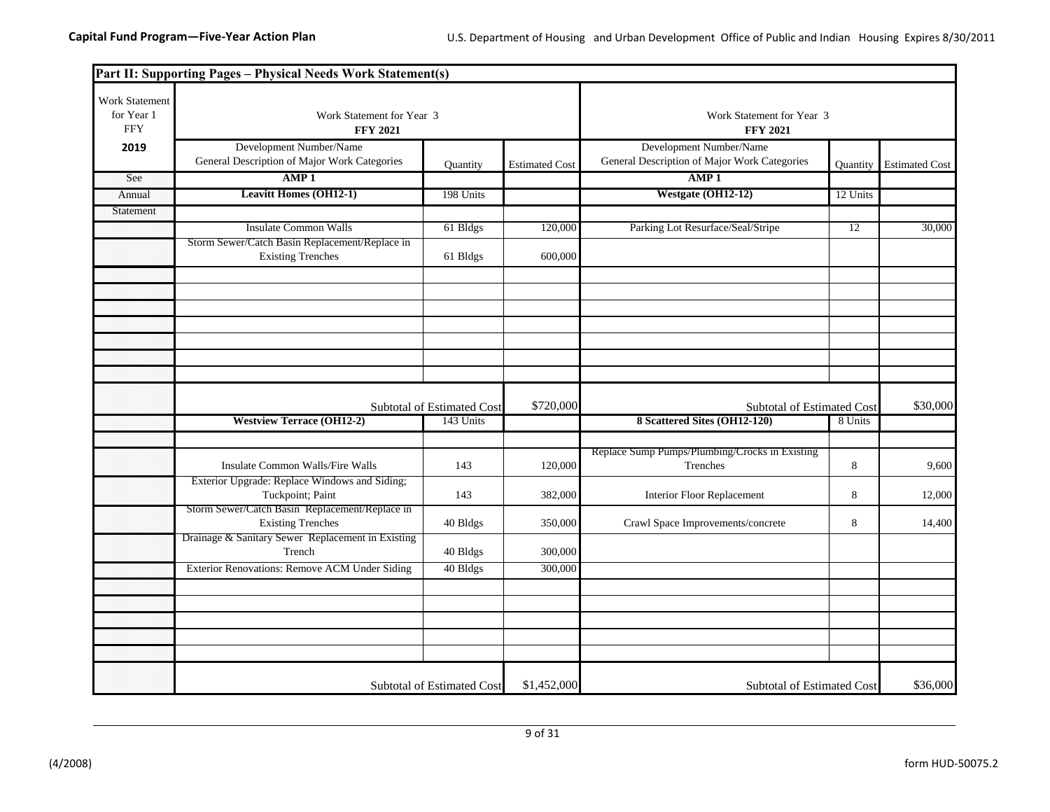|                                                   | Part II: Supporting Pages - Physical Needs Work Statement(s)                                                        |                                              |                       |                                                                         |          |                       |
|---------------------------------------------------|---------------------------------------------------------------------------------------------------------------------|----------------------------------------------|-----------------------|-------------------------------------------------------------------------|----------|-----------------------|
| <b>Work Statement</b><br>for Year 1<br><b>FFY</b> | Work Statement for Year 3<br><b>FFY 2021</b>                                                                        | Work Statement for Year 3<br><b>FFY 2021</b> |                       |                                                                         |          |                       |
| 2019                                              | Development Number/Name<br>General Description of Major Work Categories                                             | Quantity                                     | <b>Estimated Cost</b> | Development Number/Name<br>General Description of Major Work Categories | Quantity | <b>Estimated Cost</b> |
| See                                               | AMP <sub>1</sub>                                                                                                    |                                              |                       | AMP <sub>1</sub>                                                        |          |                       |
| Annual                                            | <b>Leavitt Homes (OH12-1)</b>                                                                                       | 198 Units                                    |                       | Westgate (OH12-12)                                                      | 12 Units |                       |
| Statement                                         |                                                                                                                     |                                              |                       |                                                                         |          |                       |
|                                                   | <b>Insulate Common Walls</b>                                                                                        | 61 Bldgs                                     | 120,000               | Parking Lot Resurface/Seal/Stripe                                       | 12       | 30,000                |
|                                                   | Storm Sewer/Catch Basin Replacement/Replace in<br><b>Existing Trenches</b>                                          | 61 Bldgs                                     | 600,000               |                                                                         |          |                       |
|                                                   |                                                                                                                     |                                              |                       |                                                                         |          |                       |
|                                                   |                                                                                                                     |                                              |                       |                                                                         |          |                       |
|                                                   |                                                                                                                     |                                              |                       |                                                                         |          |                       |
|                                                   |                                                                                                                     | Subtotal of Estimated Cost                   | \$720,000             | Subtotal of Estimated Cost                                              |          | \$30,000              |
|                                                   | <b>Westview Terrace (OH12-2)</b>                                                                                    | 143 Units                                    |                       | 8 Scattered Sites (OH12-120)                                            | 8 Units  |                       |
|                                                   |                                                                                                                     |                                              |                       |                                                                         |          |                       |
|                                                   | Insulate Common Walls/Fire Walls                                                                                    | 143                                          | 120,000               | Replace Sump Pumps/Plumbing/Crocks in Existing<br>Trenches              | $\,8\,$  | 9,600                 |
|                                                   | Exterior Upgrade: Replace Windows and Siding;<br>Tuckpoint; Paint<br>Storm Sewer/Catch Basin Replacement/Replace in | 143                                          | 382,000               | <b>Interior Floor Replacement</b>                                       | 8        | 12,000                |
|                                                   | <b>Existing Trenches</b><br>Drainage & Sanitary Sewer Replacement in Existing                                       | 40 Bldgs                                     | 350,000               | Crawl Space Improvements/concrete                                       | 8        | 14,400                |
|                                                   | Trench                                                                                                              | 40 Bldgs                                     | 300,000               |                                                                         |          |                       |
|                                                   | Exterior Renovations: Remove ACM Under Siding                                                                       | 40 Bldgs                                     | 300,000               |                                                                         |          |                       |
|                                                   |                                                                                                                     |                                              |                       |                                                                         |          |                       |
|                                                   |                                                                                                                     |                                              |                       |                                                                         |          |                       |
|                                                   |                                                                                                                     |                                              |                       |                                                                         |          |                       |
|                                                   |                                                                                                                     | <b>Subtotal of Estimated Cost</b>            | \$1,452,000           | Subtotal of Estimated Cost                                              |          | \$36,000              |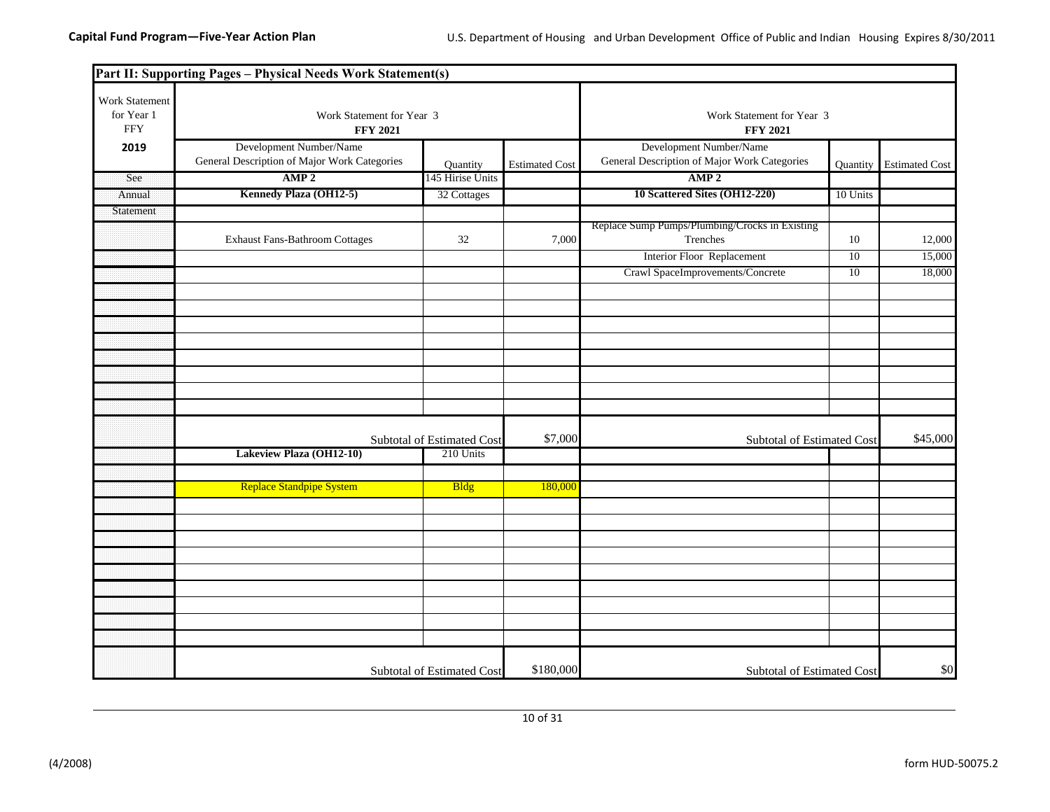|                                            | Part II: Supporting Pages - Physical Needs Work Statement(s)            |                                   |                       |                                                                         |          |                       |  |
|--------------------------------------------|-------------------------------------------------------------------------|-----------------------------------|-----------------------|-------------------------------------------------------------------------|----------|-----------------------|--|
| Work Statement<br>for Year 1<br><b>FFY</b> | Work Statement for Year 3<br><b>FFY 2021</b>                            |                                   |                       | Work Statement for Year 3<br><b>FFY 2021</b>                            |          |                       |  |
| 2019                                       | Development Number/Name<br>General Description of Major Work Categories | Quantity                          | <b>Estimated Cost</b> | Development Number/Name<br>General Description of Major Work Categories | Quantity | <b>Estimated Cost</b> |  |
| See                                        | AMP <sub>2</sub>                                                        | 145 Hirise Units                  |                       | AMP <sub>2</sub>                                                        |          |                       |  |
| Annual                                     | Kennedy Plaza (OH12-5)                                                  | 32 Cottages                       |                       | 10 Scattered Sites (OH12-220)                                           | 10 Units |                       |  |
| Statement                                  |                                                                         |                                   |                       |                                                                         |          |                       |  |
|                                            | <b>Exhaust Fans-Bathroom Cottages</b>                                   | 32                                | 7,000                 | Replace Sump Pumps/Plumbing/Crocks in Existing<br>Trenches              | 10       | 12,000                |  |
|                                            |                                                                         |                                   |                       | Interior Floor Replacement                                              | 10       | 15,000                |  |
|                                            |                                                                         |                                   |                       | Crawl SpaceImprovements/Concrete                                        | 10       | 18,000                |  |
|                                            |                                                                         |                                   |                       |                                                                         |          |                       |  |
|                                            |                                                                         |                                   |                       |                                                                         |          |                       |  |
|                                            |                                                                         |                                   |                       |                                                                         |          |                       |  |
|                                            |                                                                         |                                   |                       |                                                                         |          |                       |  |
|                                            |                                                                         |                                   |                       |                                                                         |          |                       |  |
|                                            |                                                                         |                                   |                       |                                                                         |          |                       |  |
|                                            |                                                                         |                                   |                       |                                                                         |          |                       |  |
|                                            |                                                                         |                                   |                       |                                                                         |          |                       |  |
|                                            |                                                                         | <b>Subtotal of Estimated Cost</b> | \$7,000               | <b>Subtotal of Estimated Cost</b>                                       |          | \$45,000              |  |
|                                            | Lakeview Plaza (OH12-10)                                                | 210 Units                         |                       |                                                                         |          |                       |  |
|                                            |                                                                         |                                   |                       |                                                                         |          |                       |  |
|                                            | <b>Replace Standpipe System</b>                                         | <b>Bldg</b>                       | 180,000               |                                                                         |          |                       |  |
|                                            |                                                                         |                                   |                       |                                                                         |          |                       |  |
|                                            |                                                                         |                                   |                       |                                                                         |          |                       |  |
|                                            |                                                                         |                                   |                       |                                                                         |          |                       |  |
|                                            |                                                                         |                                   |                       |                                                                         |          |                       |  |
|                                            |                                                                         |                                   |                       |                                                                         |          |                       |  |
|                                            |                                                                         |                                   |                       |                                                                         |          |                       |  |
|                                            |                                                                         |                                   |                       |                                                                         |          |                       |  |
|                                            |                                                                         |                                   |                       |                                                                         |          |                       |  |
|                                            |                                                                         |                                   |                       |                                                                         |          |                       |  |
|                                            |                                                                         | Subtotal of Estimated Cost        | \$180,000             | Subtotal of Estimated Cost                                              |          | \$0                   |  |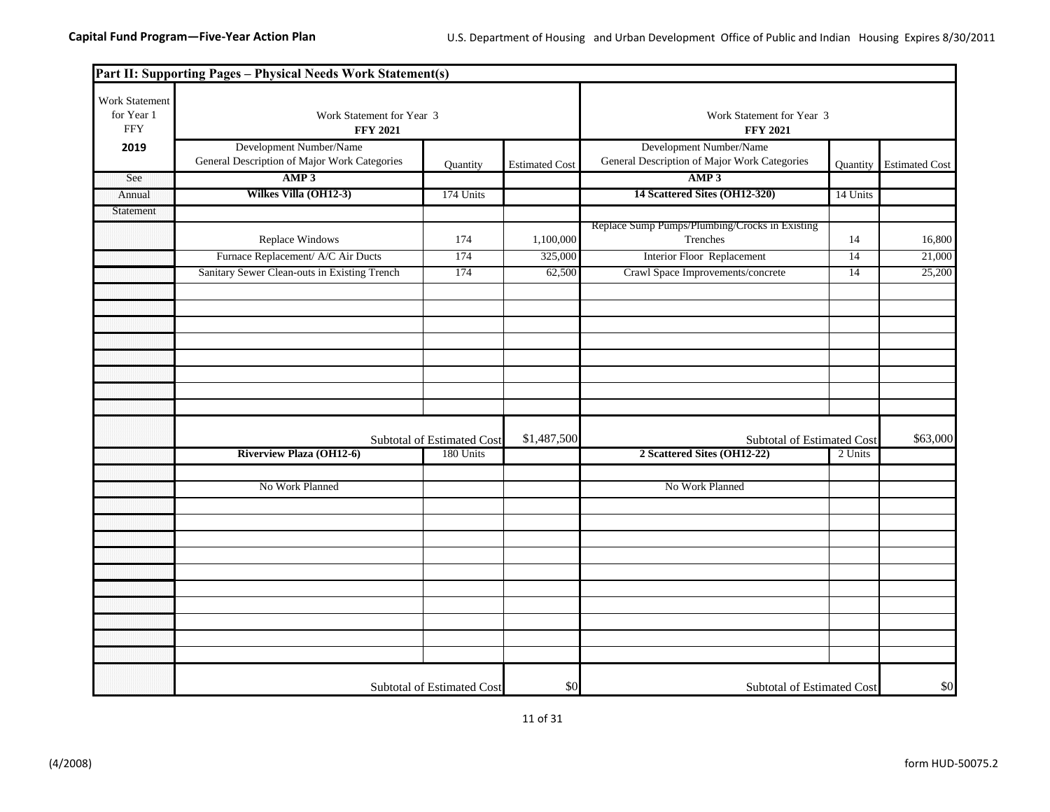|                                            | Part II: Supporting Pages - Physical Needs Work Statement(s)            |                                              |                       |                                                                         |                 |                       |
|--------------------------------------------|-------------------------------------------------------------------------|----------------------------------------------|-----------------------|-------------------------------------------------------------------------|-----------------|-----------------------|
| Work Statement<br>for Year 1<br><b>FFY</b> | Work Statement for Year 3<br><b>FFY 2021</b>                            | Work Statement for Year 3<br><b>FFY 2021</b> |                       |                                                                         |                 |                       |
| 2019                                       | Development Number/Name<br>General Description of Major Work Categories | Quantity                                     | <b>Estimated Cost</b> | Development Number/Name<br>General Description of Major Work Categories | <b>Quantity</b> | <b>Estimated Cost</b> |
| See                                        | AMP <sub>3</sub>                                                        |                                              |                       | AMP3                                                                    |                 |                       |
| Annual                                     | Wilkes Villa (OH12-3)                                                   | 174 Units                                    |                       | 14 Scattered Sites (OH12-320)                                           | 14 Units        |                       |
| Statement                                  |                                                                         |                                              |                       |                                                                         |                 |                       |
|                                            | Replace Windows                                                         | 174                                          | 1,100,000             | Replace Sump Pumps/Plumbing/Crocks in Existing<br>Trenches              | 14              | 16,800                |
|                                            | Furnace Replacement/ A/C Air Ducts                                      | 174                                          | 325,000               | <b>Interior Floor Replacement</b>                                       | 14              | 21,000                |
|                                            | Sanitary Sewer Clean-outs in Existing Trench                            | 174                                          | 62,500                | Crawl Space Improvements/concrete                                       | 14              | 25,200                |
|                                            |                                                                         |                                              |                       |                                                                         |                 |                       |
|                                            |                                                                         |                                              |                       |                                                                         |                 |                       |
|                                            |                                                                         |                                              |                       |                                                                         |                 |                       |
|                                            |                                                                         |                                              |                       |                                                                         |                 |                       |
|                                            |                                                                         |                                              |                       |                                                                         |                 |                       |
|                                            |                                                                         |                                              |                       |                                                                         |                 |                       |
|                                            |                                                                         | Subtotal of Estimated Cost                   | \$1,487,500           | Subtotal of Estimated Cost                                              |                 | \$63,000              |
|                                            | <b>Riverview Plaza (OH12-6)</b>                                         | 180 Units                                    |                       | 2 Scattered Sites (OH12-22)                                             | 2 Units         |                       |
|                                            |                                                                         |                                              |                       |                                                                         |                 |                       |
|                                            | No Work Planned                                                         |                                              |                       | No Work Planned                                                         |                 |                       |
|                                            |                                                                         |                                              |                       |                                                                         |                 |                       |
|                                            |                                                                         |                                              |                       |                                                                         |                 |                       |
|                                            |                                                                         |                                              |                       |                                                                         |                 |                       |
|                                            |                                                                         |                                              |                       |                                                                         |                 |                       |
|                                            |                                                                         |                                              |                       |                                                                         |                 |                       |
|                                            |                                                                         |                                              |                       |                                                                         |                 |                       |
|                                            |                                                                         |                                              |                       |                                                                         |                 |                       |
|                                            |                                                                         |                                              |                       |                                                                         |                 |                       |
|                                            |                                                                         |                                              |                       |                                                                         |                 |                       |
|                                            |                                                                         | <b>Subtotal of Estimated Cost</b>            | \$0                   | Subtotal of Estimated Cost                                              |                 | \$0                   |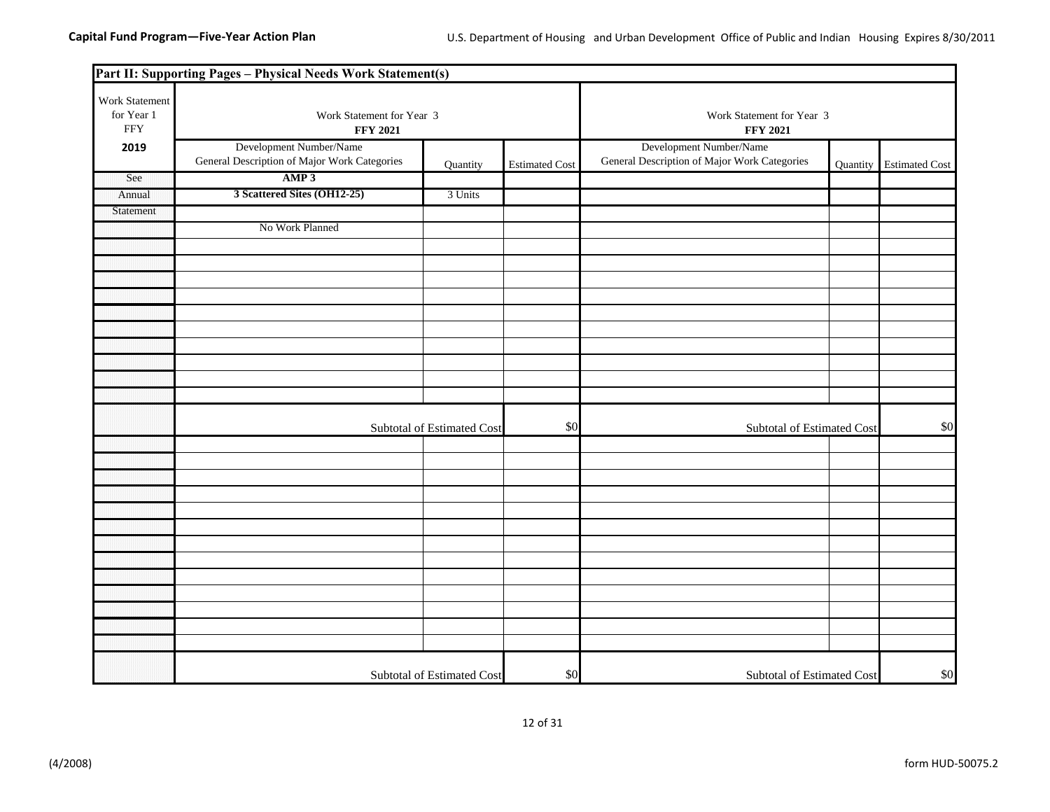|                                             | Part II: Supporting Pages - Physical Needs Work Statement(s)            |                            |                       |                                                                         |          |                       |  |
|---------------------------------------------|-------------------------------------------------------------------------|----------------------------|-----------------------|-------------------------------------------------------------------------|----------|-----------------------|--|
| Work Statement<br>for Year 1<br>${\rm FFY}$ | Work Statement for Year 3<br><b>FFY 2021</b>                            |                            |                       | Work Statement for Year 3<br><b>FFY 2021</b>                            |          |                       |  |
| 2019                                        | Development Number/Name<br>General Description of Major Work Categories | Quantity                   | <b>Estimated Cost</b> | Development Number/Name<br>General Description of Major Work Categories | Quantity | <b>Estimated Cost</b> |  |
| See                                         | AMP3                                                                    |                            |                       |                                                                         |          |                       |  |
| Annual                                      | 3 Scattered Sites (OH12-25)                                             | 3 Units                    |                       |                                                                         |          |                       |  |
| Statement                                   |                                                                         |                            |                       |                                                                         |          |                       |  |
|                                             | No Work Planned                                                         |                            |                       |                                                                         |          |                       |  |
|                                             |                                                                         |                            |                       |                                                                         |          |                       |  |
|                                             |                                                                         |                            |                       |                                                                         |          |                       |  |
|                                             |                                                                         |                            |                       |                                                                         |          |                       |  |
|                                             |                                                                         |                            |                       |                                                                         |          |                       |  |
|                                             |                                                                         |                            |                       |                                                                         |          |                       |  |
|                                             |                                                                         |                            |                       |                                                                         |          |                       |  |
|                                             |                                                                         |                            |                       |                                                                         |          |                       |  |
|                                             |                                                                         |                            |                       |                                                                         |          |                       |  |
|                                             |                                                                         |                            |                       |                                                                         |          |                       |  |
|                                             |                                                                         |                            |                       |                                                                         |          |                       |  |
|                                             |                                                                         | Subtotal of Estimated Cost | \$0                   | Subtotal of Estimated Cost                                              |          | \$0                   |  |
|                                             |                                                                         |                            |                       |                                                                         |          |                       |  |
|                                             |                                                                         |                            |                       |                                                                         |          |                       |  |
|                                             |                                                                         |                            |                       |                                                                         |          |                       |  |
|                                             |                                                                         |                            |                       |                                                                         |          |                       |  |
|                                             |                                                                         |                            |                       |                                                                         |          |                       |  |
|                                             |                                                                         |                            |                       |                                                                         |          |                       |  |
|                                             |                                                                         |                            |                       |                                                                         |          |                       |  |
|                                             |                                                                         |                            |                       |                                                                         |          |                       |  |
|                                             |                                                                         |                            |                       |                                                                         |          |                       |  |
|                                             |                                                                         |                            |                       |                                                                         |          |                       |  |
|                                             |                                                                         |                            |                       |                                                                         |          |                       |  |
|                                             |                                                                         |                            |                       |                                                                         |          |                       |  |
|                                             |                                                                         |                            |                       |                                                                         |          |                       |  |
|                                             |                                                                         |                            |                       |                                                                         |          |                       |  |
|                                             |                                                                         | Subtotal of Estimated Cost | \$0                   | Subtotal of Estimated Cost                                              |          | \$0                   |  |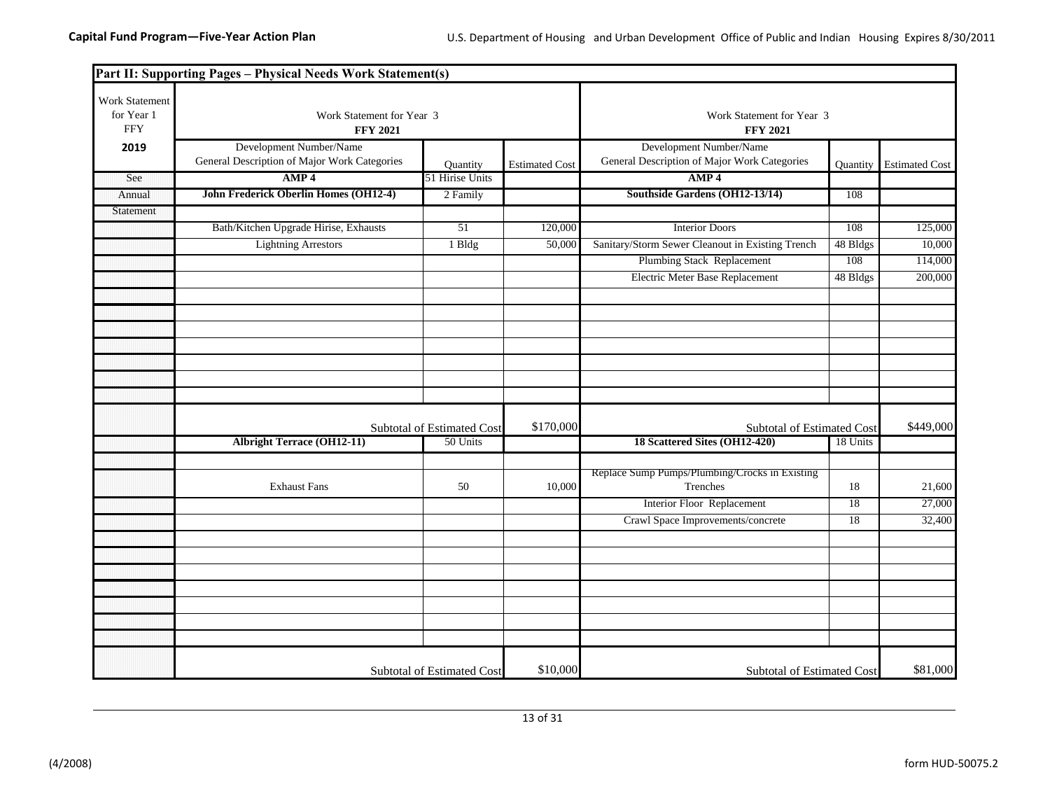|                                            | Part II: Supporting Pages - Physical Needs Work Statement(s)            |                            |                       |                                                                         |                            |                       |
|--------------------------------------------|-------------------------------------------------------------------------|----------------------------|-----------------------|-------------------------------------------------------------------------|----------------------------|-----------------------|
| Work Statement<br>for Year 1<br><b>FFY</b> | Work Statement for Year 3<br><b>FFY 2021</b>                            |                            |                       | Work Statement for Year 3<br><b>FFY 2021</b>                            |                            |                       |
| 2019                                       | Development Number/Name<br>General Description of Major Work Categories | Quantity                   | <b>Estimated Cost</b> | Development Number/Name<br>General Description of Major Work Categories | Quantity                   | <b>Estimated Cost</b> |
| See                                        | AMP <sub>4</sub>                                                        | 51 Hirise Units            |                       | AMP <sub>4</sub>                                                        |                            |                       |
| Annual                                     | John Frederick Oberlin Homes (OH12-4)                                   | 2 Family                   |                       | Southside Gardens (OH12-13/14)                                          | 108                        |                       |
| Statement                                  |                                                                         |                            |                       |                                                                         |                            |                       |
|                                            | Bath/Kitchen Upgrade Hirise, Exhausts                                   | 51                         | 120,000               | <b>Interior Doors</b>                                                   | 108                        | 125,000               |
|                                            | <b>Lightning Arrestors</b>                                              | 1 Bldg                     | 50,000                | Sanitary/Storm Sewer Cleanout in Existing Trench                        | 48 Bldgs                   | 10,000                |
|                                            |                                                                         |                            |                       | <b>Plumbing Stack Replacement</b>                                       | 108                        | 114,000               |
|                                            |                                                                         |                            |                       | Electric Meter Base Replacement                                         | 48 Bldgs                   | 200,000               |
|                                            |                                                                         |                            |                       |                                                                         |                            |                       |
|                                            |                                                                         |                            |                       |                                                                         |                            |                       |
|                                            |                                                                         |                            |                       |                                                                         |                            |                       |
|                                            |                                                                         |                            |                       |                                                                         |                            |                       |
|                                            |                                                                         |                            |                       |                                                                         |                            |                       |
|                                            |                                                                         |                            |                       |                                                                         |                            |                       |
|                                            |                                                                         |                            |                       |                                                                         |                            |                       |
|                                            |                                                                         |                            |                       |                                                                         |                            | \$449,000             |
|                                            |                                                                         | Subtotal of Estimated Cost | \$170,000             |                                                                         | Subtotal of Estimated Cost |                       |
|                                            | <b>Albright Terrace (OH12-11)</b>                                       | 50 Units                   |                       | 18 Scattered Sites (OH12-420)                                           | 18 Units                   |                       |
|                                            |                                                                         |                            |                       | Replace Sump Pumps/Plumbing/Crocks in Existing                          |                            |                       |
|                                            | <b>Exhaust Fans</b>                                                     | 50                         | 10,000                | Trenches                                                                | 18                         | 21,600                |
|                                            |                                                                         |                            |                       | Interior Floor Replacement                                              | 18                         | 27,000                |
|                                            |                                                                         |                            |                       | Crawl Space Improvements/concrete                                       | 18                         | 32,400                |
|                                            |                                                                         |                            |                       |                                                                         |                            |                       |
|                                            |                                                                         |                            |                       |                                                                         |                            |                       |
|                                            |                                                                         |                            |                       |                                                                         |                            |                       |
|                                            |                                                                         |                            |                       |                                                                         |                            |                       |
|                                            |                                                                         |                            |                       |                                                                         |                            |                       |
|                                            |                                                                         |                            |                       |                                                                         |                            |                       |
|                                            |                                                                         |                            |                       |                                                                         |                            |                       |
|                                            |                                                                         |                            |                       |                                                                         |                            |                       |
|                                            |                                                                         |                            | \$10,000              |                                                                         |                            | \$81,000              |
|                                            |                                                                         | Subtotal of Estimated Cost |                       | Subtotal of Estimated Cost                                              |                            |                       |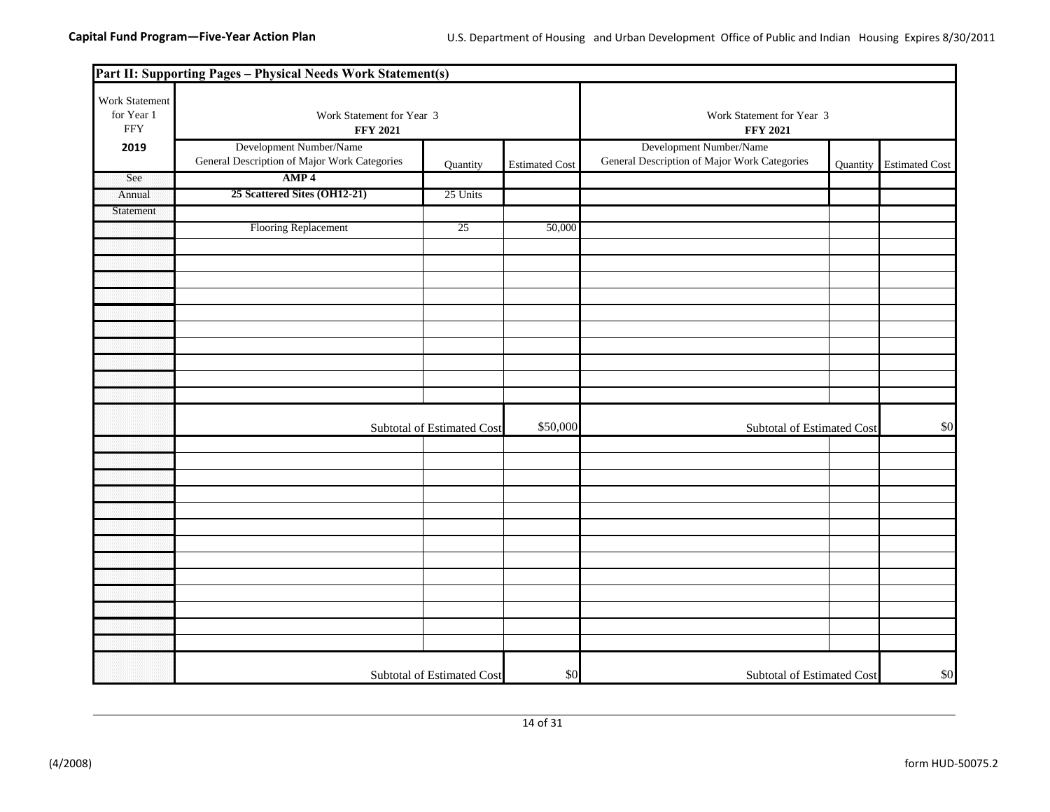|                                             | Part II: Supporting Pages - Physical Needs Work Statement(s)            |                            |                       |                                                                         |          |                       |
|---------------------------------------------|-------------------------------------------------------------------------|----------------------------|-----------------------|-------------------------------------------------------------------------|----------|-----------------------|
| Work Statement<br>for Year 1<br>${\rm FFY}$ | Work Statement for Year 3<br><b>FFY 2021</b>                            |                            |                       | Work Statement for Year 3<br><b>FFY 2021</b>                            |          |                       |
| 2019                                        | Development Number/Name<br>General Description of Major Work Categories | Quantity                   | <b>Estimated Cost</b> | Development Number/Name<br>General Description of Major Work Categories | Quantity | <b>Estimated Cost</b> |
| See                                         | AMP <sub>4</sub>                                                        |                            |                       |                                                                         |          |                       |
| Annual                                      | 25 Scattered Sites (OH12-21)                                            | 25 Units                   |                       |                                                                         |          |                       |
| Statement                                   |                                                                         |                            |                       |                                                                         |          |                       |
|                                             | Flooring Replacement                                                    | 25                         | 50,000                |                                                                         |          |                       |
|                                             |                                                                         |                            |                       |                                                                         |          |                       |
|                                             |                                                                         |                            |                       |                                                                         |          |                       |
|                                             |                                                                         |                            |                       |                                                                         |          |                       |
|                                             |                                                                         |                            |                       |                                                                         |          |                       |
|                                             |                                                                         |                            |                       |                                                                         |          |                       |
|                                             |                                                                         |                            |                       |                                                                         |          |                       |
|                                             |                                                                         |                            |                       |                                                                         |          |                       |
|                                             |                                                                         |                            |                       |                                                                         |          |                       |
|                                             |                                                                         |                            |                       |                                                                         |          |                       |
|                                             |                                                                         |                            |                       |                                                                         |          |                       |
|                                             |                                                                         | Subtotal of Estimated Cost | \$50,000              | Subtotal of Estimated Cost                                              |          | \$0                   |
|                                             |                                                                         |                            |                       |                                                                         |          |                       |
|                                             |                                                                         |                            |                       |                                                                         |          |                       |
|                                             |                                                                         |                            |                       |                                                                         |          |                       |
|                                             |                                                                         |                            |                       |                                                                         |          |                       |
|                                             |                                                                         |                            |                       |                                                                         |          |                       |
|                                             |                                                                         |                            |                       |                                                                         |          |                       |
|                                             |                                                                         |                            |                       |                                                                         |          |                       |
|                                             |                                                                         |                            |                       |                                                                         |          |                       |
|                                             |                                                                         |                            |                       |                                                                         |          |                       |
|                                             |                                                                         |                            |                       |                                                                         |          |                       |
|                                             |                                                                         |                            |                       |                                                                         |          |                       |
|                                             |                                                                         |                            |                       |                                                                         |          |                       |
|                                             |                                                                         |                            |                       |                                                                         |          |                       |
|                                             |                                                                         | Subtotal of Estimated Cost | \$0                   | Subtotal of Estimated Cost                                              |          | \$0                   |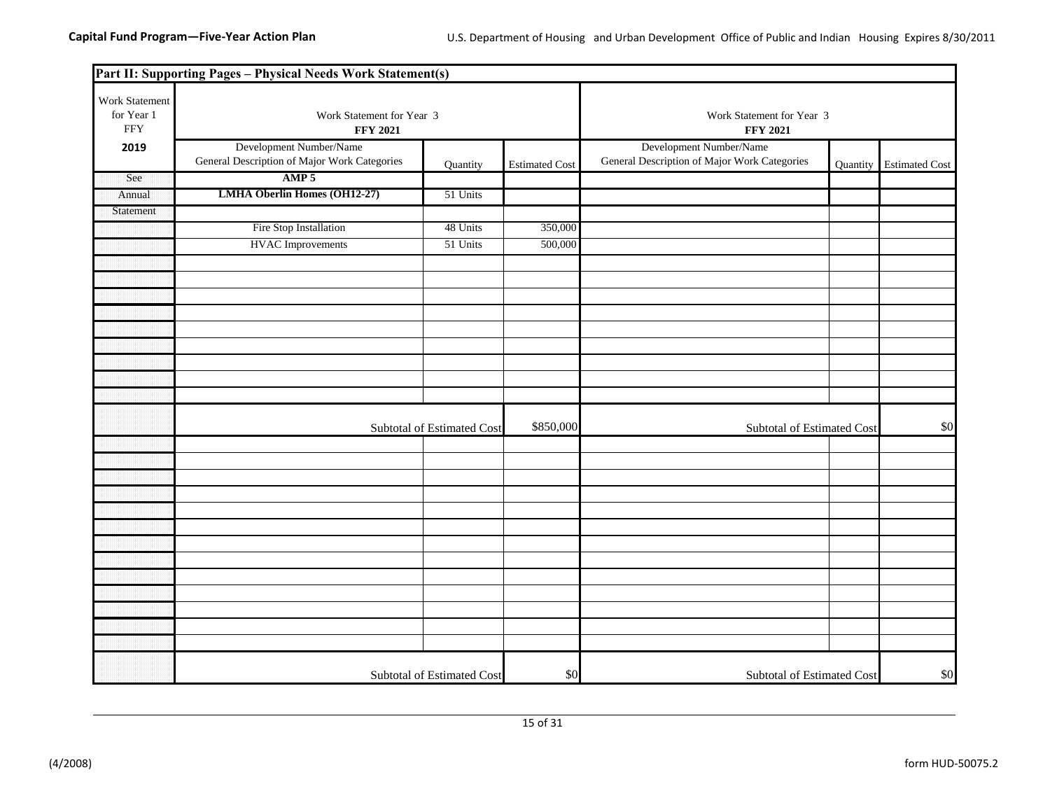|                                            | Part II: Supporting Pages - Physical Needs Work Statement(s)            |                            |                       |                                                                         |          |                       |
|--------------------------------------------|-------------------------------------------------------------------------|----------------------------|-----------------------|-------------------------------------------------------------------------|----------|-----------------------|
| Work Statement<br>for Year 1<br><b>FFY</b> | Work Statement for Year 3<br><b>FFY 2021</b>                            |                            |                       | Work Statement for Year 3<br><b>FFY 2021</b>                            |          |                       |
| 2019                                       | Development Number/Name<br>General Description of Major Work Categories | Quantity                   | <b>Estimated Cost</b> | Development Number/Name<br>General Description of Major Work Categories | Quantity | <b>Estimated Cost</b> |
| See                                        | AMP <sub>5</sub>                                                        |                            |                       |                                                                         |          |                       |
| Annual                                     | <b>LMHA Oberlin Homes (OH12-27)</b>                                     | 51 Units                   |                       |                                                                         |          |                       |
| Statement                                  |                                                                         |                            |                       |                                                                         |          |                       |
|                                            | Fire Stop Installation                                                  | 48 Units                   | 350,000               |                                                                         |          |                       |
|                                            | <b>HVAC</b> Improvements                                                | 51 Units                   | 500,000               |                                                                         |          |                       |
|                                            |                                                                         |                            |                       |                                                                         |          |                       |
|                                            |                                                                         |                            |                       |                                                                         |          |                       |
|                                            |                                                                         |                            |                       |                                                                         |          |                       |
|                                            |                                                                         |                            |                       |                                                                         |          |                       |
|                                            |                                                                         |                            |                       |                                                                         |          |                       |
|                                            |                                                                         |                            |                       |                                                                         |          |                       |
|                                            |                                                                         |                            |                       |                                                                         |          |                       |
|                                            |                                                                         |                            |                       |                                                                         |          |                       |
|                                            |                                                                         |                            |                       |                                                                         |          |                       |
|                                            |                                                                         | Subtotal of Estimated Cost | \$850,000             | Subtotal of Estimated Cost                                              |          | \$0                   |
|                                            |                                                                         |                            |                       |                                                                         |          |                       |
|                                            |                                                                         |                            |                       |                                                                         |          |                       |
|                                            |                                                                         |                            |                       |                                                                         |          |                       |
|                                            |                                                                         |                            |                       |                                                                         |          |                       |
|                                            |                                                                         |                            |                       |                                                                         |          |                       |
|                                            |                                                                         |                            |                       |                                                                         |          |                       |
|                                            |                                                                         |                            |                       |                                                                         |          |                       |
|                                            |                                                                         |                            |                       |                                                                         |          |                       |
|                                            |                                                                         |                            |                       |                                                                         |          |                       |
|                                            |                                                                         |                            |                       |                                                                         |          |                       |
|                                            |                                                                         |                            |                       |                                                                         |          |                       |
|                                            |                                                                         |                            |                       |                                                                         |          |                       |
|                                            |                                                                         |                            |                       |                                                                         |          |                       |
|                                            |                                                                         | Subtotal of Estimated Cost | \$0                   | Subtotal of Estimated Cost                                              |          | \$0                   |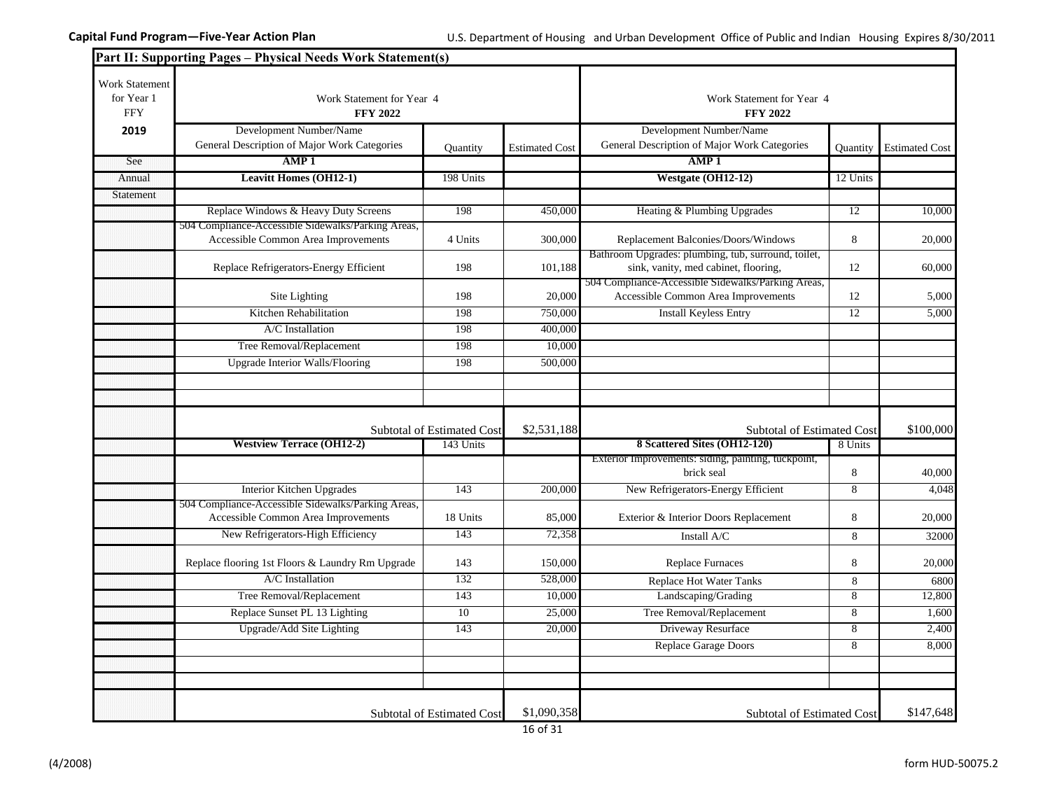|                                                   | Part II: Supporting Pages - Physical Needs Work Statement(s)                              |                                   |                       |                                                                                             |                 |                       |
|---------------------------------------------------|-------------------------------------------------------------------------------------------|-----------------------------------|-----------------------|---------------------------------------------------------------------------------------------|-----------------|-----------------------|
| <b>Work Statement</b><br>for Year 1<br><b>FFY</b> | Work Statement for Year 4<br><b>FFY 2022</b>                                              |                                   |                       | Work Statement for Year 4<br><b>FFY 2022</b>                                                |                 |                       |
| 2019                                              | Development Number/Name<br>General Description of Major Work Categories                   | Quantity                          | <b>Estimated Cost</b> | Development Number/Name<br>General Description of Major Work Categories                     | Quantity        | <b>Estimated Cost</b> |
| See                                               | AMP <sub>1</sub>                                                                          |                                   |                       | AMP1                                                                                        |                 |                       |
| Annual                                            | <b>Leavitt Homes (OH12-1)</b>                                                             | 198 Units                         |                       | Westgate (OH12-12)                                                                          | 12 Units        |                       |
| Statement                                         |                                                                                           |                                   |                       |                                                                                             |                 |                       |
|                                                   | Replace Windows & Heavy Duty Screens                                                      | 198                               | 450,000               | Heating & Plumbing Upgrades                                                                 | $\overline{12}$ | 10,000                |
|                                                   | 504 Compliance-Accessible Sidewalks/Parking Areas,<br>Accessible Common Area Improvements | 4 Units                           | 300,000               | Replacement Balconies/Doors/Windows                                                         | 8               | 20,000                |
|                                                   | Replace Refrigerators-Energy Efficient                                                    | 198                               | 101,188               | Bathroom Upgrades: plumbing, tub, surround, toilet,<br>sink, vanity, med cabinet, flooring, | 12              | 60,000                |
|                                                   | Site Lighting                                                                             | 198                               | 20,000                | 504 Compliance-Accessible Sidewalks/Parking Areas,<br>Accessible Common Area Improvements   | 12              | 5,000                 |
|                                                   | Kitchen Rehabilitation                                                                    | 198                               | 750,000               | <b>Install Keyless Entry</b>                                                                | $\overline{12}$ | 5,000                 |
|                                                   | A/C Installation                                                                          | 198                               | 400,000               |                                                                                             |                 |                       |
|                                                   | Tree Removal/Replacement                                                                  | 198                               | 10,000                |                                                                                             |                 |                       |
|                                                   | <b>Upgrade Interior Walls/Flooring</b>                                                    | 198                               | 500,000               |                                                                                             |                 |                       |
|                                                   |                                                                                           |                                   |                       |                                                                                             |                 |                       |
|                                                   |                                                                                           |                                   |                       |                                                                                             |                 |                       |
|                                                   |                                                                                           | Subtotal of Estimated Cost        | \$2,531,188           | Subtotal of Estimated Cost                                                                  |                 | \$100,000             |
|                                                   | <b>Westview Terrace (OH12-2)</b>                                                          | 143 Units                         |                       | 8 Scattered Sites (OH12-120)                                                                | 8 Units         |                       |
|                                                   |                                                                                           |                                   |                       | Exterior Improvements: siding, painting, tuckpoint,<br>brick seal                           | 8               | 40,000                |
|                                                   | Interior Kitchen Upgrades                                                                 | 143                               | 200,000               | New Refrigerators-Energy Efficient                                                          | 8               | 4,048                 |
|                                                   | 504 Compliance-Accessible Sidewalks/Parking Areas,<br>Accessible Common Area Improvements | 18 Units                          | 85,000                | Exterior & Interior Doors Replacement                                                       | 8               | 20,000                |
|                                                   | New Refrigerators-High Efficiency                                                         | 143                               | 72,358                | Install A/C                                                                                 | 8               | 32000                 |
|                                                   | Replace flooring 1st Floors & Laundry Rm Upgrade                                          | 143                               | 150,000               | <b>Replace Furnaces</b>                                                                     | 8               | 20,000                |
|                                                   | A/C Installation                                                                          | 132                               | 528,000               | Replace Hot Water Tanks                                                                     | 8               | 6800                  |
|                                                   | Tree Removal/Replacement                                                                  | 143                               | 10,000                | Landscaping/Grading                                                                         | $\overline{8}$  | 12,800                |
|                                                   | Replace Sunset PL 13 Lighting                                                             | 10                                | 25,000                | Tree Removal/Replacement                                                                    | 8               | 1,600                 |
|                                                   | Upgrade/Add Site Lighting                                                                 | 143                               | 20,000                | Driveway Resurface                                                                          | 8               | 2,400                 |
|                                                   |                                                                                           |                                   |                       | Replace Garage Doors                                                                        | $\overline{8}$  | 8,000                 |
|                                                   |                                                                                           |                                   |                       |                                                                                             |                 |                       |
|                                                   |                                                                                           |                                   |                       |                                                                                             |                 |                       |
|                                                   |                                                                                           | <b>Subtotal of Estimated Cost</b> | \$1,090,358           | <b>Subtotal of Estimated Cost</b>                                                           |                 | \$147,648             |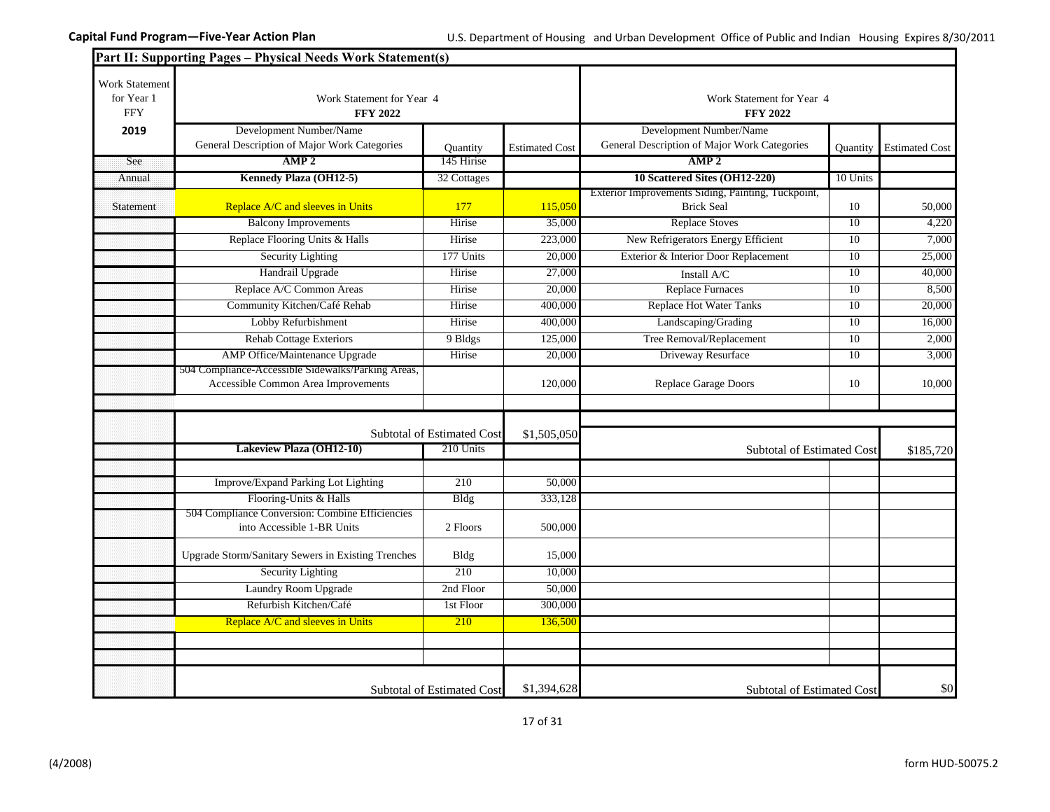|                                            | Part II: Supporting Pages - Physical Needs Work Statement(s)                  |                                   |                       |                                                                         |                  |                       |  |
|--------------------------------------------|-------------------------------------------------------------------------------|-----------------------------------|-----------------------|-------------------------------------------------------------------------|------------------|-----------------------|--|
| Work Statement<br>for Year 1<br><b>FFY</b> | Work Statement for Year 4<br><b>FFY 2022</b>                                  |                                   |                       | Work Statement for Year 4<br><b>FFY 2022</b>                            |                  |                       |  |
| 2019                                       | Development Number/Name                                                       |                                   |                       | Development Number/Name                                                 |                  |                       |  |
|                                            | General Description of Major Work Categories                                  | Ouantity                          | <b>Estimated Cost</b> | General Description of Major Work Categories                            | <b>Ouantity</b>  | <b>Estimated Cost</b> |  |
| See                                        | AMP <sub>2</sub>                                                              | 145 Hirise                        |                       | AMP <sub>2</sub>                                                        |                  |                       |  |
| Annual                                     | Kennedy Plaza (OH12-5)                                                        | 32 Cottages                       |                       | 10 Scattered Sites (OH12-220)                                           | 10 Units         |                       |  |
| Statement                                  | Replace A/C and sleeves in Units                                              | 177                               | 115,050               | Exterior Improvements Siding, Painting, Tuckpoint,<br><b>Brick Seal</b> | 10               | 50,000                |  |
|                                            | <b>Balcony Improvements</b>                                                   | Hirise                            | 35,000                | <b>Replace Stoves</b>                                                   | 10               | 4,220                 |  |
|                                            | Replace Flooring Units & Halls                                                | Hirise                            | 223,000               | New Refrigerators Energy Efficient                                      | 10               | 7,000                 |  |
|                                            | <b>Security Lighting</b>                                                      | 177 Units                         | 20,000                | Exterior & Interior Door Replacement                                    | 10 <sup>10</sup> | 25,000                |  |
|                                            | Handrail Upgrade                                                              | Hirise                            | 27,000                | Install A/C                                                             | 10               | 40,000                |  |
|                                            | Replace A/C Common Areas                                                      | Hirise                            | 20,000                | <b>Replace Furnaces</b>                                                 | 10               | 8,500                 |  |
|                                            | Community Kitchen/Café Rehab                                                  | Hirise                            | 400,000               | <b>Replace Hot Water Tanks</b>                                          | 10               | 20,000                |  |
|                                            | Lobby Refurbishment                                                           | Hirise                            | 400,000               | Landscaping/Grading                                                     | 10               | 16,000                |  |
|                                            | <b>Rehab Cottage Exteriors</b>                                                | 9 Bldgs                           | 125,000               | Tree Removal/Replacement                                                | 10               | 2,000                 |  |
|                                            | AMP Office/Maintenance Upgrade                                                | Hirise                            | 20,000                | Driveway Resurface                                                      | $\overline{10}$  | 3,000                 |  |
|                                            | 504 Compliance-Accessible Sidewalks/Parking Areas,                            |                                   |                       |                                                                         |                  |                       |  |
|                                            | Accessible Common Area Improvements                                           |                                   | 120,000               | <b>Replace Garage Doors</b>                                             | 10               | 10,000                |  |
|                                            |                                                                               |                                   |                       |                                                                         |                  |                       |  |
|                                            |                                                                               | <b>Subtotal of Estimated Cost</b> | \$1,505,050           |                                                                         |                  |                       |  |
|                                            | Lakeview Plaza (OH12-10)                                                      | 210 Units                         |                       | Subtotal of Estimated Cost                                              |                  | \$185,720             |  |
|                                            |                                                                               |                                   |                       |                                                                         |                  |                       |  |
|                                            | Improve/Expand Parking Lot Lighting                                           | 210                               | 50,000                |                                                                         |                  |                       |  |
|                                            | Flooring-Units & Halls                                                        | <b>Bldg</b>                       | 333,128               |                                                                         |                  |                       |  |
|                                            | 504 Compliance Conversion: Combine Efficiencies<br>into Accessible 1-BR Units | 2 Floors                          | 500,000               |                                                                         |                  |                       |  |
|                                            | <b>Upgrade Storm/Sanitary Sewers in Existing Trenches</b>                     | Bldg                              | 15,000                |                                                                         |                  |                       |  |
|                                            | <b>Security Lighting</b>                                                      | 210                               | 10,000                |                                                                         |                  |                       |  |
|                                            | Laundry Room Upgrade                                                          | 2nd Floor                         | 50,000                |                                                                         |                  |                       |  |
|                                            | Refurbish Kitchen/Café                                                        | 1st Floor                         | 300,000               |                                                                         |                  |                       |  |
|                                            | Replace A/C and sleeves in Units                                              | 210                               | 136,500               |                                                                         |                  |                       |  |
|                                            |                                                                               |                                   |                       |                                                                         |                  |                       |  |
|                                            |                                                                               |                                   |                       |                                                                         |                  |                       |  |
|                                            |                                                                               | <b>Subtotal of Estimated Cost</b> | \$1,394,628           | <b>Subtotal of Estimated Cost</b>                                       |                  | \$0                   |  |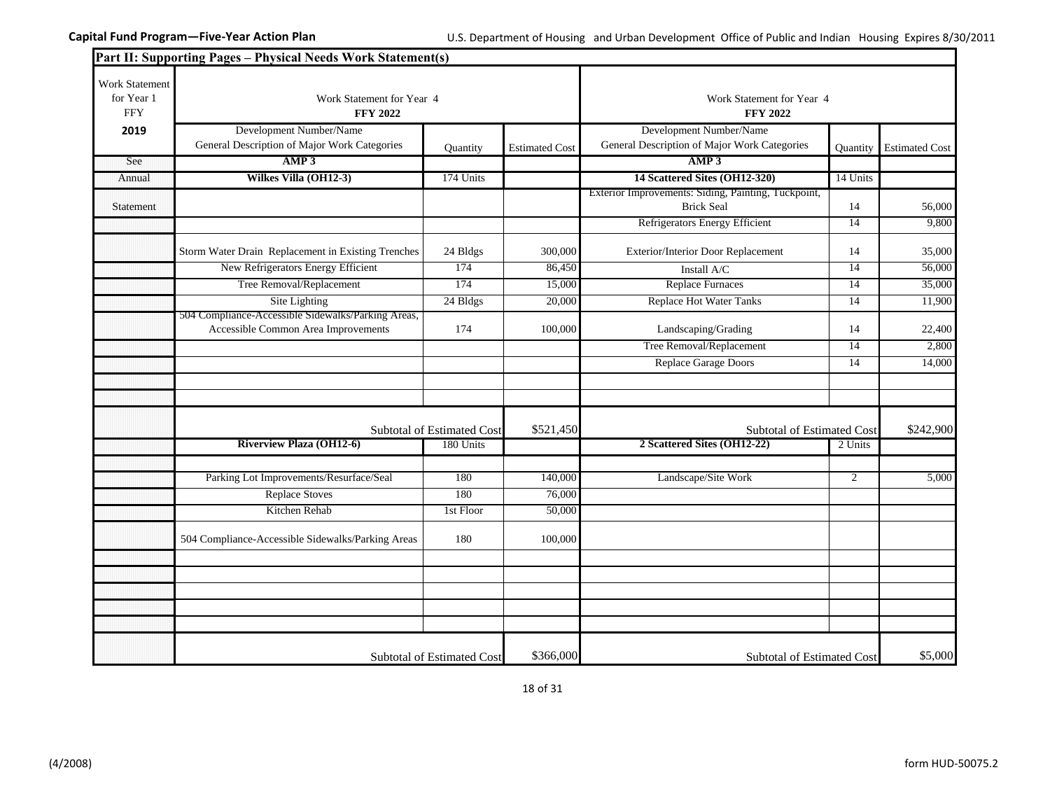|                                            | Part II: Supporting Pages - Physical Needs Work Statement(s)                              |                                              |                       |                                                                          |                |                       |
|--------------------------------------------|-------------------------------------------------------------------------------------------|----------------------------------------------|-----------------------|--------------------------------------------------------------------------|----------------|-----------------------|
| Work Statement<br>for Year 1<br><b>FFY</b> | Work Statement for Year 4<br><b>FFY 2022</b>                                              | Work Statement for Year 4<br><b>FFY 2022</b> |                       |                                                                          |                |                       |
| 2019                                       | Development Number/Name<br>General Description of Major Work Categories                   | Quantity                                     | <b>Estimated Cost</b> | Development Number/Name<br>General Description of Major Work Categories  | Quantity       | <b>Estimated Cost</b> |
| See                                        | AMP3                                                                                      |                                              |                       | AMP3                                                                     |                |                       |
| Annual                                     | Wilkes Villa (OH12-3)                                                                     | 174 Units                                    |                       | 14 Scattered Sites (OH12-320)                                            | 14 Units       |                       |
| Statement                                  |                                                                                           |                                              |                       | Exterior Improvements: Siding, Painting, Tuckpoint,<br><b>Brick Seal</b> | 14             | 56,000                |
|                                            |                                                                                           |                                              |                       | Refrigerators Energy Efficient                                           | 14             | 9,800                 |
|                                            | Storm Water Drain Replacement in Existing Trenches                                        | 24 Bldgs                                     | 300,000               | Exterior/Interior Door Replacement                                       | 14             | 35,000                |
|                                            | New Refrigerators Energy Efficient                                                        | 174                                          | 86,450                | Install A/C                                                              | 14             | 56,000                |
|                                            | Tree Removal/Replacement                                                                  | 174                                          | 15,000                | <b>Replace Furnaces</b>                                                  | 14             | 35,000                |
|                                            | Site Lighting                                                                             | 24 Bldgs                                     | 20,000                | <b>Replace Hot Water Tanks</b>                                           | 14             | 11,900                |
|                                            | 504 Compliance-Accessible Sidewalks/Parking Areas,<br>Accessible Common Area Improvements | 174                                          | 100,000               | Landscaping/Grading                                                      | 14             | 22,400                |
|                                            |                                                                                           |                                              |                       | Tree Removal/Replacement                                                 | 14             | 2,800                 |
|                                            |                                                                                           |                                              |                       | Replace Garage Doors                                                     | 14             | 14,000                |
|                                            |                                                                                           |                                              |                       |                                                                          |                |                       |
|                                            |                                                                                           |                                              |                       |                                                                          |                |                       |
|                                            |                                                                                           | Subtotal of Estimated Cost                   | \$521,450             | Subtotal of Estimated Cost                                               |                | \$242,900             |
|                                            | <b>Riverview Plaza (OH12-6)</b>                                                           | 180 Units                                    |                       | 2 Scattered Sites (OH12-22)                                              | 2 Units        |                       |
|                                            |                                                                                           |                                              |                       |                                                                          |                |                       |
|                                            | Parking Lot Improvements/Resurface/Seal                                                   | 180                                          | 140,000               | Landscape/Site Work                                                      | $\overline{2}$ | 5,000                 |
|                                            | <b>Replace Stoves</b>                                                                     | 180                                          | 76,000                |                                                                          |                |                       |
|                                            | Kitchen Rehab                                                                             | 1st Floor                                    | 50,000                |                                                                          |                |                       |
|                                            | 504 Compliance-Accessible Sidewalks/Parking Areas                                         | 180                                          | 100,000               |                                                                          |                |                       |
|                                            |                                                                                           |                                              |                       |                                                                          |                |                       |
|                                            |                                                                                           |                                              |                       |                                                                          |                |                       |
|                                            |                                                                                           |                                              |                       |                                                                          |                |                       |
|                                            |                                                                                           |                                              |                       |                                                                          |                |                       |
|                                            |                                                                                           |                                              |                       |                                                                          |                |                       |
|                                            |                                                                                           | <b>Subtotal of Estimated Cost</b>            | \$366,000             | <b>Subtotal of Estimated Cost</b>                                        |                | \$5,000               |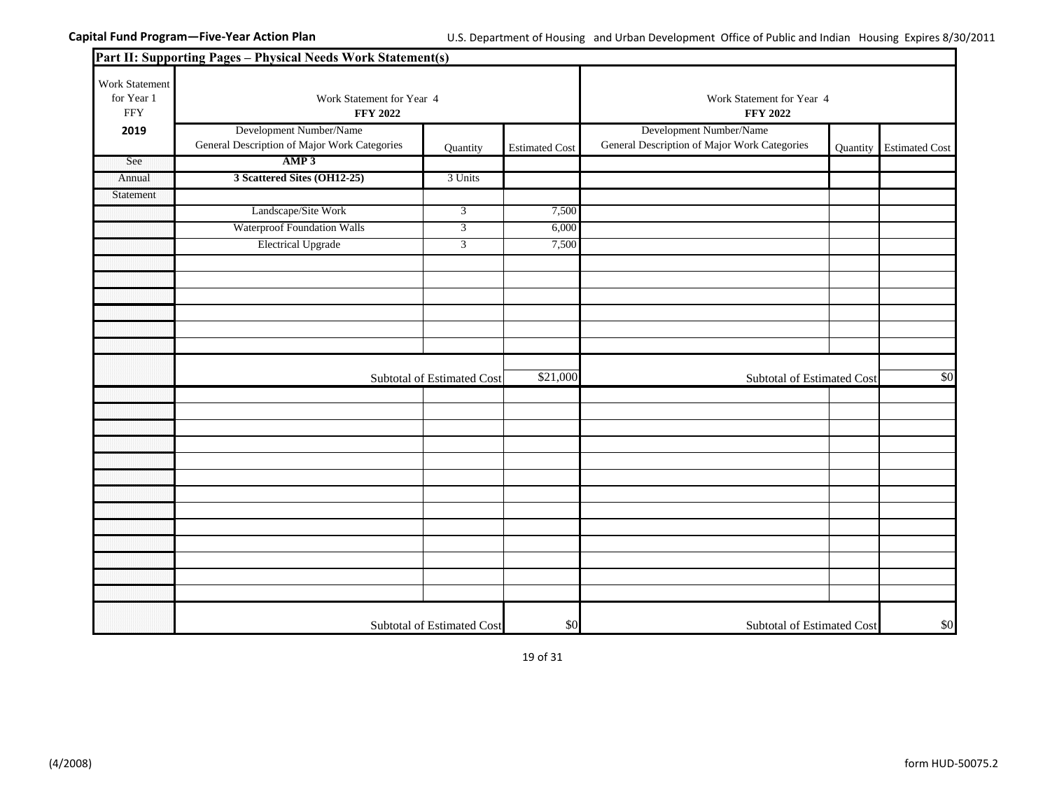|                                            | Part II: Supporting Pages - Physical Needs Work Statement(s)            |                            |                       |                                                                         |          |                       |
|--------------------------------------------|-------------------------------------------------------------------------|----------------------------|-----------------------|-------------------------------------------------------------------------|----------|-----------------------|
| Work Statement<br>for Year 1<br><b>FFY</b> | Work Statement for Year 4<br><b>FFY 2022</b>                            |                            |                       | Work Statement for Year 4<br><b>FFY 2022</b>                            |          |                       |
| 2019                                       | Development Number/Name<br>General Description of Major Work Categories | Quantity                   | <b>Estimated Cost</b> | Development Number/Name<br>General Description of Major Work Categories | Quantity | <b>Estimated Cost</b> |
| See                                        | AMP3                                                                    |                            |                       |                                                                         |          |                       |
| Annual                                     | 3 Scattered Sites (OH12-25)                                             | 3 Units                    |                       |                                                                         |          |                       |
| Statement                                  |                                                                         |                            |                       |                                                                         |          |                       |
|                                            | Landscape/Site Work                                                     | $\overline{3}$             | 7,500                 |                                                                         |          |                       |
|                                            | <b>Waterproof Foundation Walls</b>                                      | $\overline{3}$             | 6,000                 |                                                                         |          |                       |
|                                            | <b>Electrical Upgrade</b>                                               | $\overline{3}$             | 7,500                 |                                                                         |          |                       |
|                                            |                                                                         |                            |                       |                                                                         |          |                       |
|                                            |                                                                         |                            |                       |                                                                         |          |                       |
|                                            |                                                                         |                            |                       |                                                                         |          |                       |
|                                            |                                                                         |                            |                       |                                                                         |          |                       |
|                                            |                                                                         |                            |                       |                                                                         |          |                       |
|                                            |                                                                         |                            |                       |                                                                         |          |                       |
|                                            | Subtotal of Estimated Cost                                              |                            | \$21,000              | Subtotal of Estimated Cost                                              |          | \$0                   |
|                                            |                                                                         |                            |                       |                                                                         |          |                       |
|                                            |                                                                         |                            |                       |                                                                         |          |                       |
|                                            |                                                                         |                            |                       |                                                                         |          |                       |
|                                            |                                                                         |                            |                       |                                                                         |          |                       |
|                                            |                                                                         |                            |                       |                                                                         |          |                       |
|                                            |                                                                         |                            |                       |                                                                         |          |                       |
|                                            |                                                                         |                            |                       |                                                                         |          |                       |
|                                            |                                                                         |                            |                       |                                                                         |          |                       |
|                                            |                                                                         |                            |                       |                                                                         |          |                       |
|                                            |                                                                         |                            |                       |                                                                         |          |                       |
|                                            |                                                                         |                            |                       |                                                                         |          |                       |
|                                            |                                                                         |                            |                       |                                                                         |          |                       |
|                                            |                                                                         |                            |                       |                                                                         |          |                       |
|                                            |                                                                         | Subtotal of Estimated Cost | \$0                   | Subtotal of Estimated Cost                                              |          | \$0                   |

19 of 31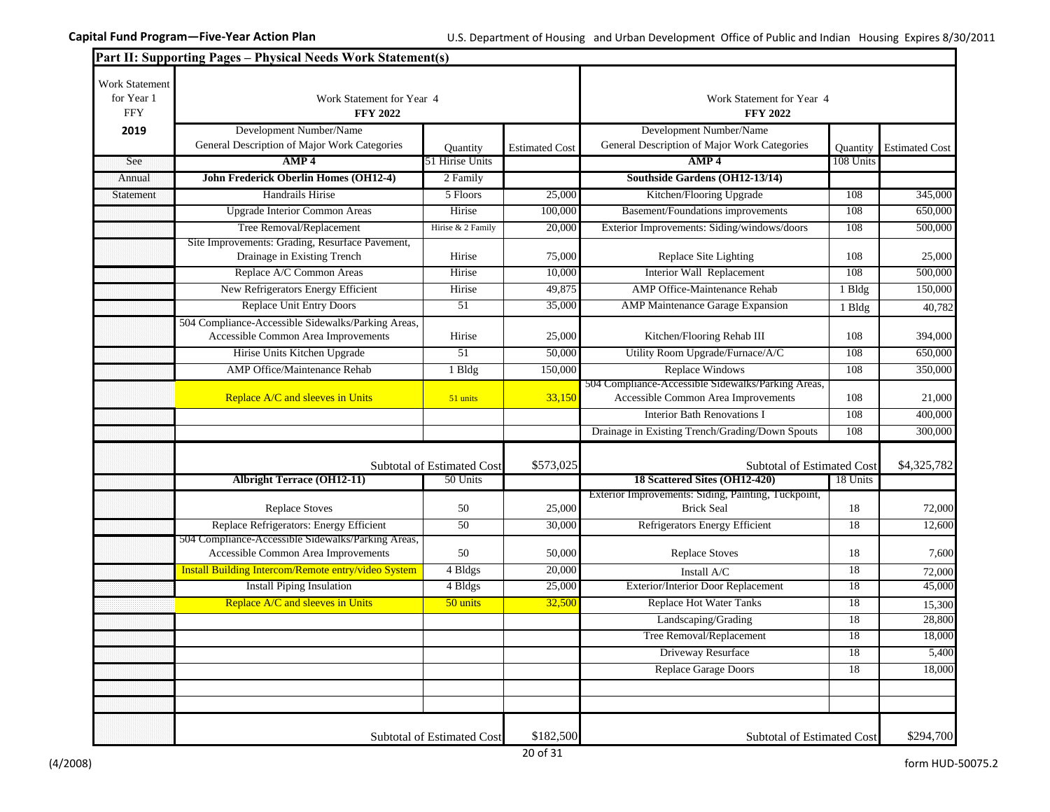|                                                   | Part II: Supporting Pages - Physical Needs Work Statement(s)                              |                            |                       |                                                                                           |           |                       |
|---------------------------------------------------|-------------------------------------------------------------------------------------------|----------------------------|-----------------------|-------------------------------------------------------------------------------------------|-----------|-----------------------|
| <b>Work Statement</b><br>for Year 1<br><b>FFY</b> | Work Statement for Year 4<br><b>FFY 2022</b>                                              |                            |                       | Work Statement for Year 4<br><b>FFY 2022</b>                                              |           |                       |
| 2019                                              | Development Number/Name<br>General Description of Major Work Categories                   | Quantity                   | <b>Estimated Cost</b> | Development Number/Name<br>General Description of Major Work Categories                   | Ouantity  | <b>Estimated Cost</b> |
| See                                               | AMP <sub>4</sub>                                                                          | 51 Hirise Units            |                       | AMP <sub>4</sub>                                                                          | 108 Units |                       |
| Annual                                            | John Frederick Oberlin Homes (OH12-4)                                                     | 2 Family                   |                       | Southside Gardens (OH12-13/14)                                                            |           |                       |
| Statement                                         | Handrails Hirise                                                                          | 5 Floors                   | 25,000                | Kitchen/Flooring Upgrade                                                                  | 108       | 345,000               |
|                                                   | <b>Upgrade Interior Common Areas</b>                                                      | Hirise                     | 100,000               | Basement/Foundations improvements                                                         | 108       | 650,000               |
|                                                   | Tree Removal/Replacement                                                                  | Hirise & 2 Family          | 20,000                | Exterior Improvements: Siding/windows/doors                                               | 108       | 500,000               |
|                                                   | Site Improvements: Grading, Resurface Pavement,<br>Drainage in Existing Trench            | Hirise                     | 75,000                | Replace Site Lighting                                                                     | 108       | 25,000                |
|                                                   | Replace A/C Common Areas                                                                  | Hirise                     | 10,000                | Interior Wall Replacement                                                                 | 108       | 500,000               |
|                                                   | New Refrigerators Energy Efficient                                                        | Hirise                     | 49,875                | AMP Office-Maintenance Rehab                                                              | 1 Bldg    | 150,000               |
|                                                   | <b>Replace Unit Entry Doors</b>                                                           | 51                         | 35,000                | AMP Maintenance Garage Expansion                                                          | 1 Bldg    | 40,782                |
|                                                   | 504 Compliance-Accessible Sidewalks/Parking Areas,<br>Accessible Common Area Improvements | Hirise                     | 25,000                | Kitchen/Flooring Rehab III                                                                | 108       | 394,000               |
|                                                   | Hirise Units Kitchen Upgrade                                                              | 51                         | 50,000                | Utility Room Upgrade/Furnace/A/C                                                          | 108       | 650,000               |
|                                                   | AMP Office/Maintenance Rehab                                                              | 1 Bldg                     | 150,000               | <b>Replace Windows</b>                                                                    | 108       | 350,000               |
|                                                   | Replace A/C and sleeves in Units                                                          | 51 units                   | 33,150                | 504 Compliance-Accessible Sidewalks/Parking Areas,<br>Accessible Common Area Improvements | 108       | 21,000                |
|                                                   |                                                                                           |                            |                       | <b>Interior Bath Renovations I</b>                                                        | 108       | 400,000               |
|                                                   |                                                                                           |                            |                       | Drainage in Existing Trench/Grading/Down Spouts                                           | 108       | 300,000               |
|                                                   |                                                                                           | Subtotal of Estimated Cost | \$573,025             | Subtotal of Estimated Cost                                                                |           | \$4,325,782           |
|                                                   | <b>Albright Terrace (OH12-11)</b>                                                         | 50 Units                   |                       | 18 Scattered Sites (OH12-420)                                                             | 18 Units  |                       |
|                                                   | <b>Replace Stoves</b>                                                                     | 50                         | 25,000                | Exterior Improvements: Siding, Painting, Tuckpoint,<br><b>Brick Seal</b>                  | 18        | 72,000                |
|                                                   | Replace Refrigerators: Energy Efficient                                                   | 50                         | 30,000                | Refrigerators Energy Efficient                                                            | 18        | 12,600                |
|                                                   | 504 Compliance-Accessible Sidewalks/Parking Areas,<br>Accessible Common Area Improvements | 50                         | 50,000                | <b>Replace Stoves</b>                                                                     | 18        | 7,600                 |
|                                                   | Install Building Intercom/Remote entry/video System                                       | 4 Bldgs                    | 20,000                | Install A/C                                                                               | 18        | 72,000                |
|                                                   | <b>Install Piping Insulation</b>                                                          | 4 Bldgs                    | 25,000                | Exterior/Interior Door Replacement                                                        | 18        | 45,000                |
|                                                   | Replace A/C and sleeves in Units                                                          | 50 units                   | 32,500                | <b>Replace Hot Water Tanks</b>                                                            | 18        | 15,300                |
|                                                   |                                                                                           |                            |                       | Landscaping/Grading                                                                       | 18        | 28,800                |
|                                                   |                                                                                           |                            |                       | Tree Removal/Replacement                                                                  | 18        | 18,000                |
|                                                   |                                                                                           |                            |                       | Driveway Resurface                                                                        | 18        | 5,400                 |
|                                                   |                                                                                           |                            |                       | Replace Garage Doors                                                                      | 18        | 18,000                |
|                                                   |                                                                                           |                            |                       |                                                                                           |           |                       |
|                                                   |                                                                                           |                            |                       |                                                                                           |           |                       |
|                                                   |                                                                                           | Subtotal of Estimated Cost | \$182,500             | Subtotal of Estimated Cost                                                                |           | \$294,700             |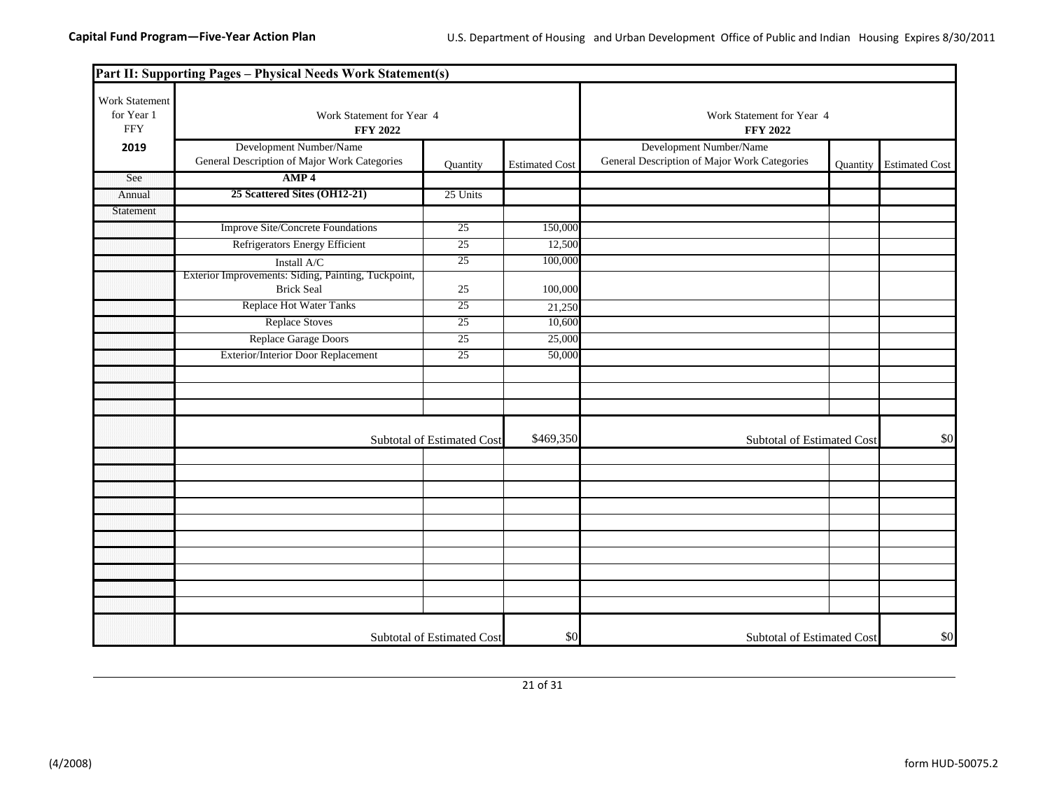|                                            | Part II: Supporting Pages - Physical Needs Work Statement(s)             |                            |                       |                                                                         |                            |                       |
|--------------------------------------------|--------------------------------------------------------------------------|----------------------------|-----------------------|-------------------------------------------------------------------------|----------------------------|-----------------------|
| Work Statement<br>for Year 1<br><b>FFY</b> | Work Statement for Year 4<br><b>FFY 2022</b>                             |                            |                       | Work Statement for Year 4<br><b>FFY 2022</b>                            |                            |                       |
| 2019                                       | Development Number/Name<br>General Description of Major Work Categories  | Quantity                   | <b>Estimated Cost</b> | Development Number/Name<br>General Description of Major Work Categories | Quantity                   | <b>Estimated Cost</b> |
| See                                        | AMP <sub>4</sub>                                                         |                            |                       |                                                                         |                            |                       |
| Annual                                     | 25 Scattered Sites (OH12-21)                                             | 25 Units                   |                       |                                                                         |                            |                       |
| Statement                                  |                                                                          |                            |                       |                                                                         |                            |                       |
|                                            | <b>Improve Site/Concrete Foundations</b>                                 | 25                         | 150,000               |                                                                         |                            |                       |
|                                            | Refrigerators Energy Efficient                                           | 25                         | 12,500                |                                                                         |                            |                       |
|                                            | Install A/C                                                              | 25                         | 100,000               |                                                                         |                            |                       |
|                                            | Exterior Improvements: Siding, Painting, Tuckpoint,<br><b>Brick Seal</b> | 25                         | 100,000               |                                                                         |                            |                       |
|                                            | <b>Replace Hot Water Tanks</b>                                           | 25                         | 21,250                |                                                                         |                            |                       |
|                                            | <b>Replace Stoves</b>                                                    | 25                         | 10,600                |                                                                         |                            |                       |
|                                            | Replace Garage Doors                                                     | 25                         | 25,000                |                                                                         |                            |                       |
|                                            | Exterior/Interior Door Replacement                                       | 25                         | 50,000                |                                                                         |                            |                       |
|                                            |                                                                          |                            |                       |                                                                         |                            |                       |
|                                            |                                                                          |                            |                       |                                                                         |                            |                       |
|                                            |                                                                          |                            |                       |                                                                         |                            |                       |
|                                            |                                                                          | Subtotal of Estimated Cost | \$469,350             |                                                                         | Subtotal of Estimated Cost |                       |
|                                            |                                                                          |                            |                       |                                                                         |                            |                       |
|                                            |                                                                          |                            |                       |                                                                         |                            |                       |
|                                            |                                                                          |                            |                       |                                                                         |                            |                       |
|                                            |                                                                          |                            |                       |                                                                         |                            |                       |
|                                            |                                                                          |                            |                       |                                                                         |                            |                       |
|                                            |                                                                          |                            |                       |                                                                         |                            |                       |
|                                            |                                                                          |                            |                       |                                                                         |                            |                       |
|                                            |                                                                          |                            |                       |                                                                         |                            |                       |
|                                            |                                                                          |                            |                       |                                                                         |                            |                       |
|                                            |                                                                          |                            |                       |                                                                         |                            |                       |
|                                            |                                                                          | Subtotal of Estimated Cost | \$0                   | Subtotal of Estimated Cost                                              |                            | \$0                   |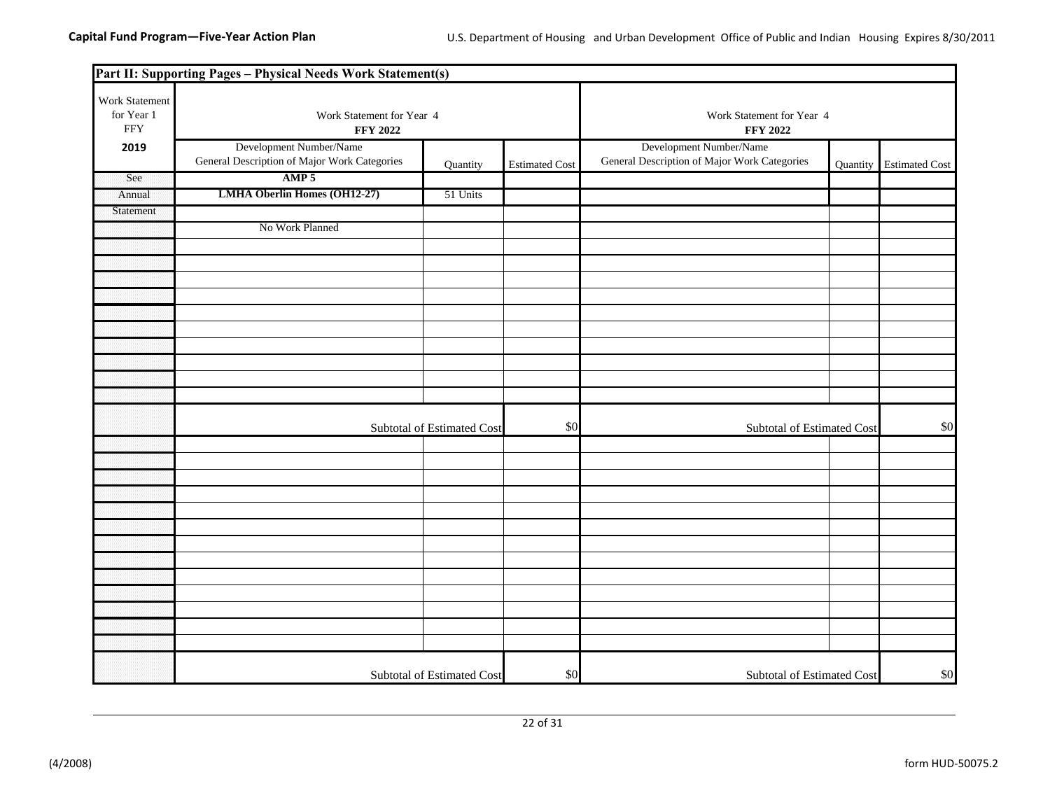|                                             | Part II: Supporting Pages - Physical Needs Work Statement(s)            |                            |                       |                                                                         |          |                       |
|---------------------------------------------|-------------------------------------------------------------------------|----------------------------|-----------------------|-------------------------------------------------------------------------|----------|-----------------------|
| Work Statement<br>for Year 1<br>${\rm FFY}$ | Work Statement for Year 4<br><b>FFY 2022</b>                            |                            |                       | Work Statement for Year 4<br><b>FFY 2022</b>                            |          |                       |
| 2019                                        | Development Number/Name<br>General Description of Major Work Categories | Quantity                   | <b>Estimated Cost</b> | Development Number/Name<br>General Description of Major Work Categories | Quantity | <b>Estimated Cost</b> |
| See                                         | AMP 5                                                                   |                            |                       |                                                                         |          |                       |
| Annual                                      | <b>LMHA Oberlin Homes (OH12-27)</b>                                     | 51 Units                   |                       |                                                                         |          |                       |
| Statement                                   |                                                                         |                            |                       |                                                                         |          |                       |
|                                             | No Work Planned                                                         |                            |                       |                                                                         |          |                       |
|                                             |                                                                         |                            |                       |                                                                         |          |                       |
|                                             |                                                                         |                            |                       |                                                                         |          |                       |
|                                             |                                                                         |                            |                       |                                                                         |          |                       |
|                                             |                                                                         |                            |                       |                                                                         |          |                       |
|                                             |                                                                         |                            |                       |                                                                         |          |                       |
|                                             |                                                                         |                            |                       |                                                                         |          |                       |
|                                             |                                                                         |                            |                       |                                                                         |          |                       |
|                                             |                                                                         |                            |                       |                                                                         |          |                       |
|                                             |                                                                         |                            |                       |                                                                         |          |                       |
|                                             |                                                                         |                            |                       |                                                                         |          |                       |
|                                             |                                                                         | Subtotal of Estimated Cost | \$0                   | Subtotal of Estimated Cost                                              |          | \$0                   |
|                                             |                                                                         |                            |                       |                                                                         |          |                       |
|                                             |                                                                         |                            |                       |                                                                         |          |                       |
|                                             |                                                                         |                            |                       |                                                                         |          |                       |
|                                             |                                                                         |                            |                       |                                                                         |          |                       |
|                                             |                                                                         |                            |                       |                                                                         |          |                       |
|                                             |                                                                         |                            |                       |                                                                         |          |                       |
|                                             |                                                                         |                            |                       |                                                                         |          |                       |
|                                             |                                                                         |                            |                       |                                                                         |          |                       |
|                                             |                                                                         |                            |                       |                                                                         |          |                       |
|                                             |                                                                         |                            |                       |                                                                         |          |                       |
|                                             |                                                                         |                            |                       |                                                                         |          |                       |
|                                             |                                                                         |                            |                       |                                                                         |          |                       |
|                                             |                                                                         |                            |                       |                                                                         |          |                       |
|                                             |                                                                         | Subtotal of Estimated Cost | \$0                   | Subtotal of Estimated Cost                                              |          | \$0                   |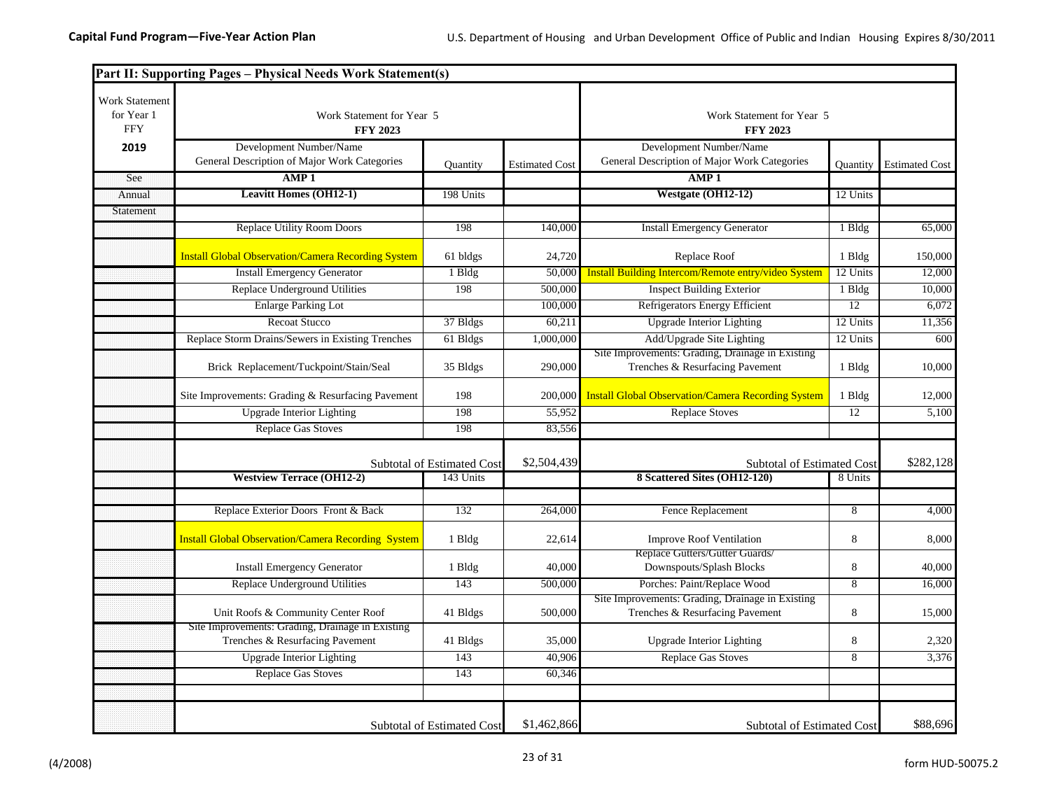|                                                   | Part II: Supporting Pages - Physical Needs Work Statement(s)                        |                                   |                       |                                                                                     |          |                       |
|---------------------------------------------------|-------------------------------------------------------------------------------------|-----------------------------------|-----------------------|-------------------------------------------------------------------------------------|----------|-----------------------|
| <b>Work Statement</b><br>for Year 1<br><b>FFY</b> | Work Statement for Year 5<br><b>FFY 2023</b>                                        |                                   |                       | Work Statement for Year 5<br><b>FFY 2023</b>                                        |          |                       |
| 2019                                              | Development Number/Name                                                             |                                   |                       | Development Number/Name                                                             |          |                       |
|                                                   | General Description of Major Work Categories                                        | Quantity                          | <b>Estimated Cost</b> | General Description of Major Work Categories                                        | Quantity | <b>Estimated Cost</b> |
| See                                               | AMP1                                                                                |                                   |                       | AMP <sub>1</sub>                                                                    |          |                       |
| Annual                                            | <b>Leavitt Homes (OH12-1)</b>                                                       | 198 Units                         |                       | Westgate (OH12-12)                                                                  | 12 Units |                       |
| Statement                                         |                                                                                     |                                   |                       |                                                                                     |          |                       |
|                                                   | <b>Replace Utility Room Doors</b>                                                   | 198                               | 140,000               | <b>Install Emergency Generator</b>                                                  | 1 Bldg   | 65,000                |
|                                                   | <b>Install Global Observation/Camera Recording System</b>                           | 61 bldgs                          | 24,720                | Replace Roof                                                                        | 1 Bldg   | 150,000               |
|                                                   | <b>Install Emergency Generator</b>                                                  | 1 Bldg                            | 50,000                | Install Building Intercom/Remote entry/video System                                 | 12 Units | 12,000                |
|                                                   | Replace Underground Utilities                                                       | 198                               | 500,000               | <b>Inspect Building Exterior</b>                                                    | 1 Bldg   | 10,000                |
|                                                   | <b>Enlarge Parking Lot</b>                                                          |                                   | 100,000               | Refrigerators Energy Efficient                                                      | 12       | 6,072                 |
|                                                   | <b>Recoat Stucco</b>                                                                | 37 Bldgs                          | 60,211                | <b>Upgrade Interior Lighting</b>                                                    | 12 Units | 11,356                |
|                                                   | Replace Storm Drains/Sewers in Existing Trenches                                    | 61 Bldgs                          | 1,000,000             | Add/Upgrade Site Lighting                                                           | 12 Units | 600                   |
|                                                   | Brick Replacement/Tuckpoint/Stain/Seal                                              | 35 Bldgs                          | 290,000               | Site Improvements: Grading, Drainage in Existing<br>Trenches & Resurfacing Pavement | 1 Bldg   | 10,000                |
|                                                   | Site Improvements: Grading & Resurfacing Pavement                                   | 198                               | 200,000               | <b>Install Global Observation/Camera Recording System</b>                           | 1 Bldg   | 12,000                |
|                                                   | <b>Upgrade Interior Lighting</b>                                                    | 198                               | 55,952                | <b>Replace Stoves</b>                                                               | 12       | 5,100                 |
|                                                   | <b>Replace Gas Stoves</b>                                                           | 198                               | 83,556                |                                                                                     |          |                       |
|                                                   |                                                                                     | Subtotal of Estimated Cost        | \$2,504,439           | <b>Subtotal of Estimated Cost</b>                                                   |          | \$282,128             |
|                                                   | <b>Westview Terrace (OH12-2)</b>                                                    | 143 Units                         |                       | 8 Scattered Sites (OH12-120)                                                        | 8 Units  |                       |
|                                                   |                                                                                     |                                   |                       |                                                                                     |          |                       |
|                                                   | Replace Exterior Doors Front & Back                                                 | 132                               | 264,000               | Fence Replacement                                                                   | 8        | 4,000                 |
|                                                   | <b>Install Global Observation/Camera Recording System</b>                           | 1 Bldg                            | 22,614                | <b>Improve Roof Ventilation</b>                                                     | 8        | 8,000                 |
|                                                   | <b>Install Emergency Generator</b>                                                  | 1 Bldg                            | 40,000                | Replace Gutters/Gutter Guards/<br>Downspouts/Splash Blocks                          | 8        | 40,000                |
|                                                   | Replace Underground Utilities                                                       | 143                               | 500,000               | Porches: Paint/Replace Wood                                                         | 8        | 16,000                |
|                                                   | Unit Roofs & Community Center Roof                                                  | 41 Bldgs                          | 500,000               | Site Improvements: Grading, Drainage in Existing<br>Trenches & Resurfacing Pavement | 8        | 15,000                |
|                                                   | Site Improvements: Grading, Drainage in Existing<br>Trenches & Resurfacing Pavement | 41 Bldgs                          | 35,000                | <b>Upgrade Interior Lighting</b>                                                    | 8        | 2,320                 |
|                                                   | <b>Upgrade Interior Lighting</b>                                                    | 143                               | 40,906                | <b>Replace Gas Stoves</b>                                                           | 8        | 3,376                 |
|                                                   | <b>Replace Gas Stoves</b>                                                           | 143                               | 60,346                |                                                                                     |          |                       |
|                                                   |                                                                                     |                                   |                       |                                                                                     |          |                       |
|                                                   |                                                                                     | <b>Subtotal of Estimated Cost</b> | \$1,462,866           | <b>Subtotal of Estimated Cost</b>                                                   |          | \$88,696              |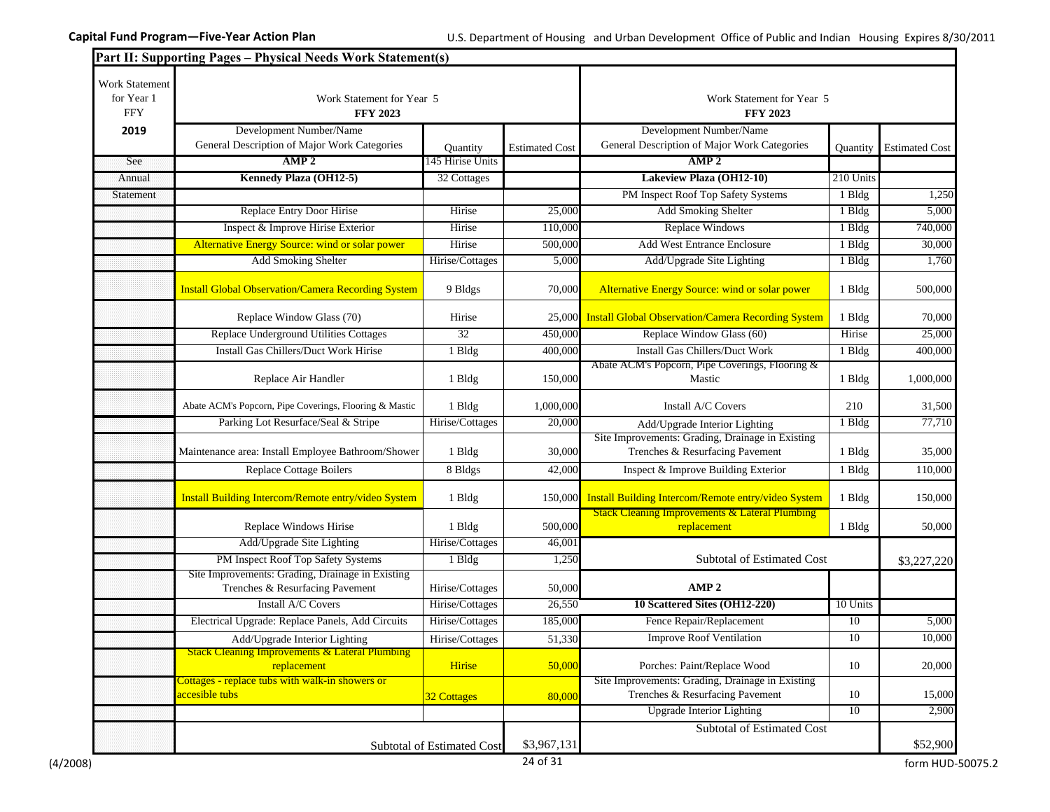|                                                   | Part II: Supporting Pages - Physical Needs Work Statement(s)             |                            |                       |                                                                                     |           |                                |
|---------------------------------------------------|--------------------------------------------------------------------------|----------------------------|-----------------------|-------------------------------------------------------------------------------------|-----------|--------------------------------|
| <b>Work Statement</b><br>for Year 1<br><b>FFY</b> | Work Statement for Year 5<br><b>FFY 2023</b>                             |                            |                       | Work Statement for Year 5<br><b>FFY 2023</b>                                        |           |                                |
| 2019                                              | Development Number/Name                                                  |                            |                       | Development Number/Name                                                             |           |                                |
|                                                   | General Description of Major Work Categories                             | <b>Quantity</b>            | <b>Estimated Cost</b> | General Description of Major Work Categories                                        |           | <b>Ouantity</b> Estimated Cost |
| See                                               | AMP <sub>2</sub>                                                         | 145 Hirise Units           |                       | AMP <sub>2</sub>                                                                    |           |                                |
| Annual                                            | Kennedy Plaza (OH12-5)                                                   | 32 Cottages                |                       | Lakeview Plaza (OH12-10)                                                            | 210 Units |                                |
| Statement                                         |                                                                          |                            |                       | PM Inspect Roof Top Safety Systems                                                  | 1 Bldg    | 1,250                          |
|                                                   | Replace Entry Door Hirise                                                | Hirise                     | 25,000                | <b>Add Smoking Shelter</b>                                                          | 1 Bldg    | 5,000                          |
|                                                   | Inspect & Improve Hirise Exterior                                        | Hirise                     | 110,000               | <b>Replace Windows</b>                                                              | 1 Bldg    | 740,000                        |
|                                                   | Alternative Energy Source: wind or solar power                           | Hirise                     | 500,000               | <b>Add West Entrance Enclosure</b>                                                  | 1 Bldg    | 30,000                         |
|                                                   | <b>Add Smoking Shelter</b>                                               | Hirise/Cottages            | 5,000                 | Add/Upgrade Site Lighting                                                           | $1$ Bldg  | 1,760                          |
|                                                   | <b>Install Global Observation/Camera Recording System</b>                | 9 Bldgs                    | 70,000                | Alternative Energy Source: wind or solar power                                      | 1 Bldg    | 500,000                        |
|                                                   | Replace Window Glass (70)                                                | Hirise                     |                       | 25,000 Install Global Observation/Camera Recording System                           | 1 Bldg    | 70,000                         |
|                                                   | Replace Underground Utilities Cottages                                   | $\overline{32}$            | 450,000               | Replace Window Glass (60)                                                           | Hirise    | 25,000                         |
|                                                   | Install Gas Chillers/Duct Work Hirise                                    | 1 Bldg                     | 400,000               | <b>Install Gas Chillers/Duct Work</b>                                               | 1 Bldg    | 400,000                        |
|                                                   | Replace Air Handler                                                      | 1 Bldg                     | 150,000               | Abate ACM's Popcorn, Pipe Coverings, Flooring &<br>Mastic                           | 1 Bldg    | 1,000,000                      |
|                                                   | Abate ACM's Popcorn, Pipe Coverings, Flooring & Mastic                   | 1 Bldg                     | 1,000,000             | Install A/C Covers                                                                  | 210       | 31,500                         |
|                                                   | Parking Lot Resurface/Seal & Stripe                                      | Hirise/Cottages            | 20,000                | Add/Upgrade Interior Lighting                                                       | $1$ Bldg  | 77,710                         |
|                                                   | Maintenance area: Install Employee Bathroom/Shower                       | 1 Bldg                     | 30,000                | Site Improvements: Grading, Drainage in Existing<br>Trenches & Resurfacing Pavement | 1 Bldg    | 35,000                         |
|                                                   | Replace Cottage Boilers                                                  | 8 Bldgs                    | 42,000                | Inspect & Improve Building Exterior                                                 | 1 Bldg    | 110,000                        |
|                                                   | Install Building Intercom/Remote entry/video System                      | 1 Bldg                     | 150,000               | Install Building Intercom/Remote entry/video System                                 | 1 Bldg    | 150,000                        |
|                                                   | Replace Windows Hirise                                                   | 1 Bldg                     | 500,000               | <b>Stack Cleaning Improvements &amp; Lateral Plumbing</b>                           | 1 Bldg    |                                |
|                                                   |                                                                          |                            |                       | replacement                                                                         |           | 50,000                         |
|                                                   | Add/Upgrade Site Lighting<br>PM Inspect Roof Top Safety Systems          | Hirise/Cottages            | 46,001                |                                                                                     |           |                                |
|                                                   | Site Improvements: Grading, Drainage in Existing                         | 1 Bldg                     | 1,250                 | Subtotal of Estimated Cost                                                          |           | \$3,227,220                    |
|                                                   | Trenches & Resurfacing Pavement                                          | Hirise/Cottages            | 50,000                | AMP <sub>2</sub>                                                                    |           |                                |
|                                                   | Install A/C Covers                                                       | Hirise/Cottages            | 26,550                | 10 Scattered Sites (OH12-220)                                                       | 10 Units  |                                |
|                                                   | Electrical Upgrade: Replace Panels, Add Circuits                         | Hirise/Cottages            | 185,000               | Fence Repair/Replacement                                                            | 10        | 5,000                          |
|                                                   | Add/Upgrade Interior Lighting                                            | Hirise/Cottages            | 51,330                | <b>Improve Roof Ventilation</b>                                                     | 10        | 10,000                         |
|                                                   | <b>Stack Cleaning Improvements &amp; Lateral Plumbing</b><br>replacement | Hirise                     | 50,000                | Porches: Paint/Replace Wood                                                         | 10        | 20,000                         |
|                                                   | Cottages - replace tubs with walk-in showers or<br>accesible tubs        | 32 Cottages                | 80,000                | Site Improvements: Grading, Drainage in Existing<br>Trenches & Resurfacing Pavement | 10        | 15,000                         |
|                                                   |                                                                          |                            |                       | <b>Upgrade Interior Lighting</b>                                                    | 10        | 2,900                          |
|                                                   |                                                                          | Subtotal of Estimated Cost | \$3,967,131           | <b>Subtotal of Estimated Cost</b>                                                   |           | \$52,900                       |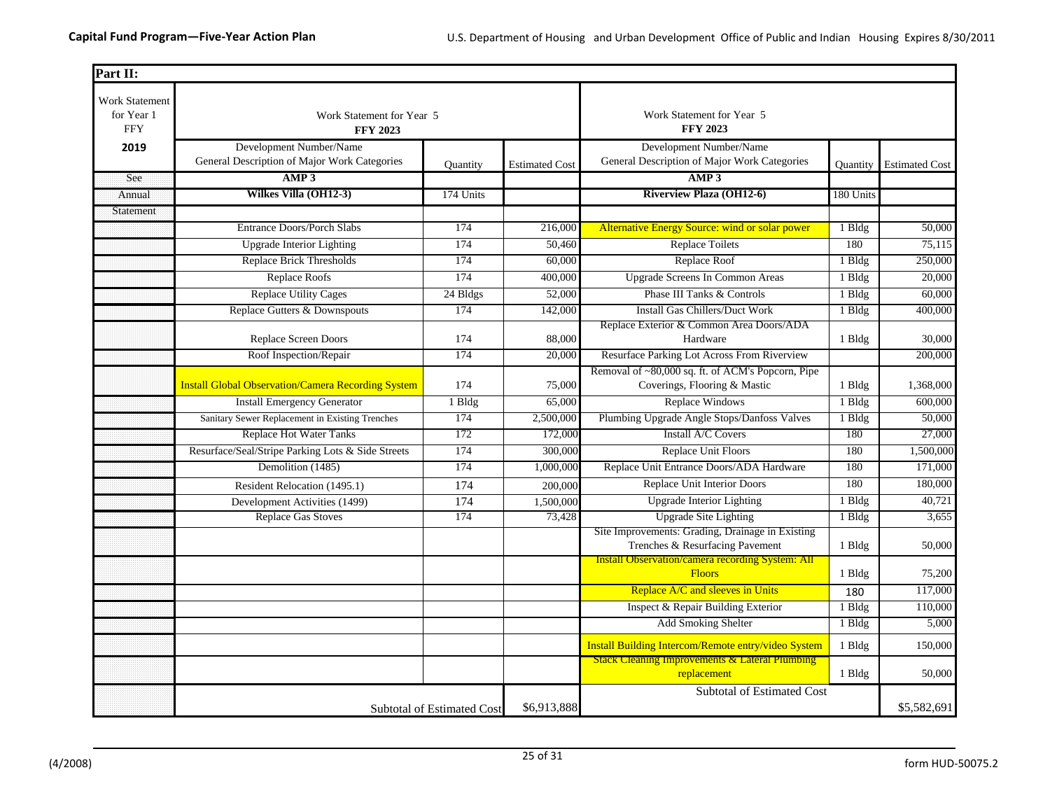| Part II:                                          |                                                                         |                                   |                       |                                                                                     |                 |                       |
|---------------------------------------------------|-------------------------------------------------------------------------|-----------------------------------|-----------------------|-------------------------------------------------------------------------------------|-----------------|-----------------------|
| <b>Work Statement</b><br>for Year 1<br><b>FFY</b> | Work Statement for Year 5<br><b>FFY 2023</b>                            |                                   |                       | Work Statement for Year 5<br><b>FFY 2023</b>                                        |                 |                       |
| 2019                                              | Development Number/Name<br>General Description of Major Work Categories | <b>Quantity</b>                   | <b>Estimated Cost</b> | Development Number/Name<br>General Description of Major Work Categories             | <b>Quantity</b> | <b>Estimated Cost</b> |
| See                                               | AMP3                                                                    |                                   |                       | AMP3                                                                                |                 |                       |
| Annual                                            | Wilkes Villa (OH12-3)                                                   | 174 Units                         |                       | <b>Riverview Plaza (OH12-6)</b>                                                     | 180 Units       |                       |
| Statement                                         |                                                                         |                                   |                       |                                                                                     |                 |                       |
|                                                   | <b>Entrance Doors/Porch Slabs</b>                                       | 174                               | 216,000               | Alternative Energy Source: wind or solar power                                      | 1 Bldg          | 50,000                |
|                                                   | <b>Upgrade Interior Lighting</b>                                        | 174                               | 50,460                | <b>Replace Toilets</b>                                                              | 180             | 75,115                |
|                                                   | <b>Replace Brick Thresholds</b>                                         | 174                               | 60,000                | Replace Roof                                                                        | 1 Bldg          | 250,000               |
|                                                   | <b>Replace Roofs</b>                                                    | 174                               | 400,000               | <b>Upgrade Screens In Common Areas</b>                                              | 1 Bldg          | 20,000                |
|                                                   | <b>Replace Utility Cages</b>                                            | 24 Bldgs                          | 52,000                | Phase III Tanks & Controls                                                          | 1 Bldg          | 60,000                |
|                                                   | Replace Gutters & Downspouts                                            | 174                               | 142,000               | <b>Install Gas Chillers/Duct Work</b>                                               | 1 Bldg          | 400,000               |
|                                                   | <b>Replace Screen Doors</b>                                             | 174                               | 88,000                | Replace Exterior & Common Area Doors/ADA<br>Hardware                                | 1 Bldg          | 30,000                |
|                                                   | Roof Inspection/Repair                                                  | 174                               | 20,000                | Resurface Parking Lot Across From Riverview                                         |                 | 200,000               |
|                                                   | <b>Install Global Observation/Camera Recording System</b>               | 174                               | 75,000                | Removal of ~80,000 sq. ft. of ACM's Popcorn, Pipe<br>Coverings, Flooring & Mastic   | 1 Bldg          | 1,368,000             |
|                                                   | <b>Install Emergency Generator</b>                                      | 1 Bldg                            | 65,000                | Replace Windows                                                                     | 1 Bldg          | 600,000               |
|                                                   | Sanitary Sewer Replacement in Existing Trenches                         | 174                               | 2,500,000             | Plumbing Upgrade Angle Stops/Danfoss Valves                                         | 1 Bldg          | 50,000                |
|                                                   | <b>Replace Hot Water Tanks</b>                                          | 172                               | 172,000               | Install A/C Covers                                                                  | 180             | 27,000                |
|                                                   | Resurface/Seal/Stripe Parking Lots & Side Streets                       | 174                               | 300,000               | Replace Unit Floors                                                                 | 180             | 1,500,000             |
|                                                   | Demolition (1485)                                                       | 174                               | 1,000,000             | Replace Unit Entrance Doors/ADA Hardware                                            | 180             | 171,000               |
|                                                   | Resident Relocation (1495.1)                                            | 174                               | 200,000               | Replace Unit Interior Doors                                                         | 180             | 180,000               |
|                                                   | Development Activities (1499)                                           | 174                               | 1,500,000             | Upgrade Interior Lighting                                                           | 1 Bldg          | 40,721                |
|                                                   | <b>Replace Gas Stoves</b>                                               | 174                               | 73,428                | <b>Upgrade Site Lighting</b>                                                        | 1 Bldg          | 3,655                 |
|                                                   |                                                                         |                                   |                       | Site Improvements: Grading, Drainage in Existing<br>Trenches & Resurfacing Pavement | 1 Bldg          | 50,000                |
|                                                   |                                                                         |                                   |                       | <b>Install Observation/camera recording System: All</b><br><b>Floors</b>            | 1 Bldg          | 75,200                |
|                                                   |                                                                         |                                   |                       | Replace A/C and sleeves in Units                                                    | 180             | 117,000               |
|                                                   |                                                                         |                                   |                       | Inspect & Repair Building Exterior                                                  | 1 Bldg          | 110,000               |
|                                                   |                                                                         |                                   |                       | Add Smoking Shelter                                                                 | 1 Bldg          | 5,000                 |
|                                                   |                                                                         |                                   |                       | Install Building Intercom/Remote entry/video System                                 | 1 Bldg          | 150,000               |
|                                                   |                                                                         |                                   |                       | <b>Stack Cleaning Improvements &amp; Lateral Plumbing</b><br>replacement            | 1 Bldg          | 50,000                |
|                                                   |                                                                         | <b>Subtotal of Estimated Cost</b> | \$6.913.888           | <b>Subtotal of Estimated Cost</b>                                                   |                 | \$5,582,691           |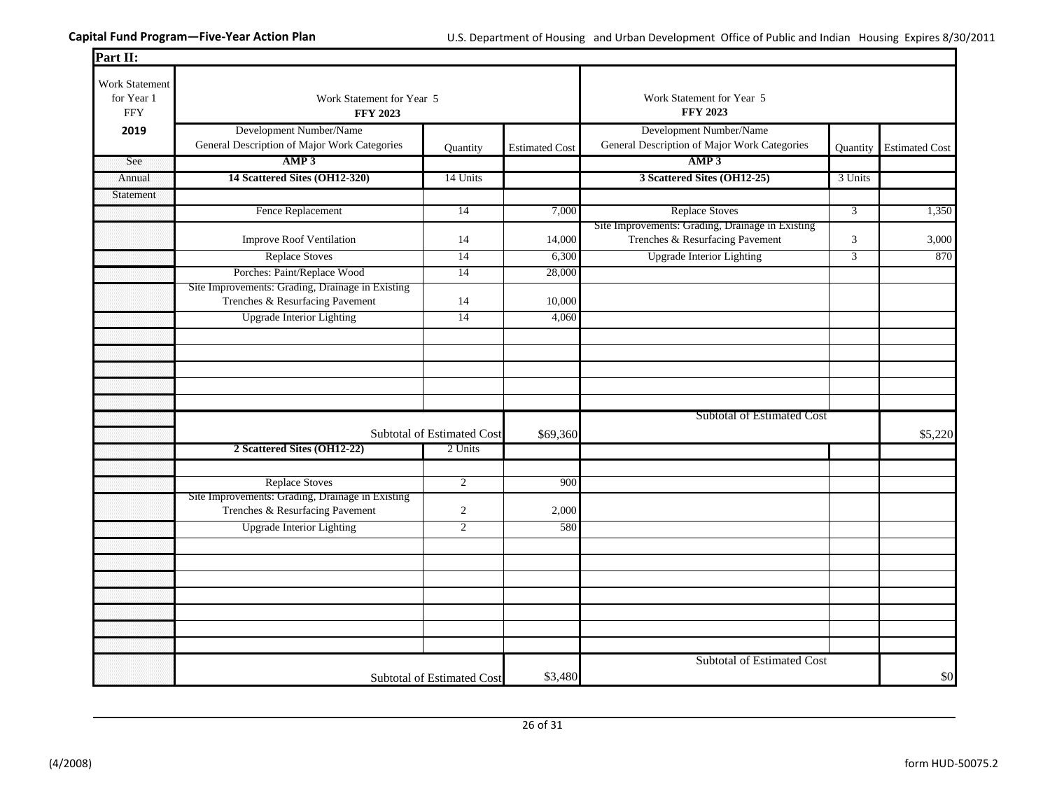| Part II:                                   |                                                                                     |                                   |                       |                                                                                     |                |                       |
|--------------------------------------------|-------------------------------------------------------------------------------------|-----------------------------------|-----------------------|-------------------------------------------------------------------------------------|----------------|-----------------------|
| Work Statement<br>for Year 1<br><b>FFY</b> | Work Statement for Year 5<br><b>FFY 2023</b>                                        |                                   |                       | Work Statement for Year 5<br><b>FFY 2023</b>                                        |                |                       |
| 2019                                       | Development Number/Name                                                             |                                   |                       | Development Number/Name                                                             |                |                       |
|                                            | General Description of Major Work Categories                                        | Quantity                          | <b>Estimated Cost</b> | General Description of Major Work Categories                                        | Quantity       | <b>Estimated Cost</b> |
| See                                        | AMP3                                                                                |                                   |                       | AMP3                                                                                |                |                       |
| Annual                                     | 14 Scattered Sites (OH12-320)                                                       | 14 Units                          |                       | 3 Scattered Sites (OH12-25)                                                         | 3 Units        |                       |
| Statement                                  |                                                                                     |                                   |                       |                                                                                     |                |                       |
|                                            | Fence Replacement                                                                   | $\overline{14}$                   | 7,000                 | <b>Replace Stoves</b>                                                               | $\overline{3}$ | 1,350                 |
|                                            | <b>Improve Roof Ventilation</b>                                                     | 14                                | 14,000                | Site Improvements: Grading, Drainage in Existing<br>Trenches & Resurfacing Pavement | $\mathfrak{Z}$ | 3,000                 |
|                                            | <b>Replace Stoves</b>                                                               | 14                                | 6,300                 | <b>Upgrade Interior Lighting</b>                                                    | 3              | 870                   |
|                                            | Porches: Paint/Replace Wood                                                         | 14                                | 28,000                |                                                                                     |                |                       |
|                                            | Site Improvements: Grading, Drainage in Existing<br>Trenches & Resurfacing Pavement | 14                                | 10,000                |                                                                                     |                |                       |
|                                            | <b>Upgrade Interior Lighting</b>                                                    | $\overline{14}$                   | 4,060                 |                                                                                     |                |                       |
|                                            |                                                                                     |                                   |                       |                                                                                     |                |                       |
|                                            |                                                                                     |                                   |                       |                                                                                     |                |                       |
|                                            |                                                                                     |                                   |                       |                                                                                     |                |                       |
|                                            |                                                                                     |                                   |                       |                                                                                     |                |                       |
|                                            |                                                                                     |                                   |                       |                                                                                     |                |                       |
|                                            |                                                                                     | Subtotal of Estimated Cost        | \$69,360              | <b>Subtotal of Estimated Cost</b>                                                   |                | \$5,220               |
|                                            | 2 Scattered Sites (OH12-22)                                                         | 2 Units                           |                       |                                                                                     |                |                       |
|                                            |                                                                                     |                                   |                       |                                                                                     |                |                       |
|                                            | <b>Replace Stoves</b>                                                               | $\overline{2}$                    | 900                   |                                                                                     |                |                       |
|                                            | Site Improvements: Grading, Drainage in Existing                                    |                                   |                       |                                                                                     |                |                       |
|                                            | Trenches & Resurfacing Pavement                                                     | $\overline{c}$                    | 2,000                 |                                                                                     |                |                       |
|                                            | <b>Upgrade Interior Lighting</b>                                                    | $\overline{2}$                    | 580                   |                                                                                     |                |                       |
|                                            |                                                                                     |                                   |                       |                                                                                     |                |                       |
|                                            |                                                                                     |                                   |                       |                                                                                     |                |                       |
|                                            |                                                                                     |                                   |                       |                                                                                     |                |                       |
|                                            |                                                                                     |                                   |                       |                                                                                     |                |                       |
|                                            |                                                                                     |                                   |                       |                                                                                     |                |                       |
|                                            |                                                                                     |                                   |                       |                                                                                     |                |                       |
|                                            |                                                                                     |                                   |                       |                                                                                     |                |                       |
|                                            |                                                                                     |                                   |                       | Subtotal of Estimated Cost                                                          |                |                       |
|                                            |                                                                                     | <b>Subtotal of Estimated Cost</b> | \$3,480               |                                                                                     |                | \$0                   |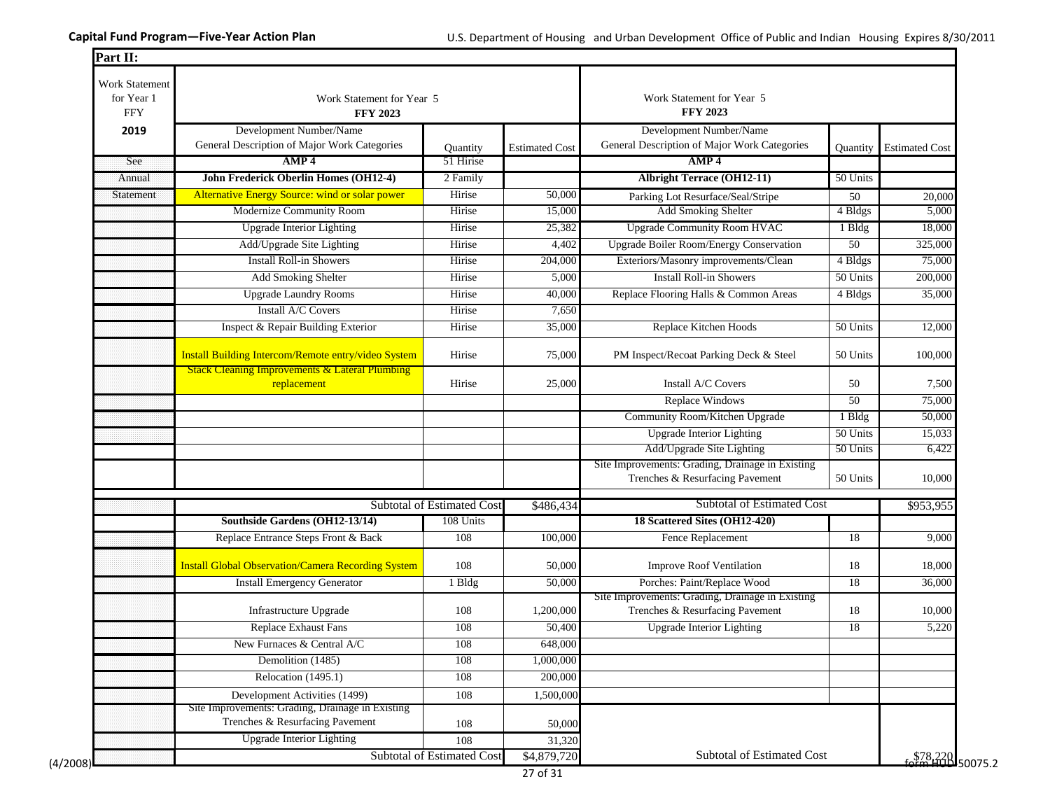| <b>Work Statement</b><br>for Year 1<br><b>FFY</b> | Work Statement for Year 5<br><b>FFY 2023</b>                                                                     |                            |                       | Work Statement for Year 5<br><b>FFY 2023</b>                                        |                 |                       |
|---------------------------------------------------|------------------------------------------------------------------------------------------------------------------|----------------------------|-----------------------|-------------------------------------------------------------------------------------|-----------------|-----------------------|
| 2019                                              | Development Number/Name                                                                                          |                            |                       | Development Number/Name                                                             |                 |                       |
|                                                   | General Description of Major Work Categories                                                                     | Quantity                   | <b>Estimated Cost</b> | General Description of Major Work Categories                                        | Quantity        | <b>Estimated Cost</b> |
| See                                               | AMP <sub>4</sub>                                                                                                 | 51 Hirise                  |                       | AMP <sub>4</sub>                                                                    |                 |                       |
| Annual                                            | <b>John Frederick Oberlin Homes (OH12-4)</b>                                                                     | 2 Family                   |                       | <b>Albright Terrace (OH12-11)</b>                                                   | 50 Units        |                       |
| Statement                                         | Alternative Energy Source: wind or solar power                                                                   | Hirise                     | 50,000                | Parking Lot Resurface/Seal/Stripe                                                   | 50              | 20,000                |
|                                                   | Modernize Community Room                                                                                         | Hirise                     | 15,000                | Add Smoking Shelter                                                                 | 4 Bldgs         | 5,000                 |
|                                                   | <b>Upgrade Interior Lighting</b>                                                                                 | Hirise                     | 25,382                | <b>Upgrade Community Room HVAC</b>                                                  | 1 Bldg          | 18,000                |
|                                                   | Add/Upgrade Site Lighting                                                                                        | Hirise                     | 4,402                 | <b>Upgrade Boiler Room/Energy Conservation</b>                                      | 50              | 325,000               |
|                                                   | <b>Install Roll-in Showers</b>                                                                                   | Hirise                     | 204,000               | Exteriors/Masonry improvements/Clean                                                | 4 Bldgs         | 75,000                |
|                                                   | Add Smoking Shelter                                                                                              | Hirise                     | 5,000                 | <b>Install Roll-in Showers</b>                                                      | 50 Units        | 200,000               |
|                                                   | <b>Upgrade Laundry Rooms</b>                                                                                     | Hirise                     | 40,000                | Replace Flooring Halls & Common Areas                                               | 4 Bldgs         | 35,000                |
|                                                   | Install A/C Covers                                                                                               | Hirise                     | 7,650                 |                                                                                     |                 |                       |
|                                                   | Inspect & Repair Building Exterior                                                                               | Hirise                     | 35,000                | Replace Kitchen Hoods                                                               | 50 Units        | 12,000                |
|                                                   | Install Building Intercom/Remote entry/video System<br><b>Stack Cleaning Improvements &amp; Lateral Plumbing</b> | Hirise                     | 75,000                | PM Inspect/Recoat Parking Deck & Steel                                              | 50 Units        | 100,000               |
|                                                   | replacement                                                                                                      | Hirise                     | 25,000                | Install A/C Covers                                                                  | 50              | 7,500                 |
|                                                   |                                                                                                                  |                            |                       | Replace Windows                                                                     | $\overline{50}$ | 75,000                |
|                                                   |                                                                                                                  |                            |                       | Community Room/Kitchen Upgrade                                                      | 1 Bldg          | 50,000                |
|                                                   |                                                                                                                  |                            |                       | <b>Upgrade Interior Lighting</b>                                                    | 50 Units        | 15,033                |
|                                                   |                                                                                                                  |                            |                       | Add/Upgrade Site Lighting                                                           | 50 Units        | 6,422                 |
|                                                   |                                                                                                                  |                            |                       | Site Improvements: Grading, Drainage in Existing<br>Trenches & Resurfacing Pavement | 50 Units        | 10,000                |
|                                                   |                                                                                                                  |                            |                       |                                                                                     |                 |                       |
|                                                   |                                                                                                                  | Subtotal of Estimated Cost | \$486,434             | Subtotal of Estimated Cost                                                          |                 | \$953,955             |
|                                                   | Southside Gardens (OH12-13/14)                                                                                   | 108 Units                  |                       | 18 Scattered Sites (OH12-420)                                                       |                 |                       |
|                                                   | Replace Entrance Steps Front & Back                                                                              | 108                        | 100,000               | Fence Replacement                                                                   | 18              | 9,000                 |
|                                                   | <b>Install Global Observation/Camera Recording System</b>                                                        | 108                        | 50,000                | <b>Improve Roof Ventilation</b>                                                     | 18              | 18,000                |
|                                                   | <b>Install Emergency Generator</b>                                                                               | 1 Bldg                     | 50,000                | Porches: Paint/Replace Wood                                                         | 18              | 36,000                |
|                                                   | Infrastructure Upgrade                                                                                           | 108                        | 1,200,000             | Site Improvements: Grading, Drainage in Existing<br>Trenches & Resurfacing Pavement | 18              | 10,000                |
|                                                   | Replace Exhaust Fans                                                                                             | 108                        | 50,400                | <b>Upgrade Interior Lighting</b>                                                    | 18              | 5,220                 |
|                                                   | New Furnaces & Central A/C                                                                                       | 108                        | 648,000               |                                                                                     |                 |                       |
|                                                   | Demolition (1485)                                                                                                | 108                        | 1,000,000             |                                                                                     |                 |                       |
|                                                   | Relocation (1495.1)                                                                                              | 108                        | 200,000               |                                                                                     |                 |                       |
|                                                   | Development Activities (1499)                                                                                    | 108                        | 1,500,000             |                                                                                     |                 |                       |
|                                                   | Site Improvements: Grading, Drainage in Existing                                                                 |                            |                       |                                                                                     |                 |                       |
|                                                   | Trenches & Resurfacing Pavement<br><b>Upgrade Interior Lighting</b>                                              | 108                        | 50,000                |                                                                                     |                 |                       |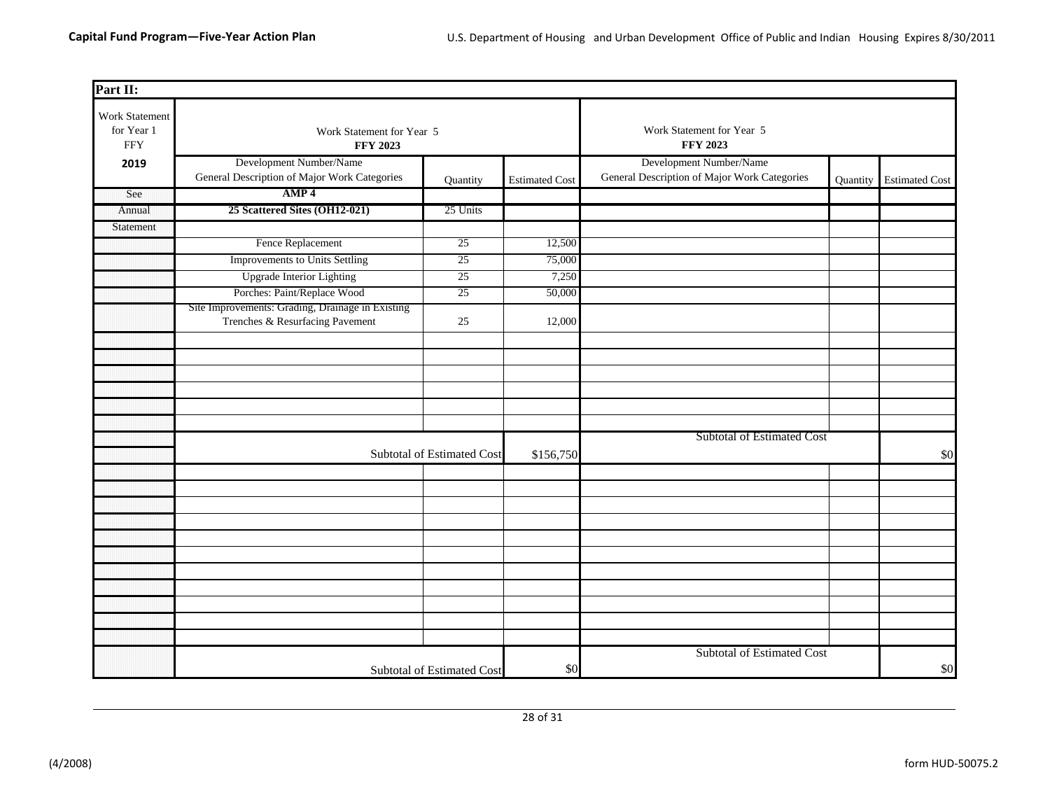| Part II:                                   |                                                                                     |                            |                       |                                                                         |          |                       |
|--------------------------------------------|-------------------------------------------------------------------------------------|----------------------------|-----------------------|-------------------------------------------------------------------------|----------|-----------------------|
| Work Statement<br>for Year 1<br><b>FFY</b> | Work Statement for Year 5<br><b>FFY 2023</b>                                        |                            |                       | Work Statement for Year 5<br><b>FFY 2023</b>                            |          |                       |
| 2019                                       | Development Number/Name<br>General Description of Major Work Categories             | Quantity                   | <b>Estimated Cost</b> | Development Number/Name<br>General Description of Major Work Categories | Quantity | <b>Estimated Cost</b> |
| See                                        | AMP <sub>4</sub>                                                                    |                            |                       |                                                                         |          |                       |
| Annual                                     | 25 Scattered Sites (OH12-021)                                                       | 25 Units                   |                       |                                                                         |          |                       |
| Statement                                  |                                                                                     |                            |                       |                                                                         |          |                       |
|                                            | Fence Replacement                                                                   | 25                         | 12,500                |                                                                         |          |                       |
|                                            | Improvements to Units Settling                                                      | 25                         | 75,000                |                                                                         |          |                       |
|                                            | <b>Upgrade Interior Lighting</b>                                                    | 25                         | 7,250                 |                                                                         |          |                       |
|                                            | Porches: Paint/Replace Wood                                                         | 25                         | 50,000                |                                                                         |          |                       |
|                                            | Site Improvements: Grading, Drainage in Existing<br>Trenches & Resurfacing Pavement | 25                         | 12,000                |                                                                         |          |                       |
|                                            |                                                                                     |                            |                       |                                                                         |          |                       |
|                                            |                                                                                     |                            |                       |                                                                         |          |                       |
|                                            |                                                                                     |                            |                       |                                                                         |          |                       |
|                                            |                                                                                     |                            |                       |                                                                         |          |                       |
|                                            |                                                                                     |                            |                       |                                                                         |          |                       |
|                                            |                                                                                     |                            |                       |                                                                         |          |                       |
|                                            |                                                                                     |                            |                       | <b>Subtotal of Estimated Cost</b>                                       |          |                       |
|                                            |                                                                                     | Subtotal of Estimated Cost | \$156,750             |                                                                         |          | \$0                   |
|                                            |                                                                                     |                            |                       |                                                                         |          |                       |
|                                            |                                                                                     |                            |                       |                                                                         |          |                       |
|                                            |                                                                                     |                            |                       |                                                                         |          |                       |
|                                            |                                                                                     |                            |                       |                                                                         |          |                       |
|                                            |                                                                                     |                            |                       |                                                                         |          |                       |
|                                            |                                                                                     |                            |                       |                                                                         |          |                       |
|                                            |                                                                                     |                            |                       |                                                                         |          |                       |
|                                            |                                                                                     |                            |                       |                                                                         |          |                       |
|                                            |                                                                                     |                            |                       |                                                                         |          |                       |
|                                            |                                                                                     |                            |                       |                                                                         |          |                       |
|                                            |                                                                                     |                            |                       |                                                                         |          |                       |
|                                            |                                                                                     | Subtotal of Estimated Cost | \$0                   | <b>Subtotal of Estimated Cost</b>                                       |          | \$0                   |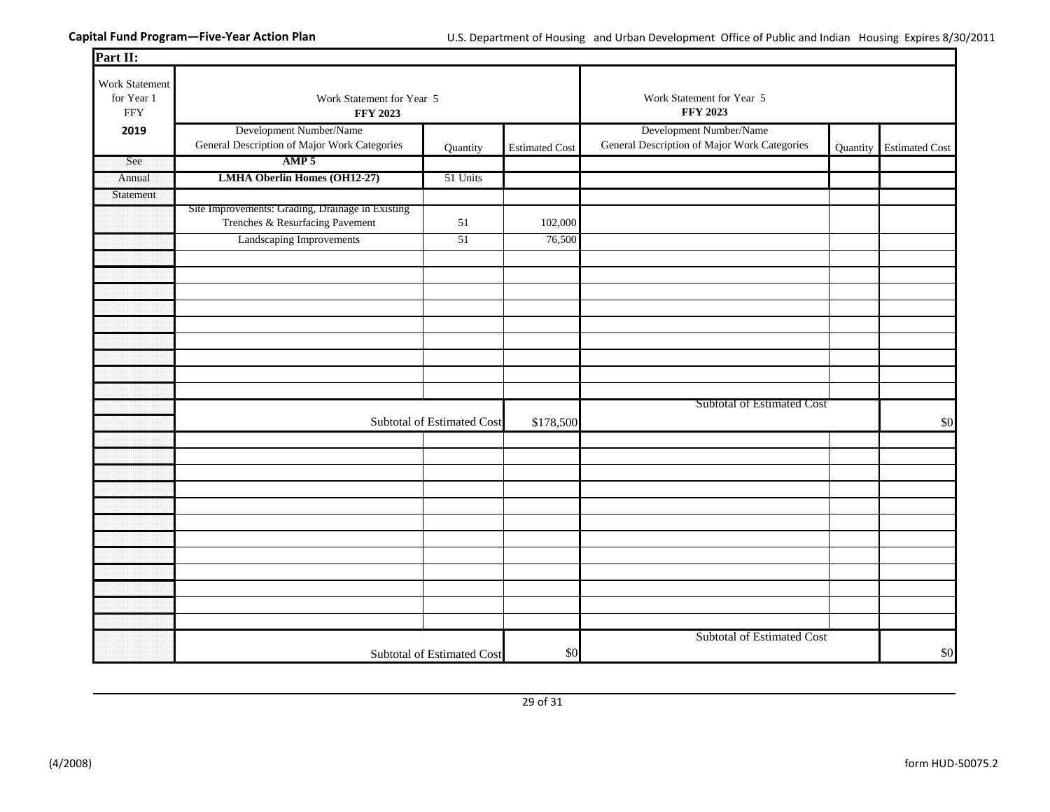| Part II:                                   |                                                                                     |                            |                       |                                                                         |                         |
|--------------------------------------------|-------------------------------------------------------------------------------------|----------------------------|-----------------------|-------------------------------------------------------------------------|-------------------------|
| Work Statement<br>for Year 1<br><b>FFY</b> | Work Statement for Year 5<br><b>FFY 2023</b>                                        |                            |                       | Work Statement for Year 5<br><b>FFY 2023</b>                            |                         |
| 2019                                       | Development Number/Name<br>General Description of Major Work Categories             | Quantity                   | <b>Estimated Cost</b> | Development Number/Name<br>General Description of Major Work Categories | Quantity Estimated Cost |
| See                                        | AMP 5                                                                               |                            |                       |                                                                         |                         |
| Annual                                     | <b>LMHA Oberlin Homes (OH12-27)</b>                                                 | 51 Units                   |                       |                                                                         |                         |
| Statement                                  |                                                                                     |                            |                       |                                                                         |                         |
|                                            | Site Improvements: Grading, Drainage in Existing<br>Trenches & Resurfacing Pavement | 51                         | 102,000               |                                                                         |                         |
|                                            | Landscaping Improvements                                                            | 51                         | 76,500                |                                                                         |                         |
|                                            |                                                                                     |                            |                       |                                                                         |                         |
|                                            |                                                                                     |                            |                       |                                                                         |                         |
|                                            |                                                                                     |                            |                       |                                                                         |                         |
|                                            |                                                                                     |                            |                       |                                                                         |                         |
|                                            |                                                                                     |                            |                       |                                                                         |                         |
|                                            |                                                                                     |                            |                       |                                                                         |                         |
|                                            |                                                                                     |                            |                       |                                                                         |                         |
|                                            |                                                                                     |                            |                       |                                                                         |                         |
|                                            |                                                                                     |                            |                       |                                                                         |                         |
|                                            |                                                                                     |                            |                       | Subtotal of Estimated Cost                                              |                         |
|                                            |                                                                                     | Subtotal of Estimated Cost | \$178,500             |                                                                         | \$0                     |
|                                            |                                                                                     |                            |                       |                                                                         |                         |
|                                            |                                                                                     |                            |                       |                                                                         |                         |
|                                            |                                                                                     |                            |                       |                                                                         |                         |
|                                            |                                                                                     |                            |                       |                                                                         |                         |
|                                            |                                                                                     |                            |                       |                                                                         |                         |
|                                            |                                                                                     |                            |                       |                                                                         |                         |
|                                            |                                                                                     |                            |                       |                                                                         |                         |
|                                            |                                                                                     |                            |                       |                                                                         |                         |
|                                            |                                                                                     |                            |                       |                                                                         |                         |
|                                            |                                                                                     |                            |                       |                                                                         |                         |
|                                            |                                                                                     |                            |                       |                                                                         |                         |
|                                            |                                                                                     |                            |                       |                                                                         |                         |
|                                            |                                                                                     | Subtotal of Estimated Cost | \$0                   | <b>Subtotal of Estimated Cost</b>                                       | \$0                     |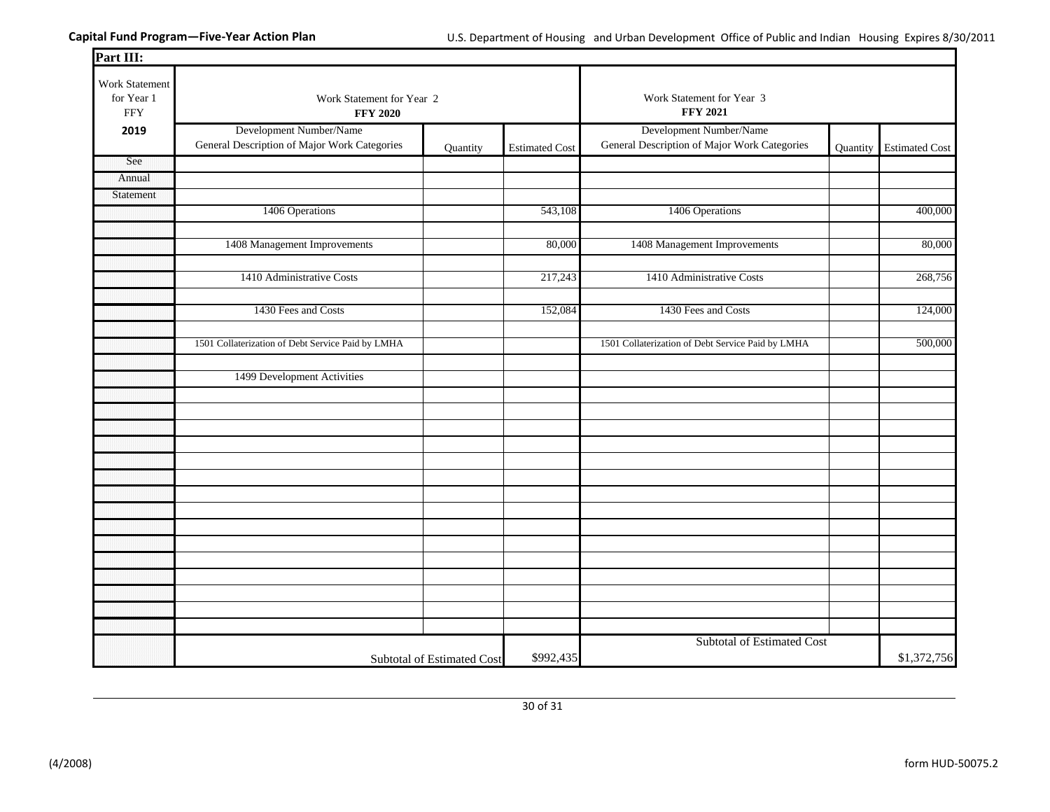| Part III:                                  |                                                                         |                            |                       |                                                                         |          |                       |
|--------------------------------------------|-------------------------------------------------------------------------|----------------------------|-----------------------|-------------------------------------------------------------------------|----------|-----------------------|
| Work Statement<br>for Year 1<br><b>FFY</b> | Work Statement for Year 2<br><b>FFY 2020</b>                            |                            |                       | Work Statement for Year 3<br><b>FFY 2021</b>                            |          |                       |
| 2019                                       | Development Number/Name<br>General Description of Major Work Categories | Quantity                   | <b>Estimated Cost</b> | Development Number/Name<br>General Description of Major Work Categories | Quantity | <b>Estimated Cost</b> |
| See                                        |                                                                         |                            |                       |                                                                         |          |                       |
| Annual                                     |                                                                         |                            |                       |                                                                         |          |                       |
| Statement                                  |                                                                         |                            |                       |                                                                         |          |                       |
|                                            | 1406 Operations                                                         |                            | 543,108               | 1406 Operations                                                         |          | 400,000               |
|                                            | 1408 Management Improvements                                            |                            | 80,000                | 1408 Management Improvements                                            |          | 80,000                |
|                                            | 1410 Administrative Costs                                               |                            | 217,243               | 1410 Administrative Costs                                               |          | 268,756               |
|                                            | 1430 Fees and Costs                                                     |                            | 152,084               | 1430 Fees and Costs                                                     |          | 124,000               |
|                                            | 1501 Collaterization of Debt Service Paid by LMHA                       |                            |                       | 1501 Collaterization of Debt Service Paid by LMHA                       |          | 500,000               |
|                                            | 1499 Development Activities                                             |                            |                       |                                                                         |          |                       |
|                                            |                                                                         |                            |                       |                                                                         |          |                       |
|                                            |                                                                         |                            |                       |                                                                         |          |                       |
|                                            |                                                                         |                            |                       |                                                                         |          |                       |
|                                            |                                                                         |                            |                       |                                                                         |          |                       |
|                                            |                                                                         |                            |                       |                                                                         |          |                       |
|                                            |                                                                         |                            |                       |                                                                         |          |                       |
|                                            |                                                                         |                            |                       |                                                                         |          |                       |
|                                            |                                                                         |                            |                       |                                                                         |          |                       |
|                                            |                                                                         |                            |                       |                                                                         |          |                       |
|                                            |                                                                         |                            |                       |                                                                         |          |                       |
|                                            |                                                                         |                            |                       |                                                                         |          |                       |
|                                            |                                                                         |                            |                       |                                                                         |          |                       |
|                                            |                                                                         |                            |                       |                                                                         |          |                       |
|                                            |                                                                         | Subtotal of Estimated Cost | \$992,435             | <b>Subtotal of Estimated Cost</b>                                       |          | \$1,372,756           |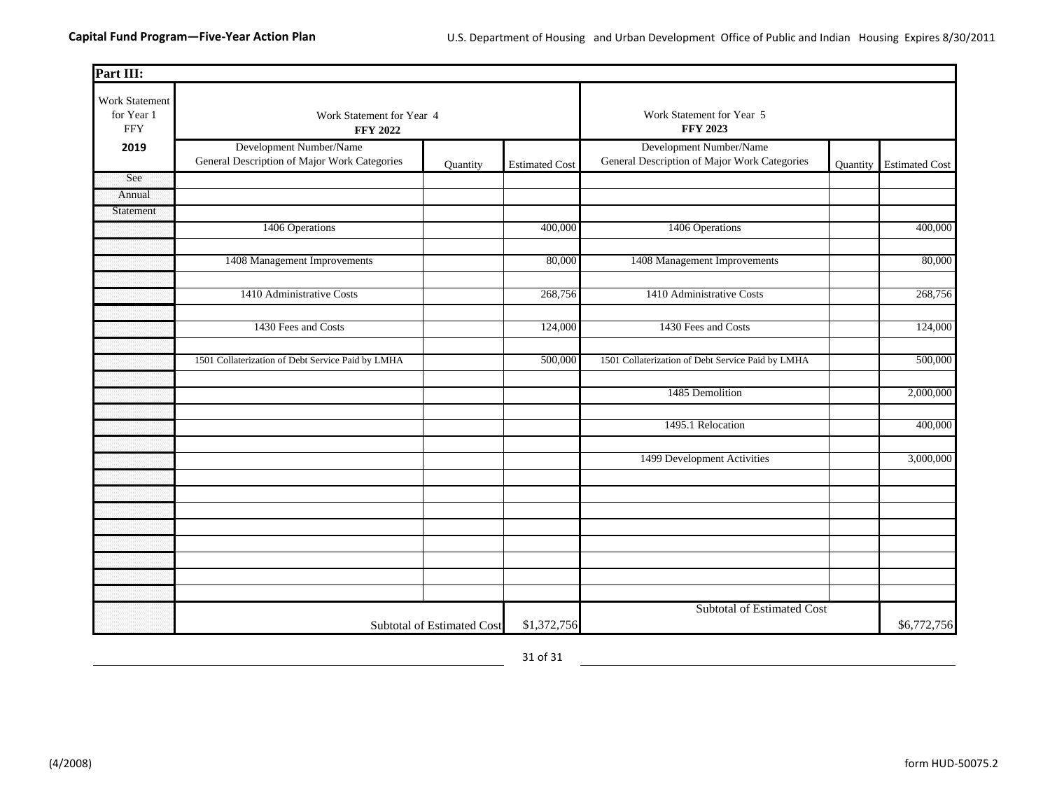| Part III:                                  |                                                                         |                            |                       |                                                                         |                 |                       |  |
|--------------------------------------------|-------------------------------------------------------------------------|----------------------------|-----------------------|-------------------------------------------------------------------------|-----------------|-----------------------|--|
| Work Statement<br>for Year 1<br><b>FFY</b> | Work Statement for Year 4<br><b>FFY 2022</b>                            |                            |                       | Work Statement for Year 5<br><b>FFY 2023</b>                            |                 |                       |  |
| 2019                                       | Development Number/Name<br>General Description of Major Work Categories | Quantity                   | <b>Estimated Cost</b> | Development Number/Name<br>General Description of Major Work Categories | <b>Quantity</b> | <b>Estimated Cost</b> |  |
| See                                        |                                                                         |                            |                       |                                                                         |                 |                       |  |
| Annual                                     |                                                                         |                            |                       |                                                                         |                 |                       |  |
| Statement                                  |                                                                         |                            |                       |                                                                         |                 |                       |  |
|                                            | 1406 Operations                                                         |                            | 400,000               | 1406 Operations                                                         |                 | 400,000               |  |
|                                            | 1408 Management Improvements                                            |                            | 80,000                | 1408 Management Improvements                                            |                 | 80,000                |  |
|                                            | 1410 Administrative Costs                                               |                            | 268,756               | 1410 Administrative Costs                                               |                 | 268,756               |  |
|                                            | 1430 Fees and Costs                                                     |                            | 124,000               | 1430 Fees and Costs                                                     |                 | 124,000               |  |
|                                            | 1501 Collaterization of Debt Service Paid by LMHA                       |                            | 500,000               | 1501 Collaterization of Debt Service Paid by LMHA                       |                 | 500,000               |  |
|                                            |                                                                         |                            |                       | 1485 Demolition                                                         |                 | 2,000,000             |  |
|                                            |                                                                         |                            |                       | 1495.1 Relocation                                                       |                 | 400,000               |  |
|                                            |                                                                         |                            |                       | 1499 Development Activities                                             |                 | 3,000,000             |  |
|                                            |                                                                         |                            |                       |                                                                         |                 |                       |  |
|                                            |                                                                         |                            |                       |                                                                         |                 |                       |  |
|                                            |                                                                         |                            |                       |                                                                         |                 |                       |  |
|                                            |                                                                         |                            |                       |                                                                         |                 |                       |  |
|                                            |                                                                         |                            |                       | <b>Subtotal of Estimated Cost</b>                                       |                 |                       |  |
|                                            |                                                                         | Subtotal of Estimated Cost | \$1,372,756           |                                                                         |                 | \$6,772,756           |  |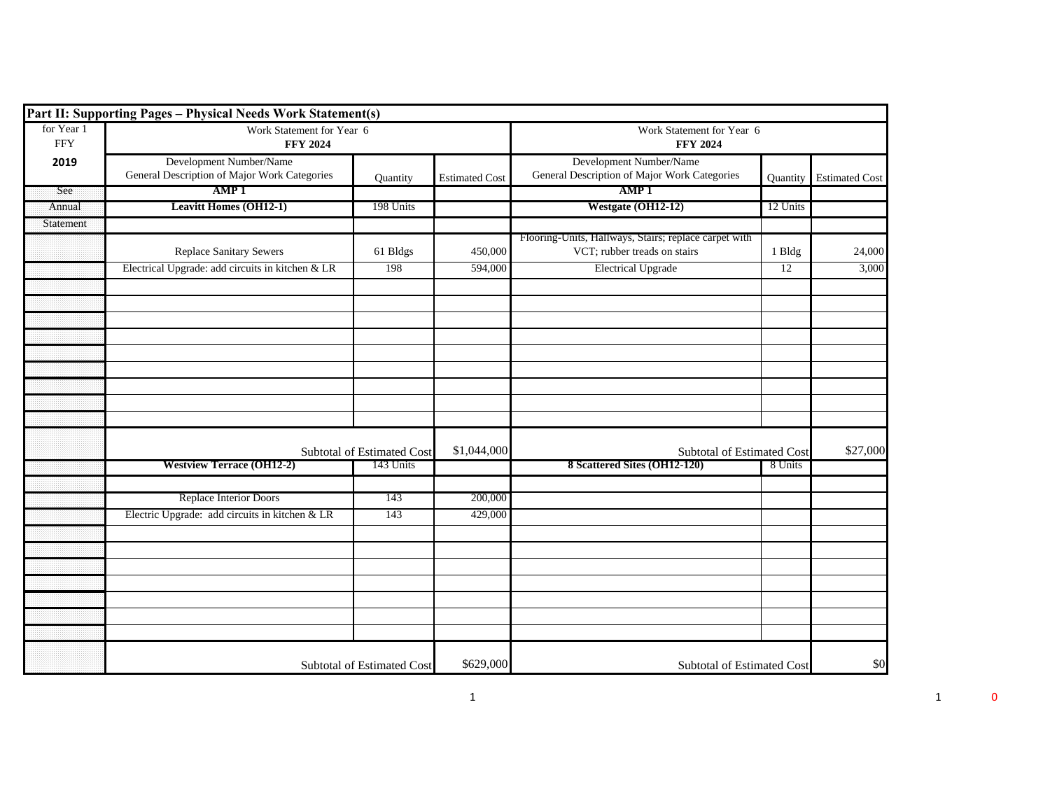|                          | Part II: Supporting Pages - Physical Needs Work Statement(s)            |                            |                       |                                                                                       |          |                       |
|--------------------------|-------------------------------------------------------------------------|----------------------------|-----------------------|---------------------------------------------------------------------------------------|----------|-----------------------|
| for Year 1<br><b>FFY</b> | Work Statement for Year 6<br><b>FFY 2024</b>                            |                            |                       | Work Statement for Year 6<br><b>FFY 2024</b>                                          |          |                       |
| 2019                     | Development Number/Name<br>General Description of Major Work Categories | Quantity                   | <b>Estimated Cost</b> | Development Number/Name<br>General Description of Major Work Categories               | Quantity | <b>Estimated Cost</b> |
| See                      | AMP <sub>1</sub>                                                        |                            |                       | AMP <sub>1</sub>                                                                      |          |                       |
| Annual                   | <b>Leavitt Homes (OH12-1)</b>                                           | 198 Units                  |                       | Westgate (OH12-12)                                                                    | 12 Units |                       |
| Statement                |                                                                         |                            |                       |                                                                                       |          |                       |
|                          | <b>Replace Sanitary Sewers</b>                                          | 61 Bldgs                   | 450,000               | Flooring-Units, Hallways, Stairs; replace carpet with<br>VCT; rubber treads on stairs | 1 Bldg   | 24,000                |
|                          | Electrical Upgrade: add circuits in kitchen & LR                        | 198                        | 594,000               | <b>Electrical Upgrade</b>                                                             | 12       | 3,000                 |
|                          |                                                                         |                            |                       |                                                                                       |          |                       |
|                          |                                                                         |                            |                       |                                                                                       |          |                       |
|                          |                                                                         |                            |                       |                                                                                       |          |                       |
|                          |                                                                         |                            |                       |                                                                                       |          |                       |
|                          |                                                                         |                            |                       |                                                                                       |          |                       |
|                          |                                                                         |                            |                       |                                                                                       |          |                       |
|                          |                                                                         |                            |                       |                                                                                       |          |                       |
|                          |                                                                         |                            |                       |                                                                                       |          |                       |
|                          |                                                                         |                            |                       |                                                                                       |          |                       |
|                          |                                                                         |                            |                       |                                                                                       |          |                       |
|                          |                                                                         | Subtotal of Estimated Cost | \$1,044,000           | Subtotal of Estimated Cost                                                            |          | \$27,000              |
|                          | <b>Westview Terrace (OH12-2)</b>                                        | 143 Units                  |                       | 8 Scattered Sites (OH12-120)                                                          | 8 Units  |                       |
|                          |                                                                         |                            |                       |                                                                                       |          |                       |
|                          | Replace Interior Doors                                                  | 143                        | 200,000               |                                                                                       |          |                       |
|                          | Electric Upgrade: add circuits in kitchen & LR                          | 143                        | 429,000               |                                                                                       |          |                       |
|                          |                                                                         |                            |                       |                                                                                       |          |                       |
|                          |                                                                         |                            |                       |                                                                                       |          |                       |
|                          |                                                                         |                            |                       |                                                                                       |          |                       |
|                          |                                                                         |                            |                       |                                                                                       |          |                       |
|                          |                                                                         |                            |                       |                                                                                       |          |                       |
|                          |                                                                         |                            |                       |                                                                                       |          |                       |
|                          |                                                                         |                            |                       |                                                                                       |          |                       |
|                          |                                                                         |                            |                       |                                                                                       |          |                       |
|                          |                                                                         | Subtotal of Estimated Cost | \$629,000             | Subtotal of Estimated Cost                                                            |          | \$0                   |

 $1$  0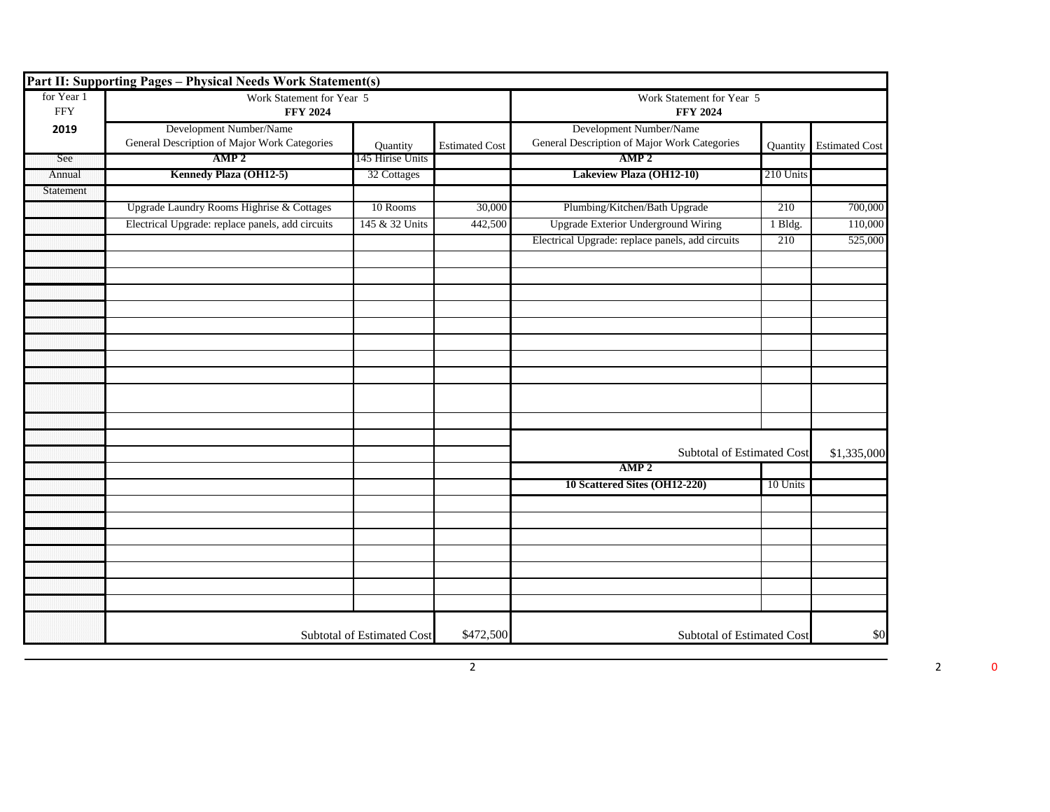|                          | Part II: Supporting Pages - Physical Needs Work Statement(s)            |                                   |                       |                                                                         |           |                       |
|--------------------------|-------------------------------------------------------------------------|-----------------------------------|-----------------------|-------------------------------------------------------------------------|-----------|-----------------------|
| for Year 1<br><b>FFY</b> | Work Statement for Year 5<br><b>FFY 2024</b>                            |                                   |                       | Work Statement for Year 5<br><b>FFY 2024</b>                            |           |                       |
| 2019                     | Development Number/Name<br>General Description of Major Work Categories | Ouantity                          | <b>Estimated Cost</b> | Development Number/Name<br>General Description of Major Work Categories | Quantity  | <b>Estimated Cost</b> |
| See                      | AMP <sub>2</sub>                                                        | 145 Hirise Units                  |                       | AMP <sub>2</sub>                                                        |           |                       |
| Annual                   | Kennedy Plaza (OH12-5)                                                  | 32 Cottages                       |                       | Lakeview Plaza (OH12-10)                                                | 210 Units |                       |
| Statement                |                                                                         |                                   |                       |                                                                         |           |                       |
|                          | Upgrade Laundry Rooms Highrise & Cottages                               | 10 Rooms                          | 30,000                | Plumbing/Kitchen/Bath Upgrade                                           | 210       | 700,000               |
|                          | Electrical Upgrade: replace panels, add circuits                        | 145 & 32 Units                    | 442,500               | <b>Upgrade Exterior Underground Wiring</b>                              | 1 Bldg.   | 110,000               |
|                          |                                                                         |                                   |                       | Electrical Upgrade: replace panels, add circuits                        | 210       | 525,000               |
|                          |                                                                         |                                   |                       |                                                                         |           |                       |
|                          |                                                                         |                                   |                       |                                                                         |           |                       |
|                          |                                                                         |                                   |                       |                                                                         |           |                       |
|                          |                                                                         |                                   |                       |                                                                         |           |                       |
|                          |                                                                         |                                   |                       |                                                                         |           |                       |
|                          |                                                                         |                                   |                       |                                                                         |           |                       |
|                          |                                                                         |                                   |                       |                                                                         |           |                       |
|                          |                                                                         |                                   |                       |                                                                         |           |                       |
|                          |                                                                         |                                   |                       | <b>Subtotal of Estimated Cost</b>                                       |           | \$1,335,000           |
|                          |                                                                         |                                   |                       | AMP <sub>2</sub>                                                        |           |                       |
|                          |                                                                         |                                   |                       | 10 Scattered Sites (OH12-220)                                           | 10 Units  |                       |
|                          |                                                                         |                                   |                       |                                                                         |           |                       |
|                          |                                                                         |                                   |                       |                                                                         |           |                       |
|                          |                                                                         |                                   |                       |                                                                         |           |                       |
|                          |                                                                         |                                   |                       |                                                                         |           |                       |
|                          |                                                                         |                                   |                       |                                                                         |           |                       |
|                          |                                                                         |                                   |                       |                                                                         |           |                       |
|                          |                                                                         | <b>Subtotal of Estimated Cost</b> | \$472,500             | <b>Subtotal of Estimated Cost</b>                                       |           | \$0                   |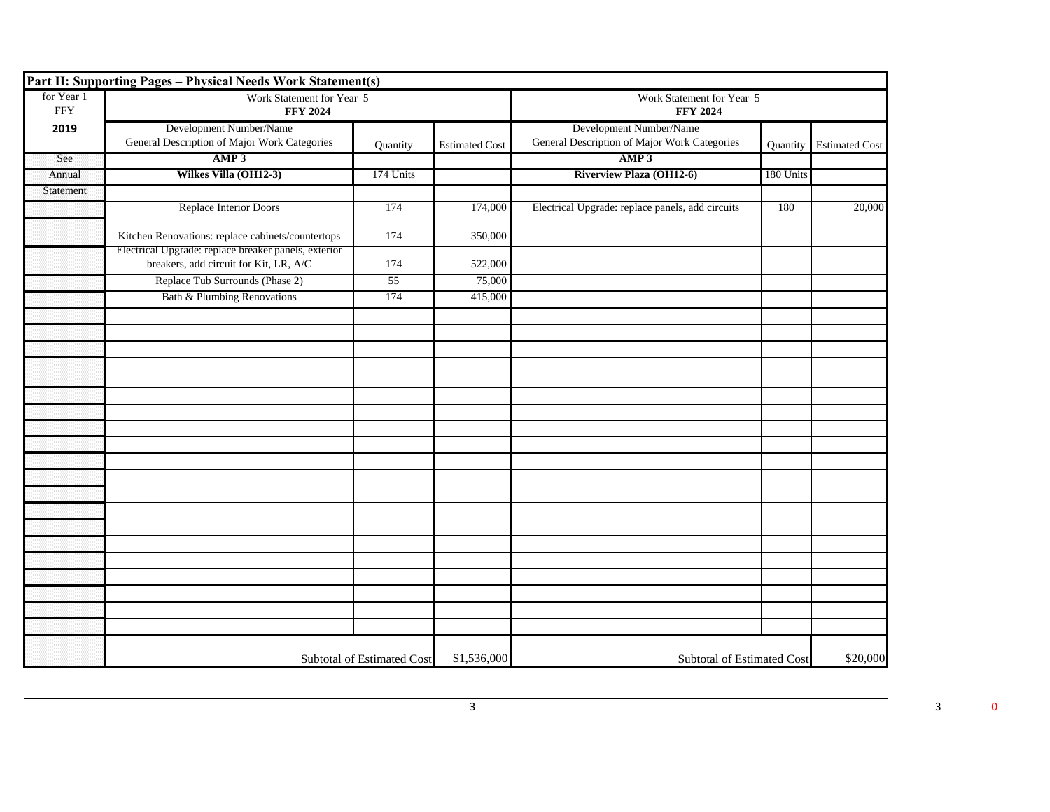|                          | Part II: Supporting Pages - Physical Needs Work Statement(s)                                   |                                   |                       |                                                                         |           |                       |
|--------------------------|------------------------------------------------------------------------------------------------|-----------------------------------|-----------------------|-------------------------------------------------------------------------|-----------|-----------------------|
| for Year 1<br><b>FFY</b> | Work Statement for Year 5<br><b>FFY 2024</b>                                                   |                                   |                       | Work Statement for Year 5<br><b>FFY 2024</b>                            |           |                       |
| 2019                     | Development Number/Name<br>General Description of Major Work Categories                        | Quantity                          | <b>Estimated Cost</b> | Development Number/Name<br>General Description of Major Work Categories | Quantity  | <b>Estimated Cost</b> |
| See                      | AMP3                                                                                           |                                   |                       | AMP3                                                                    |           |                       |
| Annual                   | Wilkes Villa (OH12-3)                                                                          | 174 Units                         |                       | <b>Riverview Plaza (OH12-6)</b>                                         | 180 Units |                       |
| Statement                |                                                                                                |                                   |                       |                                                                         |           |                       |
|                          | Replace Interior Doors                                                                         | 174                               | 174,000               | Electrical Upgrade: replace panels, add circuits                        | 180       | 20,000                |
|                          | Kitchen Renovations: replace cabinets/countertops                                              | 174                               | 350,000               |                                                                         |           |                       |
|                          | Electrical Upgrade: replace breaker panels, exterior<br>breakers, add circuit for Kit, LR, A/C | 174                               | 522,000               |                                                                         |           |                       |
|                          | Replace Tub Surrounds (Phase 2)                                                                | 55                                | 75,000                |                                                                         |           |                       |
|                          | Bath & Plumbing Renovations                                                                    | 174                               | 415,000               |                                                                         |           |                       |
|                          |                                                                                                |                                   |                       |                                                                         |           |                       |
|                          |                                                                                                |                                   |                       |                                                                         |           |                       |
|                          |                                                                                                |                                   |                       |                                                                         |           |                       |
|                          |                                                                                                |                                   |                       |                                                                         |           |                       |
|                          |                                                                                                |                                   |                       |                                                                         |           |                       |
|                          |                                                                                                |                                   |                       |                                                                         |           |                       |
|                          |                                                                                                |                                   |                       |                                                                         |           |                       |
|                          |                                                                                                |                                   |                       |                                                                         |           |                       |
|                          |                                                                                                |                                   |                       |                                                                         |           |                       |
|                          |                                                                                                |                                   |                       |                                                                         |           |                       |
|                          |                                                                                                |                                   |                       |                                                                         |           |                       |
|                          |                                                                                                |                                   |                       |                                                                         |           |                       |
|                          |                                                                                                |                                   |                       |                                                                         |           |                       |
|                          |                                                                                                |                                   |                       |                                                                         |           |                       |
|                          |                                                                                                |                                   |                       |                                                                         |           |                       |
|                          |                                                                                                |                                   |                       |                                                                         |           |                       |
|                          |                                                                                                |                                   |                       |                                                                         |           |                       |
|                          |                                                                                                |                                   |                       |                                                                         |           |                       |
|                          |                                                                                                |                                   |                       |                                                                         |           |                       |
|                          |                                                                                                | <b>Subtotal of Estimated Cost</b> | \$1,536,000           | Subtotal of Estimated Cost                                              |           | \$20,000              |

 $3 \t 3 \t 0$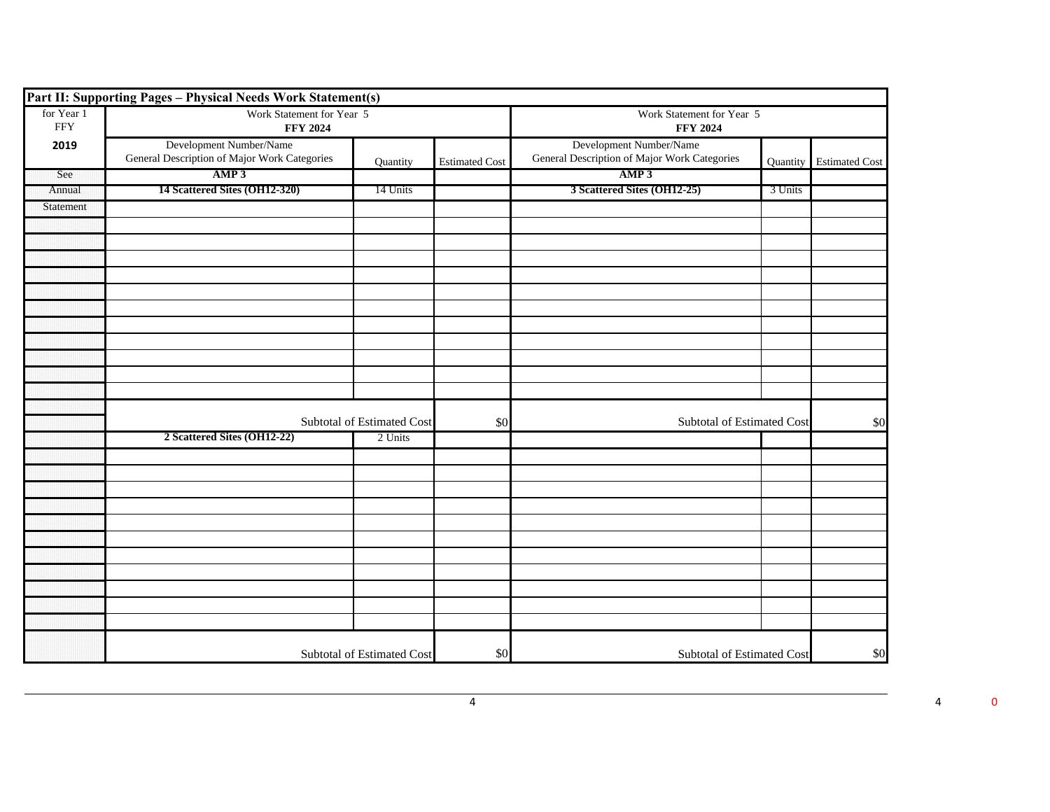|                          | Part II: Supporting Pages - Physical Needs Work Statement(s)            |                                   |                       |                                                                         |          |                       |  |
|--------------------------|-------------------------------------------------------------------------|-----------------------------------|-----------------------|-------------------------------------------------------------------------|----------|-----------------------|--|
| for Year 1<br><b>FFY</b> | Work Statement for Year 5<br><b>FFY 2024</b>                            |                                   |                       | Work Statement for Year 5<br><b>FFY 2024</b>                            |          |                       |  |
| 2019                     | Development Number/Name<br>General Description of Major Work Categories | Quantity                          | <b>Estimated Cost</b> | Development Number/Name<br>General Description of Major Work Categories | Quantity | <b>Estimated Cost</b> |  |
| See                      | AMP3                                                                    |                                   |                       | AMP3                                                                    |          |                       |  |
| Annual                   | 14 Scattered Sites (OH12-320)                                           | 14 Units                          |                       | 3 Scattered Sites (OH12-25)                                             | 3 Units  |                       |  |
| Statement                |                                                                         |                                   |                       |                                                                         |          |                       |  |
|                          |                                                                         |                                   |                       |                                                                         |          |                       |  |
|                          |                                                                         |                                   |                       |                                                                         |          |                       |  |
|                          |                                                                         |                                   |                       |                                                                         |          |                       |  |
|                          |                                                                         |                                   |                       |                                                                         |          |                       |  |
|                          |                                                                         |                                   |                       |                                                                         |          |                       |  |
|                          |                                                                         |                                   |                       |                                                                         |          |                       |  |
|                          |                                                                         |                                   |                       |                                                                         |          |                       |  |
|                          |                                                                         |                                   |                       |                                                                         |          |                       |  |
|                          |                                                                         |                                   |                       |                                                                         |          |                       |  |
|                          |                                                                         |                                   |                       |                                                                         |          |                       |  |
|                          |                                                                         |                                   |                       |                                                                         |          |                       |  |
|                          |                                                                         | <b>Subtotal of Estimated Cost</b> | \$0                   | <b>Subtotal of Estimated Cost</b>                                       |          | \$0                   |  |
|                          | 2 Scattered Sites (OH12-22)                                             | 2 Units                           |                       |                                                                         |          |                       |  |
|                          |                                                                         |                                   |                       |                                                                         |          |                       |  |
|                          |                                                                         |                                   |                       |                                                                         |          |                       |  |
|                          |                                                                         |                                   |                       |                                                                         |          |                       |  |
|                          |                                                                         |                                   |                       |                                                                         |          |                       |  |
|                          |                                                                         |                                   |                       |                                                                         |          |                       |  |
|                          |                                                                         |                                   |                       |                                                                         |          |                       |  |
|                          |                                                                         |                                   |                       |                                                                         |          |                       |  |
|                          |                                                                         |                                   |                       |                                                                         |          |                       |  |
|                          |                                                                         |                                   |                       |                                                                         |          |                       |  |
|                          |                                                                         |                                   |                       |                                                                         |          |                       |  |
|                          |                                                                         |                                   |                       |                                                                         |          |                       |  |
|                          |                                                                         | Subtotal of Estimated Cost        | \$0                   | Subtotal of Estimated Cost                                              |          | \$0                   |  |

 $4 \t 4 \t 0$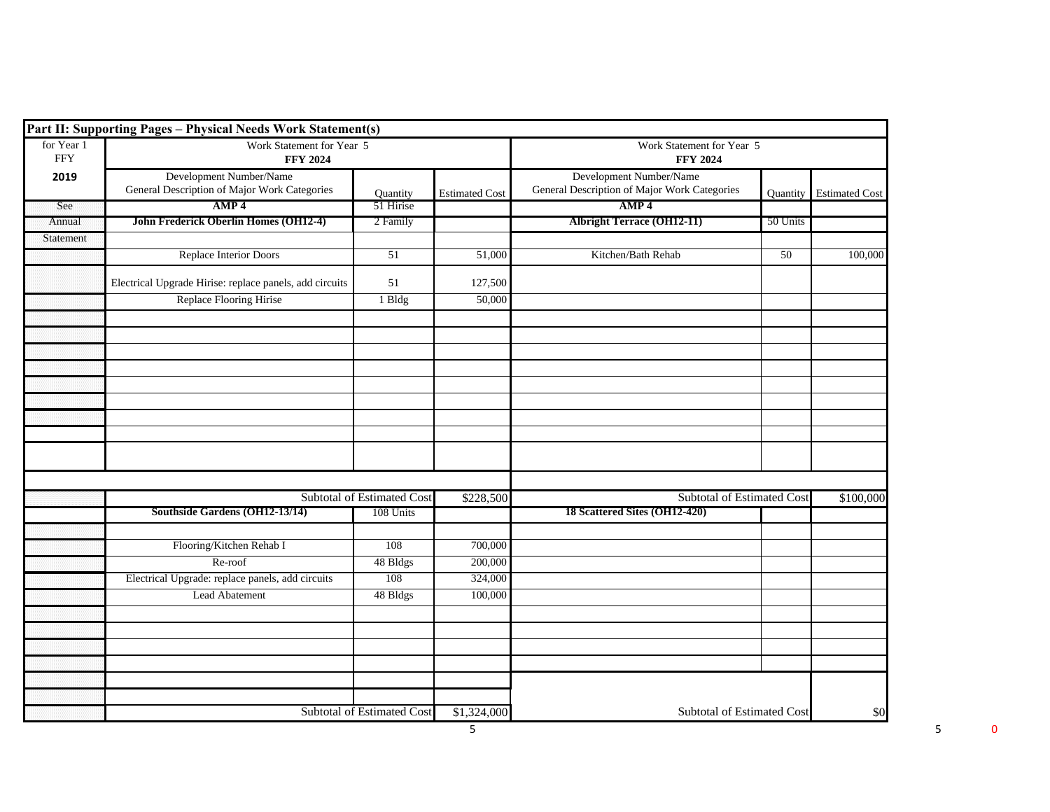|                          | Part II: Supporting Pages - Physical Needs Work Statement(s)            |                                   |                       |                                                                         |          |                         |
|--------------------------|-------------------------------------------------------------------------|-----------------------------------|-----------------------|-------------------------------------------------------------------------|----------|-------------------------|
| for Year 1<br><b>FFY</b> | Work Statement for Year 5<br><b>FFY 2024</b>                            |                                   |                       | Work Statement for Year 5<br><b>FFY 2024</b>                            |          |                         |
| 2019                     | Development Number/Name<br>General Description of Major Work Categories | Quantity                          | <b>Estimated Cost</b> | Development Number/Name<br>General Description of Major Work Categories |          | Quantity Estimated Cost |
| See                      | AMP <sub>4</sub>                                                        | 51 Hirise                         |                       | AMP <sub>4</sub>                                                        |          |                         |
| Annual                   | John Frederick Oberlin Homes (OH12-4)                                   | 2 Family                          |                       | <b>Albright Terrace (OH12-11)</b>                                       | 50 Units |                         |
| Statement                |                                                                         |                                   |                       |                                                                         |          |                         |
|                          | Replace Interior Doors                                                  | 51                                | 51,000                | Kitchen/Bath Rehab                                                      | 50       | 100,000                 |
|                          | Electrical Upgrade Hirise: replace panels, add circuits                 | 51                                | 127,500               |                                                                         |          |                         |
|                          | Replace Flooring Hirise                                                 | 1 Bldg                            | 50,000                |                                                                         |          |                         |
|                          |                                                                         |                                   |                       |                                                                         |          |                         |
|                          |                                                                         |                                   |                       |                                                                         |          |                         |
|                          |                                                                         |                                   |                       |                                                                         |          |                         |
|                          |                                                                         |                                   |                       |                                                                         |          |                         |
|                          |                                                                         |                                   |                       |                                                                         |          |                         |
|                          |                                                                         |                                   |                       |                                                                         |          |                         |
|                          |                                                                         |                                   |                       |                                                                         |          |                         |
|                          |                                                                         |                                   |                       |                                                                         |          |                         |
|                          |                                                                         |                                   |                       |                                                                         |          |                         |
|                          |                                                                         | Subtotal of Estimated Cost        | \$228,500             | <b>Subtotal of Estimated Cost</b>                                       |          | \$100,000               |
|                          | Southside Gardens (OH12-13/14)                                          | 108 Units                         |                       | 18 Scattered Sites (OH12-420)                                           |          |                         |
|                          | Flooring/Kitchen Rehab I                                                | 108                               | 700,000               |                                                                         |          |                         |
|                          | Re-roof                                                                 | 48 Bldgs                          | 200,000               |                                                                         |          |                         |
|                          | Electrical Upgrade: replace panels, add circuits                        | 108                               | 324,000               |                                                                         |          |                         |
|                          | Lead Abatement                                                          | 48 Bldgs                          | 100,000               |                                                                         |          |                         |
|                          |                                                                         |                                   |                       |                                                                         |          |                         |
|                          |                                                                         |                                   |                       |                                                                         |          |                         |
|                          |                                                                         |                                   |                       |                                                                         |          |                         |
|                          |                                                                         |                                   |                       |                                                                         |          |                         |
|                          |                                                                         |                                   |                       |                                                                         |          |                         |
|                          |                                                                         | <b>Subtotal of Estimated Cost</b> | \$1,324,000           | Subtotal of Estimated Cost                                              |          | \$0                     |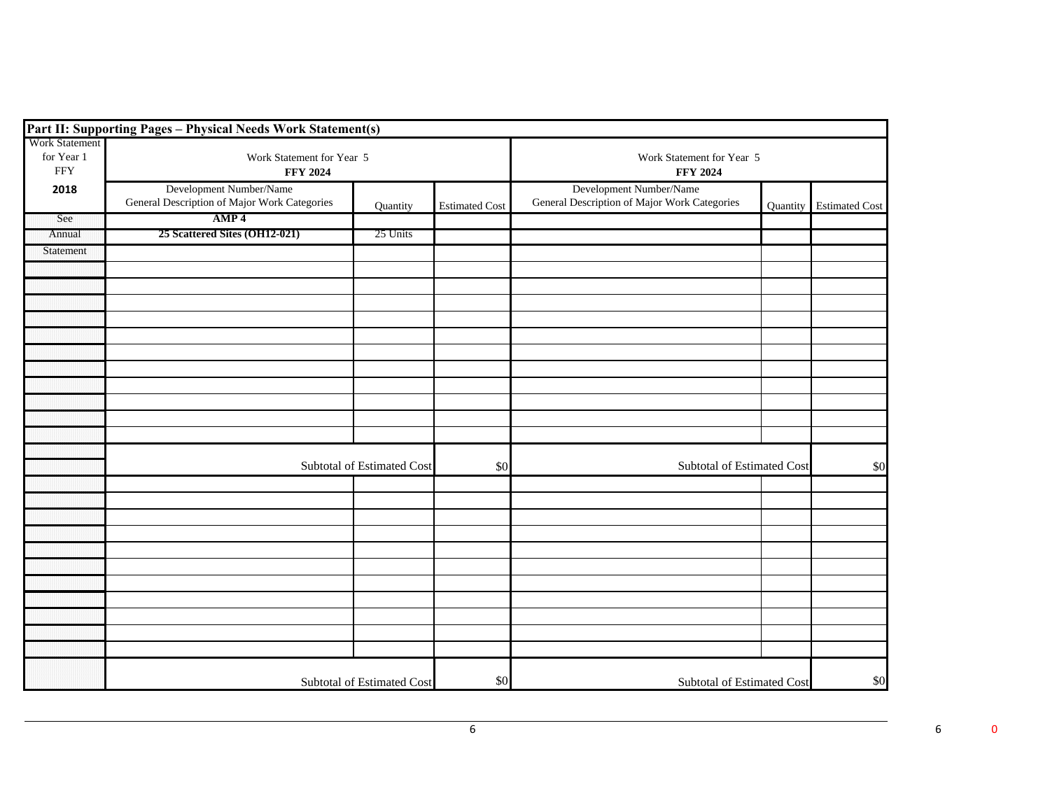|                                                   | Part II: Supporting Pages - Physical Needs Work Statement(s)            |          |                       |                                                                         |                            |                       |
|---------------------------------------------------|-------------------------------------------------------------------------|----------|-----------------------|-------------------------------------------------------------------------|----------------------------|-----------------------|
| <b>Work Statement</b><br>for Year 1<br><b>FFY</b> | Work Statement for Year 5<br><b>FFY 2024</b>                            |          |                       | Work Statement for Year 5<br><b>FFY 2024</b>                            |                            |                       |
| 2018                                              | Development Number/Name<br>General Description of Major Work Categories | Quantity | <b>Estimated Cost</b> | Development Number/Name<br>General Description of Major Work Categories | Quantity                   | <b>Estimated Cost</b> |
| See                                               | AMP <sub>4</sub>                                                        |          |                       |                                                                         |                            |                       |
| Annual                                            | 25 Scattered Sites (OH12-021)                                           | 25 Units |                       |                                                                         |                            |                       |
| Statement                                         |                                                                         |          |                       |                                                                         |                            |                       |
|                                                   |                                                                         |          |                       |                                                                         |                            |                       |
|                                                   |                                                                         |          |                       |                                                                         |                            |                       |
|                                                   |                                                                         |          |                       |                                                                         |                            |                       |
|                                                   |                                                                         |          |                       |                                                                         |                            |                       |
|                                                   |                                                                         |          |                       |                                                                         |                            |                       |
|                                                   |                                                                         |          |                       |                                                                         |                            |                       |
|                                                   |                                                                         |          |                       |                                                                         |                            |                       |
|                                                   |                                                                         |          |                       |                                                                         |                            |                       |
|                                                   |                                                                         |          |                       |                                                                         |                            |                       |
|                                                   |                                                                         |          |                       |                                                                         |                            |                       |
|                                                   |                                                                         |          |                       |                                                                         |                            |                       |
|                                                   | Subtotal of Estimated Cost                                              |          | \$0                   |                                                                         | Subtotal of Estimated Cost |                       |
|                                                   |                                                                         |          |                       |                                                                         |                            |                       |
|                                                   |                                                                         |          |                       |                                                                         |                            |                       |
|                                                   |                                                                         |          |                       |                                                                         |                            |                       |
|                                                   |                                                                         |          |                       |                                                                         |                            |                       |
|                                                   |                                                                         |          |                       |                                                                         |                            |                       |
|                                                   |                                                                         |          |                       |                                                                         |                            |                       |
|                                                   |                                                                         |          |                       |                                                                         |                            |                       |
|                                                   |                                                                         |          |                       |                                                                         |                            |                       |
|                                                   |                                                                         |          |                       |                                                                         |                            |                       |
|                                                   |                                                                         |          |                       |                                                                         |                            |                       |
|                                                   |                                                                         |          |                       |                                                                         |                            |                       |
|                                                   | Subtotal of Estimated Cost                                              |          | \$0                   | Subtotal of Estimated Cost                                              |                            | \$0                   |